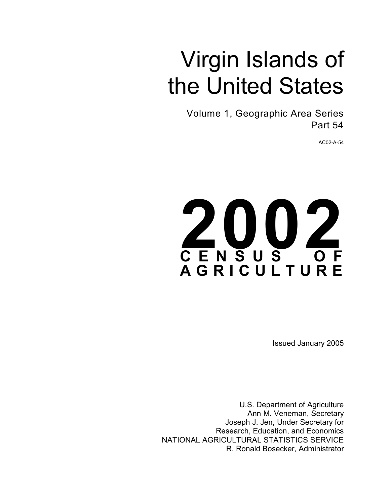# Virgin Islands of the United States

Volume 1, Geographic Area Series Part 54

AC02-A-54



Issued January 2005

U.S. Department of Agriculture Ann M. Veneman, Secretary Joseph J. Jen, Under Secretary for Research, Education, and Economics NATIONAL AGRICULTURAL STATISTICS SERVICE R. Ronald Bosecker, Administrator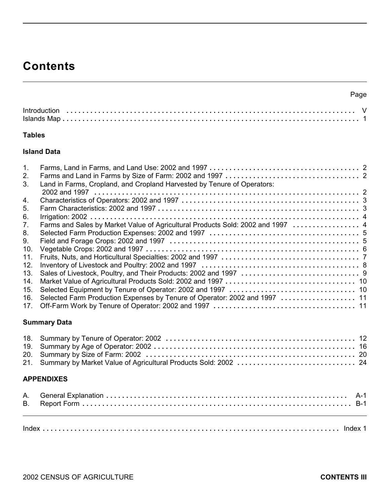## **Contents**

| ×<br>۰, | I |
|---------|---|

| <b>Introduction</b> |  |  |  |  |  |  |  |  |  |  |  |  |  |  |  |  |  |  |  |  |  |  |  |
|---------------------|--|--|--|--|--|--|--|--|--|--|--|--|--|--|--|--|--|--|--|--|--|--|--|
|                     |  |  |  |  |  |  |  |  |  |  |  |  |  |  |  |  |  |  |  |  |  |  |  |

#### **Tables**

#### **Island Data**

| 1.  |                                                                                 |  |
|-----|---------------------------------------------------------------------------------|--|
| 2.  |                                                                                 |  |
| 3.  | Land in Farms, Cropland, and Cropland Harvested by Tenure of Operators:         |  |
|     |                                                                                 |  |
| 4.  |                                                                                 |  |
| 5.  |                                                                                 |  |
| 6.  |                                                                                 |  |
| 7.  | Farms and Sales by Market Value of Agricultural Products Sold: 2002 and 1997  4 |  |
| 8.  |                                                                                 |  |
| 9.  |                                                                                 |  |
| 10. |                                                                                 |  |
| 11. |                                                                                 |  |
| 12. |                                                                                 |  |
| 13. |                                                                                 |  |
| 14. |                                                                                 |  |
| 15. |                                                                                 |  |
| 16. | Selected Farm Production Expenses by Tenure of Operator: 2002 and 1997  11      |  |
| 17. |                                                                                 |  |

#### **Summary Data**

#### **APPENDIXES**

Index **. . . . . . . . . . . . . . . . . . . . . . . . . . . . . . . . . . . . . . . . . . . . . . . . . . . . . . . . . . . . . . . . . . . . . . . . . . .** Index 1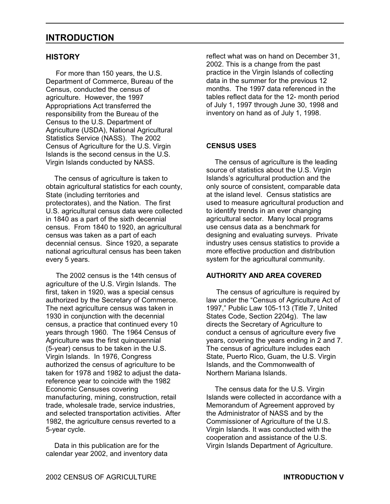### **INTRODUCTION**

#### **HISTORY**

 For more than 150 years, the U.S. Department of Commerce, Bureau of the Census, conducted the census of agriculture. However, the 1997 Appropriations Act transferred the responsibility from the Bureau of the Census to the U.S. Department of Agriculture (USDA), National Agricultural Statistics Service (NASS). The 2002 Census of Agriculture for the U.S. Virgin Islands is the second census in the U.S. Virgin Islands conducted by NASS.

The census of agriculture is taken to obtain agricultural statistics for each county, State (including territories and protectorates), and the Nation. The first U.S. agricultural census data were collected in 1840 as a part of the sixth decennial census. From 1840 to 1920, an agricultural census was taken as a part of each decennial census. Since 1920, a separate national agricultural census has been taken every 5 years.

 The 2002 census is the 14th census of agriculture of the U.S. Virgin Islands. The first, taken in 1920, was a special census authorized by the Secretary of Commerce. The next agriculture census was taken in 1930 in conjunction with the decennial census, a practice that continued every 10 years through 1960. The 1964 Census of Agriculture was the first quinquennial (5-year) census to be taken in the U.S. Virgin Islands. In 1976, Congress authorized the census of agriculture to be taken for 1978 and 1982 to adjust the datareference year to coincide with the 1982 Economic Censuses covering manufacturing, mining, construction, retail trade, wholesale trade, service industries, and selected transportation activities. After 1982, the agriculture census reverted to a 5-year cycle.

Data in this publication are for the calendar year 2002, and inventory data reflect what was on hand on December 31, 2002. This is a change from the past practice in the Virgin Islands of collecting data in the summer for the previous 12 months. The 1997 data referenced in the tables reflect data for the 12- month period of July 1, 1997 through June 30, 1998 and inventory on hand as of July 1, 1998.

#### **CENSUS USES**

The census of agriculture is the leading source of statistics about the U.S. Virgin Islands's agricultural production and the only source of consistent, comparable data at the island level. Census statistics are used to measure agricultural production and to identify trends in an ever changing agricultural sector. Many local programs use census data as a benchmark for designing and evaluating surveys. Private industry uses census statistics to provide a more effective production and distribution system for the agricultural community.

#### **AUTHORITY AND AREA COVERED**

 The census of agriculture is required by law under the "Census of Agriculture Act of 1997," Public Law 105-113 (Title 7, United States Code, Section 2204g). The law directs the Secretary of Agriculture to conduct a census of agriculture every five years, covering the years ending in 2 and 7. The census of agriculture includes each State, Puerto Rico, Guam, the U.S. Virgin Islands, and the Commonwealth of Northern Mariana Islands.

The census data for the U.S. Virgin Islands were collected in accordance with a Memorandum of Agreement approved by the Administrator of NASS and by the Commissioner of Agriculture of the U.S. Virgin Islands. It was conducted with the cooperation and assistance of the U.S. Virgin Islands Department of Agriculture.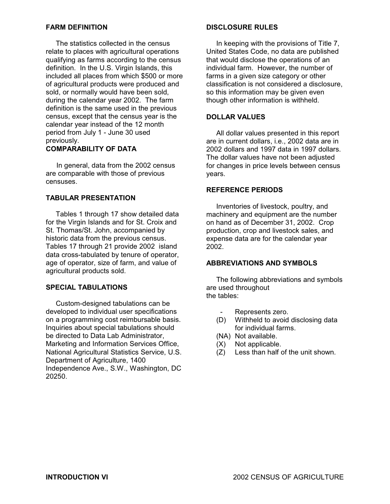#### **FARM DEFINITION**

 The statistics collected in the census relate to places with agricultural operations qualifying as farms according to the census definition. In the U.S. Virgin Islands, this included all places from which \$500 or more of agricultural products were produced and sold, or normally would have been sold, during the calendar year 2002. The farm definition is the same used in the previous census, except that the census year is the calendar year instead of the 12 month period from July 1 - June 30 used previously.

#### **COMPARABILITY OF DATA**

 In general, data from the 2002 census are comparable with those of previous censuses.

#### **TABULAR PRESENTATION**

 Tables 1 through 17 show detailed data for the Virgin Islands and for St. Croix and St. Thomas/St. John, accompanied by historic data from the previous census. Tables 17 through 21 provide 2002 island data cross-tabulated by tenure of operator, age of operator, size of farm, and value of agricultural products sold.

#### **SPECIAL TABULATIONS**

 Custom-designed tabulations can be developed to individual user specifications on a programming cost reimbursable basis. Inquiries about special tabulations should be directed to Data Lab Administrator, Marketing and Information Services Office, National Agricultural Statistics Service, U.S. Department of Agriculture, 1400 Independence Ave., S.W., Washington, DC 20250.

#### **DISCLOSURE RULES**

 In keeping with the provisions of Title 7, United States Code, no data are published that would disclose the operations of an individual farm. However, the number of farms in a given size category or other classification is not considered a disclosure, so this information may be given even though other information is withheld.

#### **DOLLAR VALUES**

 All dollar values presented in this report are in current dollars, i.e., 2002 data are in 2002 dollars and 1997 data in 1997 dollars. The dollar values have not been adjusted for changes in price levels between census years.

#### **REFERENCE PERIODS**

 Inventories of livestock, poultry, and machinery and equipment are the number on hand as of December 31, 2002. Crop production, crop and livestock sales, and expense data are for the calendar year 2002.

#### **ABBREVIATIONS AND SYMBOLS**

 The following abbreviations and symbols are used throughout the tables:

- Represents zero.
- (D) Withheld to avoid disclosing data for individual farms.
- (NA) Not available.
- (X) Not applicable.
- (Z) Less than half of the unit shown.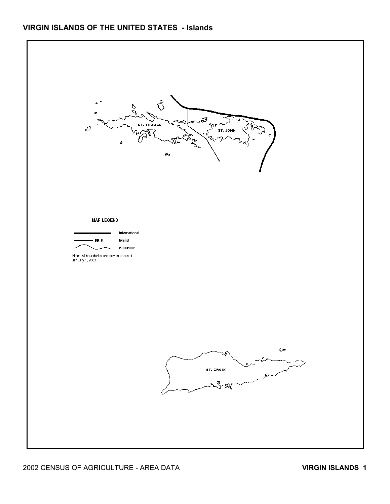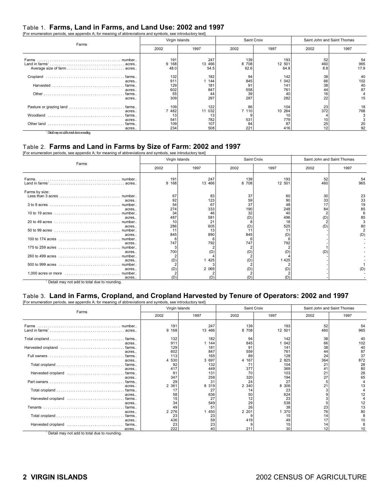#### Table 1. **Farms, Land in Farms, and Land Use: 2002 and 1997**

| [For enumeration periods, see appendix A; for meaning of abbreviations and symbols, see introductory text] |                          |                          |                        |                          |                             |                       |
|------------------------------------------------------------------------------------------------------------|--------------------------|--------------------------|------------------------|--------------------------|-----------------------------|-----------------------|
|                                                                                                            | Virgin Islands           |                          |                        | Saint Croix              | Saint John and Saint Thomas |                       |
| Farms                                                                                                      | 2002                     | 1997                     | 2002                   | 1997                     | 2002                        | 1997                  |
|                                                                                                            | 191<br>9 168<br>48.0     | 247<br>13 466<br>54.5    | 139<br>8 708<br>62.6   | 193<br>12 501<br>64.8    | 52<br>460<br>8.8            | 54<br>965<br>17.9     |
| acres                                                                                                      | 132<br>911<br>129<br>602 | 182<br>144<br>181<br>847 | 94<br>845<br>91<br>558 | 142<br>042<br>141<br>761 | 38<br>66<br>38<br>44        | 40<br>102<br>40<br>87 |
| acres<br>acres                                                                                             | 55<br>309                | 44<br>297                | 39<br>287              | 40<br>282                | 16<br>22                    | 15                    |
| acres                                                                                                      | 109<br>482               | 122<br>032<br>11         | 86<br>7 110            | 104<br>10 264            | 23<br>372                   | 18<br>768             |
|                                                                                                            | 13<br>541                | 13<br>782                | 531                    | 10<br>779                |                             |                       |
| acres<br>Other land<br>farms<br>acres                                                                      | 109<br>234               | 107<br>508               | 84<br>221              | 87<br>416                | 10<br>25<br>12              | 20<br>92              |

 $<sup>1</sup>$  Detail may not add to total due to rounding.</sup>

#### Table 2. **Farms and Land in Farms by Size of Farm: 2002 and 1997**

[For enumeration periods, see appendix A; for meaning of abbreviations and symbols, see introductory text]

|                                                                                               | Virgin Islands  |                  | Saint Croix     |                 | Saint John and Saint Thomas |                |  |  |
|-----------------------------------------------------------------------------------------------|-----------------|------------------|-----------------|-----------------|-----------------------------|----------------|--|--|
| Farms                                                                                         | 2002            | 1997             | 2002            | 1997            | 2002                        | 1997           |  |  |
| Farms.                                                                                        | 191<br>9 1 6 8  | 247<br>13 466    | 139<br>8 708    | 193<br>12 501   | 52<br>460                   | 54<br>965      |  |  |
| Farms by size:<br>Less than $3$ acres $\dots\dots\dots\dots\dots\dots\dots\dots\dots$ number. | 67              | 83               | 37              | 60              | 30                          | 23             |  |  |
| acres<br>acres                                                                                | 92<br>54<br>274 | 123<br>67<br>333 | 59<br>37<br>190 | 90<br>48<br>248 | 33<br>17<br>84              | 33<br>19<br>85 |  |  |
| number<br>acres                                                                               | 34<br>487       | 46<br>581        | 32<br>(D)       | 40<br>496       | (D)                         | 85             |  |  |
| number<br>acres<br>number                                                                     | 10<br>286<br>11 | 21<br>605<br>13  | (D)             | 18<br>525       | (D)                         |                |  |  |
| acres<br>100 to 174 acres<br>number                                                           | 845<br>6        | 890              | 845             | (D'             |                             | (D)            |  |  |
| acres<br>175 to 259 acres<br>number<br>acres                                                  | 747<br>700      | 792<br>(D)       | 747<br>(D)      | 792<br>(D'      | (D)                         |                |  |  |
| 260 to 499 acres<br>number<br>acres                                                           | (D)             | 425              | (D)             | 1425            |                             |                |  |  |
| number<br>acres                                                                               | (D)             | 2 0 6 9          | (D)             | (D)             |                             | (D)            |  |  |
| acres                                                                                         | (D)             |                  | (D)             | וח׳             |                             |                |  |  |

<sup>1</sup> Detail may not add to total due to rounding.

#### Table 3. **Land in Farms, Cropland, and Cropland Harvested by Tenure of Operators: 2002 and 1997**

|                                                           |         | Virgin Islands |          | Saint Croix |         | Saint John and Saint Thomas |      |
|-----------------------------------------------------------|---------|----------------|----------|-------------|---------|-----------------------------|------|
| Farms                                                     |         | 2002           | 1997     | 2002        | 1997    | 2002                        | 1997 |
|                                                           |         | 191            | 247      | 139         | 193     | 52                          | 54   |
|                                                           |         | 9 168          | 13 466   | 8 708       | 12 501  | 460                         | 965  |
|                                                           |         | 132            | 182      | 94          | 142     | 38                          | 40   |
|                                                           | acres   | 911            | 144      | 845         | 042     | 66                          | 102  |
|                                                           |         | 129            | 181      | 91          | 141     | 38                          | 40   |
|                                                           | acres   | 602            | 847      | 559         | 761     | 44                          | 87   |
|                                                           | . farms | 113            | 165      | 89          | 128     | 24                          | 37   |
|                                                           | acres   | 4 5 3 0        | 3 697    | 4 167       | 2 8 2 5 | 364                         | 872  |
|                                                           | . farms | 92             | 132      | 71          | 104     | 21                          | 28   |
|                                                           | acres   | 417            | 449      | 377         | 369     | 41                          | 80   |
|                                                           |         | 91             | 131      | 70          | 103     | 21                          | 28   |
|                                                           | acres   | 347            | 258      | 320         | 194     | 27                          | 65   |
|                                                           | farms   | 29             | 31       | 24          | 27      |                             |      |
|                                                           | acres   | 2 3 6 1        | 319<br>8 | 2 340       | 8 30 6  | 21                          | 13   |
|                                                           |         | 17             | 27       | 14          | 23      |                             |      |
|                                                           | acres   | 58             | 636      | 50          | 624     |                             |      |
| Harvested cropland                                        | . farms | 15             | 27       |             | 23      |                             |      |
|                                                           | acres   | 34             | 549      | 29          | 538     |                             | 12   |
|                                                           | . farms | 49             | 51       | 26          | 38      | 23                          | 13   |
|                                                           | acres   | 2 2 7 6        | 450      | 2 2 0 1     | 370     | 76                          | 80   |
|                                                           |         | 23             | 23       |             | 15      | 14                          |      |
|                                                           | acres   | 436            | 59       | 419         | 49      | 17                          | 10   |
| Harvested cropland                                        | farms   | 23             | 23       |             | 15      | 14                          |      |
| <sup>1</sup> Detail may not add to total due to rounding. | acres   | 222            | 40       | 211         | 30      | 12                          | 10   |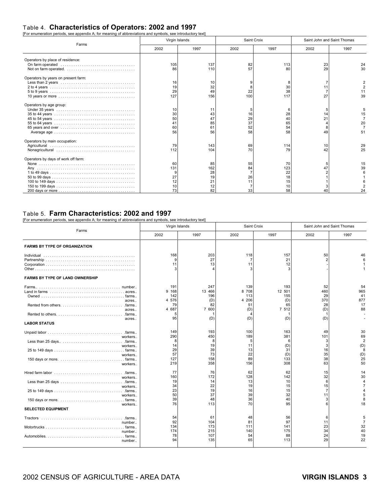## Table 4. **Characteristics of Operators: 2002 and 1997** [For enumeration periods, see appendix A; for meaning of abbreviations and symbols, see introductory text]

|                                     | Virgin Islands                    |                                         |                            | Saint Croix                 | Saint John and Saint Thomas |                |  |  |
|-------------------------------------|-----------------------------------|-----------------------------------------|----------------------------|-----------------------------|-----------------------------|----------------|--|--|
| Farms                               | 2002                              | 1997                                    | 2002                       | 1997                        | 2002                        | 1997           |  |  |
| Operators by place of residence:    | 105<br>86                         | 137<br>110                              | 82<br>57                   | 113<br>80                   | 23<br>29                    | 24<br>30       |  |  |
| Operators by years on present farm: | 16<br>19<br>29<br>127             | 10<br>32<br>49<br>156                   | 22<br>100                  | 30<br>38<br>117             | 27                          | 11<br>39       |  |  |
| Operators by age group:             | 10<br>30<br>50<br>41<br>60<br>56  | 11<br>43<br>47<br>85<br>61<br>56        | 16<br>29<br>37<br>52<br>58 | 28<br>65<br>54<br>58        | 14<br>21<br>49              | 15<br>20<br>51 |  |  |
| Operators by main occupation:       | 79<br>112                         | 143<br>104                              | 69<br>70                   | 114<br>79                   | 10<br>42                    | 29<br>25       |  |  |
| Operators by days of work off farm: | 60<br>131<br>27<br>12<br>10<br>73 | 85<br>162<br>28<br>19<br>21<br>12<br>82 | 55<br>84<br>26<br>11<br>33 | 70<br>123<br>22<br>15<br>58 | 47                          | 15<br>39<br>24 |  |  |

#### Table 5. **Farm Characteristics: 2002 and 1997**

[For enumeration periods, see appendix A; for meaning of abbreviations and symbols, see introductory text]

| Farms                                                                                                                                                                    | Virgin Islands                                         |                                                   |                                                  | Saint Croix                                       | Saint John and Saint Thomas                 |                                                           |  |  |
|--------------------------------------------------------------------------------------------------------------------------------------------------------------------------|--------------------------------------------------------|---------------------------------------------------|--------------------------------------------------|---------------------------------------------------|---------------------------------------------|-----------------------------------------------------------|--|--|
|                                                                                                                                                                          | 2002                                                   | 1997                                              | 2002                                             | 1997                                              | 2002                                        | 1997                                                      |  |  |
| <b>FARMS BY TYPE OF ORGANIZATION</b>                                                                                                                                     |                                                        |                                                   |                                                  |                                                   |                                             |                                                           |  |  |
| Individual                                                                                                                                                               | 168<br>9<br>11<br>3                                    | 203<br>27<br>13                                   | 118<br>$\overline{7}$<br>11                      | 157<br>21<br>12                                   | 50                                          | 46                                                        |  |  |
| <b>FARMS BY TYPE OF LAND OWNERSHIP</b>                                                                                                                                   |                                                        |                                                   |                                                  |                                                   |                                             |                                                           |  |  |
| Farms<br>Land in farms $\dots\dots\dots\dots\dots\dots\dots\dots\dots\dots\dots$ acres.<br>acres<br>.farms<br>acres<br>.farms<br>acres<br><b>LABOR STATUS</b>            | 191<br>9 168<br>142<br>4 576<br>79<br>4 687<br>5<br>95 | 247<br>13 466<br>196<br>(D)<br>82<br>7 600<br>(D) | 139<br>8 708<br>113<br>4 206<br>51<br>(D)<br>(D) | 193<br>12 501<br>155<br>(D)<br>65<br>7 512<br>(D) | 52<br>460<br>29<br>370<br>28<br>(D)<br>(D)  | 54<br>965<br>41<br>877<br>17<br>88                        |  |  |
| workers<br>workers<br>workers<br>workers                                                                                                                                 | 149<br>290<br>8<br>14<br>29<br>57<br>127<br>219        | 193<br>450<br>8<br>19<br>39<br>73<br>158<br>358   | 100<br>189<br>5<br>11<br>13<br>22<br>89<br>156   | 163<br>381<br>6<br>(D)<br>31<br>(D)<br>133<br>308 | 49<br>101<br>3<br>3<br>16<br>35<br>38<br>63 | 30<br>69<br>$\overline{2}$<br>(D)<br>8<br>(D)<br>25<br>50 |  |  |
| Hired farm labor $\ldots \ldots \ldots \ldots \ldots \ldots \ldots \ldots \ldots \ldots$ farms.<br>workers<br>workers<br>workers<br>workers<br><b>SELECTED EQUIPMENT</b> | 77<br>160<br>19<br>34<br>23<br>50<br>39<br>76          | 76<br>172<br>14<br>22<br>19<br>37<br>48<br>113    | 62<br>128<br>13<br>19<br>16<br>39<br>36<br>70    | 62<br>142<br>10<br>15<br>15<br>32<br>40<br>95     | 15<br>32<br>6<br>15<br>7<br>11<br>3<br>հ    | 14<br>30<br>4<br>$\overline{7}$<br>5<br>8<br>18           |  |  |
| number<br>number<br>number                                                                                                                                               | 54<br>92<br>134<br>174<br>78<br>94                     | 61<br>104<br>173<br>215<br>107<br>135             | 48<br>81<br>111<br>140<br>54<br>65               | 56<br>97<br>141<br>175<br>88<br>113               | 6<br>11<br>23<br>34<br>24<br>29             | 5<br>$\overline{7}$<br>32<br>40<br>19<br>22               |  |  |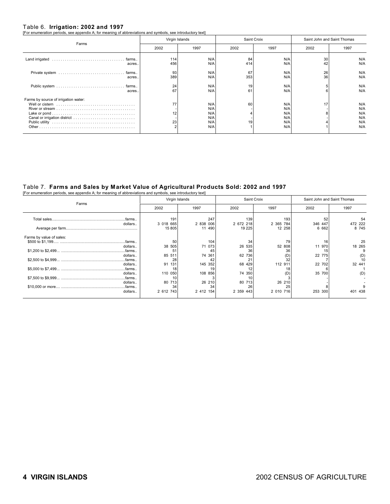Table 6. **Irrigation: 2002 and 1997** [For enumeration periods, see appendix A; for meaning of abbreviations and symbols, see introductory text]

| Farms                                | Virgin Islands |            | Saint Croix |            | Saint John and Saint Thomas |            |  |  |
|--------------------------------------|----------------|------------|-------------|------------|-----------------------------|------------|--|--|
|                                      | 2002           | 1997       | 2002        | 1997       | 2002                        | 1997       |  |  |
| acres.                               | 114<br>456     | N/A<br>N/A | 84<br>414   | N/A<br>N/A | 30<br>42                    | N/A<br>N/A |  |  |
| acres.                               | 93<br>389      | N/A<br>N/A | 67<br>353   | N/A<br>N/A | 26<br>36                    | N/A<br>N/A |  |  |
| acres.                               | 24<br>67       | N/A<br>N/A | 19<br>61    | N/A<br>N/A | 6                           | N/A<br>N/A |  |  |
| Farms by source of irrigation water: |                |            |             |            |                             |            |  |  |
|                                      | 77             | N/A        | 60          | N/A        | 17                          | N/A        |  |  |
|                                      |                | N/A<br>N/A |             | N/A        |                             | N/A<br>N/A |  |  |
|                                      | 12             | N/A        |             | N/A<br>N/A |                             | N/A        |  |  |
|                                      | 23             | N/A        | 19          | N/A        |                             | N/A        |  |  |
|                                      |                | N/A        |             | N/A        |                             | N/A        |  |  |

### Table 7. **Farms and Sales by Market Value of Agricultural Products Sold: 2002 and 1997** [For enumeration periods, see appendix A; for meaning of abbreviations and symbols, see introductory text]

|                          |           | Virgin Islands |           | Saint Croix | Saint John and Saint Thomas |         |  |  |  |
|--------------------------|-----------|----------------|-----------|-------------|-----------------------------|---------|--|--|--|
| Farms                    | 2002      | 1997           | 2002      | 1997        | 2002                        | 1997    |  |  |  |
| .farms                   | 191       | 247            | 139       | 193         |                             | 54      |  |  |  |
| dollars                  | 3 018 665 | 2 838 006      | 2 672 218 | 2 365 784   | 346 447                     | 472 222 |  |  |  |
|                          | 15 805    | 11 490         | 19 2 25   | 12 258      | 6 662                       | 8 7 4 5 |  |  |  |
| Farms by value of sales: |           |                |           |             |                             |         |  |  |  |
|                          | 50        | 104            | 34        | 79          | 16                          | 25      |  |  |  |
| dollars                  | 38 505    | 71 073         | 535<br>26 | 52 808      | 11 970                      | 18 265  |  |  |  |
|                          | 51        | 45             | 36        |             | 15                          |         |  |  |  |
| dollars                  | 85 511    | 74 361         | 62 736    | (D)         | 22 775                      | (D)     |  |  |  |
|                          | 28        | 42             | 2.        |             |                             | 10      |  |  |  |
| dollars                  | 91<br>131 | 145 352        | 68<br>429 | 112 911     | 22 702                      | 32 441  |  |  |  |
|                          | 18        | 19             |           |             |                             |         |  |  |  |
| dollars                  | 110 050   | 108 856        | 74 350    | (D)         | 35 700                      | (D)     |  |  |  |
|                          | 10        |                |           |             |                             |         |  |  |  |
| dollars                  | 80 713    | 26 210         | 80 713    | 26 210      |                             |         |  |  |  |
|                          | 34        | 34             | 26        |             |                             |         |  |  |  |
| dollars                  | 2 612 743 | 2 412 154      | 2 359 443 | 2 010 716   | 253 300                     | 401 438 |  |  |  |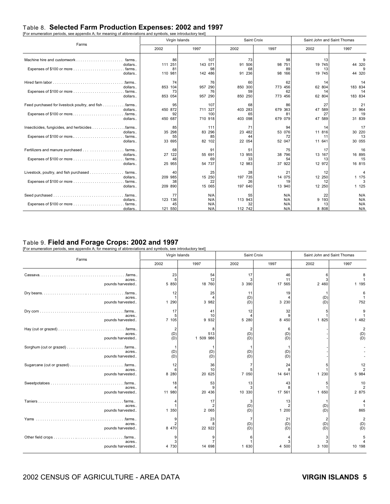## Table 8. **Selected Farm Production Expenses: 2002 and 1997** [For enumeration periods, see appendix A; for meaning of abbreviations and symbols, see introductory text]

| or channolatori portodo, ooo apportant h, for moaning or abbiteriations and eyimpole, ooo introductivity tont | Virgin Islands           |                     |                          | Saint Croix              | Saint John and Saint Thomas |                          |
|---------------------------------------------------------------------------------------------------------------|--------------------------|---------------------|--------------------------|--------------------------|-----------------------------|--------------------------|
| Farms                                                                                                         | 2002                     | 1997                | 2002                     | 1997                     | 2002                        | 1997                     |
| farms<br>dollars                                                                                              | 86                       | 107<br>143 071      | 73<br>506<br>91          | 98<br>98 751             | 13<br>19 745                | 9                        |
| dollars                                                                                                       | 111 251<br>81<br>110 981 | 98<br>142 486       | 68<br>236<br>91          | 89<br>98<br>166          | 13<br>19 745                | 44 320<br>9<br>44 320    |
| Hired farm labor $\ldots \ldots \ldots \ldots \ldots \ldots \ldots \ldots \ldots$<br>.farms                   | 74                       | 76                  | 60                       | 62                       | 14                          | 14                       |
| dollars                                                                                                       | 853 104<br>73            | 957 290<br>76       | 850 300<br>59<br>850 250 | 773 456<br>62<br>773 456 | 62 804<br>14                | 183 834<br>14<br>183 834 |
| dollars<br>Feed purchased for livestock poultry, and fish farms                                               | 853 054<br>95            | 957 290<br>107      | 68                       | 86                       | 62 804<br>27                | 21                       |
| dollars                                                                                                       | 450 872<br>92            | 711 327<br>100      | 403 283<br>65            | 679 363<br>81            | 47 589<br>27                | 31 964<br>19             |
| dollars                                                                                                       | 450 687                  | 710 918             | 403 098                  | 679 079                  | 47 589                      | 31 839                   |
| Insecticides, fungicides, and herbicides<br>farms<br>dollars<br>. farms                                       | 85<br>35 298<br>55       | 111<br>83 296<br>85 | 71<br>23<br>482<br>44    | 94<br>53 076<br>72       | 14<br>11 816<br>11          | 17<br>30 220<br>13       |
| dollars                                                                                                       | 33 695                   | 82 102              | 22 054                   | 52 047                   | 11 641                      | 30 055                   |
| Fertilizers and manure purchased<br>. farms<br>dollars                                                        | 68<br>27 122             | 91<br>55 691        | 51<br>13 955             | 75<br>796<br>38          | 17<br>13 167                | 16<br>16 895             |
| dollars                                                                                                       | 46<br>25 955             | 69<br>54 737        | 33<br>12 983             | 54<br>922<br>37          | 13<br>12 972                | 15<br>16 815             |
| Livestock, poultry, and fish purchased<br>. farms<br>dollars                                                  | 40<br>209 985            | 25<br>15 250        | 28<br>735<br>197         | 21<br>14 075             | 12<br>12 250                | 4<br>1 175               |
| dollars                                                                                                       | 38<br>209 890            | 22<br>15 065        | 26<br>197<br>640         | 19<br>13 940             | 12<br>12 250                | 1 1 2 5                  |
| . .farms                                                                                                      | 77                       | N/A                 | 55                       | N/A                      | 22                          | N/A                      |
| dollars<br>dollars.                                                                                           | 123 136<br>45<br>121 550 | N/A<br>N/A<br>N/A   | 113 943<br>32<br>112 742 | N/A<br>N/A<br>N/A        | 9 193<br>13<br>8 8 0 8      | N/A<br>N/A<br>N/A        |

### Table 9. **Field and Forage Crops: 2002 and 1997**

nbols, see introductory text]

| or onamoration ponoad, oud appointment is not modifing or approvidable and sympold, oud marodoury toxi | Virgin Islands               |                       |                    | Saint Croix        | Saint John and Saint Thomas           |                                        |  |
|--------------------------------------------------------------------------------------------------------|------------------------------|-----------------------|--------------------|--------------------|---------------------------------------|----------------------------------------|--|
| Farms                                                                                                  | 2002                         | 1997                  | 2002               | 1997               | 2002                                  | 1997                                   |  |
| . .farms.<br>acres<br>pounds harvested                                                                 | 23<br>5<br>5 8 5 0           | 54<br>12<br>18 760    | 17<br>3<br>3 3 9 0 | 46<br>11<br>17 565 | 6<br>3<br>2 460                       | 1 195                                  |  |
| acres<br>pounds harvested                                                                              | 12<br>1 290                  | 25<br>3 982           | 11<br>(D)<br>(D)   | 19<br>3 2 3 0      | (D)<br>(D)                            | 6<br>752                               |  |
| acres.<br>pounds harvested                                                                             | 17<br>5<br>7 105             | 41<br>10<br>9 9 3 2   | 12<br>5 280        | 32<br>8 450        | 5<br>1 825                            | 9<br>1 482                             |  |
| acres<br>pounds harvested                                                                              | $\overline{2}$<br>(D)<br>(D) | 8<br>513<br>1 509 986 | 2<br>(D)<br>(D)    | 6<br>(D)<br>(D)    |                                       | $\overline{2}$<br>$(D)$<br>$(D)$       |  |
| acres<br>pounds harvested                                                                              | (D)<br>(D)                   | (D)<br>(D)            | (D)<br>(D)         | (D)<br>(D)         |                                       |                                        |  |
| acres<br>pounds harvested                                                                              | 12<br>6<br>8 2 8 0           | 36<br>10<br>20 625    | 7 0 5 0            | 24<br>14 641       | 1 2 3 0                               | 12<br>5 984                            |  |
| acres<br>pounds harvested                                                                              | 18<br>11 980                 | 53<br>20 436          | 13<br>3<br>10 330  | 43<br>17 561       | 5<br>1 650                            | 10<br>$\overline{\mathbf{c}}$<br>2 875 |  |
| . farms<br>acres<br>pounds harvested                                                                   | 1 350                        | 17<br>2 0 6 5         | 3<br>(D)<br>(D)    | 13<br>1 200        | (D)<br>(D)                            | 865                                    |  |
| acres<br>pounds harvested                                                                              | 9<br>8 470                   | 23<br>22 922          | 7<br>(D)<br>(D)    | 21<br>(D)<br>(D)   | $\overline{\mathbf{c}}$<br>(D)<br>(D) | $\overline{2}$<br>(D)<br>(D)           |  |
| acres<br>pounds harvested                                                                              | 4 730                        | 14 698                | 1 630              | 4 500              | 3<br>3<br>3 100                       | 10 198                                 |  |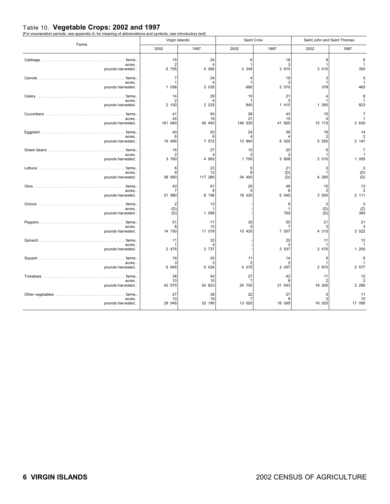Table 10. **Vegetable Crops: 2002 and 1997** [For enumeration periods, see appendix A; for meaning of abbreviations and symbols, see introductory text]

| Farms                     | Virgin Islands               |                                 |                | Saint Croix        | Saint John and Saint Thomas       |                                        |
|---------------------------|------------------------------|---------------------------------|----------------|--------------------|-----------------------------------|----------------------------------------|
|                           | 2002                         | 1997                            | 2002           | 1997               | 2002                              | 1997                                   |
|                           | 15                           | 24                              | 6              | 18                 | 9                                 | 6                                      |
| acres.                    | $\overline{2}$               | $\overline{4}$                  | $\overline{1}$ | 3                  | 1                                 | $\mathbf{1}$                           |
| pounds harvested          | 6 755                        | 4 260                           | 3 3 4 5        | 3 9 1 0            | 3 4 1 0                           | 350                                    |
|                           | $\overline{7}$               | 24                              | $\overline{4}$ | 19                 | 3                                 | 5                                      |
| acres                     | $\overline{1}$               | $\overline{4}$                  | $\mathbf{1}$   | З                  | $\mathbf{1}$                      | $\mathbf{1}$                           |
| pounds harvested          | 1 0 5 8                      | 3 0 3 5                         | 680            | 2 570              | 378                               | 465                                    |
| acres<br>pounds harvested | 14<br>2<br>2 100             | 29<br>$\overline{4}$<br>2 2 3 3 | 10<br>840      | 21<br>3<br>1 410   | 4<br>$\mathbf{1}$<br>1 260        | 8<br>$\mathbf{1}$<br>823               |
|                           | 41                           | 50                              | 26             | 43                 | 15                                | $\overline{7}$                         |
| acres                     | 24                           | 16                              | 21             | 15                 | 4                                 | $\mathbf{1}$                           |
| pounds harvested          | 161 640                      | 45 450                          | 146 525        | 41 820             | 15 115                            | 3 6 3 0                                |
| acres<br>pounds harvested | 40<br>6<br>19 495            | 50<br>6<br>7 572                | 24<br>13 940   | 36<br>4<br>5 4 2 5 | 16<br>$\overline{2}$<br>5 5 5 5 5 | 14<br>$\overline{\mathbf{c}}$<br>2 147 |
|                           | 16                           | 27                              | 10             | 20                 | 6                                 | $\overline{7}$                         |
| acres.                    | $\overline{2}$               | Δ                               | $\overline{2}$ | 3                  | 1                                 | 1                                      |
| pounds harvested          | 3 760                        | 4 9 6 3                         | 1 750          | 3 908              | 2 0 1 0                           | 1 0 5 5                                |
|                           | 8                            | 23                              | 5              | 21                 | 3                                 | $\overline{\mathbf{c}}$                |
| acres                     | 9                            | 12                              | 8              | (D)                | $\mathbf{1}$                      | (D)                                    |
| pounds harvested          | 38 660                       | 117 290                         | 34 400         | (D)                | 4 260                             | (D)                                    |
|                           | 40                           | 61                              | 25             | 48                 | 15                                | 13                                     |
| acres                     | -7                           | 8                               | 5              | 6                  | $\overline{2}$                    | $\boldsymbol{2}$                       |
| pounds harvested          | 21 980                       | 8 156                           | 18 430         | 6 045              | 3 550                             | 2 111                                  |
| acres<br>pounds harvested | $\overline{2}$<br>(D)<br>(D) | 12<br>-1<br>1 0 9 5             |                | 9<br>-1<br>700     | 2<br>(D)<br>(D)                   | $\frac{3}{(Z)}$<br>395                 |
|                           | 51                           | 71                              | 30             | 50                 | 21                                | 21                                     |
| acres                     | 8                            | 10                              | 5              | 7                  | 3                                 | 3                                      |
| pounds harvested          | 14 750                       | 11 079                          | 10 435         | 7 557              | 4 3 1 5                           | 3 5 2 2                                |
|                           | 11                           | 32                              |                | 20                 | 11                                | 12                                     |
| acres.                    | -1                           | $\overline{4}$                  |                | 3                  | 1                                 | $\mathbf{1}$                           |
| pounds harvested          | 2 475                        | 3 7 3 7                         |                | 2 5 3 7            | 2 475                             | 1 200                                  |
|                           | 16                           | 20                              | 11             | 14                 | 5                                 | 6                                      |
| acres                     | 3                            | 3                               | $\overline{2}$ | 2                  | 1                                 | $\mathbf{1}$                           |
| pounds harvested          | 6 9 4 5                      | 5 0 3 4                         | 4 0 7 5        | 2 457              | 2 870                             | 2 577                                  |
|                           | 38                           | 54                              | 27             | 42                 | 11                                | 12                                     |
| acres                     | 10                           | 10                              | $\overline{7}$ | 8                  | $\overline{2}$                    | $\overline{\mathbf{c}}$                |
| pounds harvested          | 42 975                       | 24 823                          | 24 730         | 21 543             | 18 245                            | 3 2 8 0                                |
|                           | 27                           | 38                              | 22             | 27                 | 5                                 | 11                                     |
| acres                     | 10                           | 19                              | $\overline{7}$ | 9                  | $\overline{2}$                    | 10                                     |
| pounds harvested          | 29 045                       | 33 190                          | 13 025         | 16 095             | 16 020                            | 17 095                                 |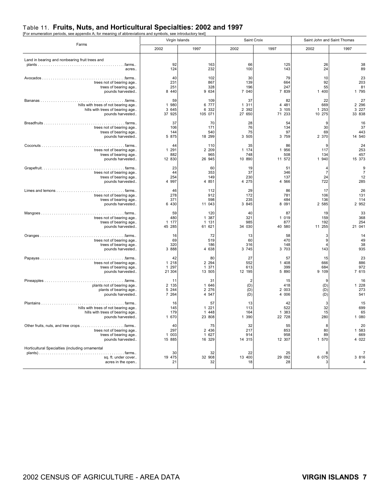### Table 11. **Fruits, Nuts, and Horticultural Specialties: 2002 and 1997**

| [For enumeration periods, see appendix A; for meaning of abbreviations and symbols, see introductory text] |  |
|------------------------------------------------------------------------------------------------------------|--|
|                                                                                                            |  |
|                                                                                                            |  |
|                                                                                                            |  |

| Farms                                                                                       | Virgin Islands             |                             |                          | Saint Croix                 | Saint John and Saint Thomas      |                                                    |
|---------------------------------------------------------------------------------------------|----------------------------|-----------------------------|--------------------------|-----------------------------|----------------------------------|----------------------------------------------------|
|                                                                                             | 2002                       | 1997                        | 2002                     | 1997                        | 2002                             | 1997                                               |
| Land in bearing and nonbearing fruit trees and<br>acres.                                    | 92<br>124                  | 163<br>232                  | 66<br>100                | 125<br>143                  | 26<br>24                         | 38<br>89                                           |
|                                                                                             | 40                         | 102                         | 30                       | 79                          | 10                               | 23                                                 |
| trees not of bearing age                                                                    | 231                        | 867                         | 139                      | 664                         | 92                               | 203                                                |
| trees of bearing age                                                                        | 251                        | 328                         | 196                      | 247                         | 55                               | 81                                                 |
| pounds harvested                                                                            | 8 4 4 0                    | 9 634                       | 7 040                    | 7 839                       | 1 400                            | 1 7 9 5                                            |
|                                                                                             | 59                         | 109                         | 37                       | 82                          | 22                               | 27                                                 |
| hills with trees of not bearing age                                                         | 1 980                      | 6 777                       | 1 311                    | 4 4 8 1                     | 669                              | 2 2 9 6                                            |
| hills with trees of bearing age                                                             | 3 645                      | 6 3 3 2                     | 2 3 9 2                  | 3 105                       | 1 253                            | 3 2 2 7                                            |
| pounds harvested                                                                            | 37 925                     | 105 071                     | 27 650                   | 71 233                      | 10 275                           | 33 838                                             |
|                                                                                             | 37                         | 70                          | 28                       | 54                          | <b>q</b>                         | 16                                                 |
| trees not of bearing age                                                                    | 106                        | 171                         | 76                       | 134                         | 30                               | 37                                                 |
| trees of bearing age                                                                        | 144                        | 540                         | 75                       | 97                          | 69                               | 443                                                |
| pounds harvested                                                                            | 5 875                      | 18 299                      | 3 505                    | 3 7 5 9                     | 2 370                            | 14 540                                             |
|                                                                                             | 44                         | 110                         | 35                       | 86                          | 9                                | 24                                                 |
| trees not of bearing age                                                                    | 1 2 9 1                    | 2 2 0 9                     | 1 174                    | 1 956                       | 117                              | 253                                                |
| trees of bearing age                                                                        | 882                        | 965                         | 748                      | 508                         | 134                              | 457                                                |
| pounds harvested                                                                            | 12 830                     | 26 945                      | 10 890                   | 11 572                      | 1 940                            | 15 373                                             |
| trees not of bearing age<br>trees of bearing age<br>pounds harvested                        | 23<br>44<br>254<br>4 9 9 7 | 60<br>353<br>149<br>4 8 5 1 | 19<br>37<br>230<br>4 275 | 51<br>346<br>137<br>4 5 6 6 | 4<br>$\overline{7}$<br>24<br>722 | $\begin{array}{c} 9 \\ 7 \end{array}$<br>12<br>285 |
|                                                                                             | 46                         | 112                         | 29                       | 86                          | 17                               | 26                                                 |
| trees not of bearing age                                                                    | 278                        | 912                         | 172                      | 781                         | 106                              | 131                                                |
| trees of bearing age                                                                        | 371                        | 598                         | 235                      | 484                         | 136                              | 114                                                |
| pounds harvested                                                                            | 6 4 3 0                    | 11 043                      | 3 8 4 5                  | 8 0 9 1                     | 2 585                            | 2 9 5 2                                            |
|                                                                                             | 59                         | 120                         | 40                       | 87                          | 19                               | 33                                                 |
| trees not of bearing age                                                                    | 480                        | 1 387                       | 321                      | 1 0 1 9                     | 159                              | 368                                                |
| trees of bearing age                                                                        | 1 177                      | 1 131                       | 985                      | 877                         | 192                              | 254                                                |
| pounds harvested                                                                            | 45 285                     | 61 621                      | 34 030                   | 40 580                      | 11 255                           | 21 041                                             |
|                                                                                             | 16                         | 72                          | 13                       | 58                          | 3                                | 14                                                 |
| trees not of bearing age                                                                    | 69                         | 519                         | 60                       | 470                         | $\boldsymbol{9}$                 | 49                                                 |
| trees of bearing age                                                                        | 320                        | 186                         | 316                      | 148                         | 4                                | 38                                                 |
| pounds harvested                                                                            | 3 8 8 8                    | 4 638                       | 3 7 4 5                  | 3 703                       | 143                              | 935                                                |
|                                                                                             | 42                         | 80                          | 27                       | 57                          | 15                               | 23                                                 |
| trees not of bearing age                                                                    | 1 2 1 8                    | 2 2 9 4                     | 552                      | 1 408                       | 666                              | 886                                                |
| trees of bearing age                                                                        | 1 2 9 7                    | 1 371                       | 613                      | 399                         | 684                              | 972                                                |
| pounds harvested                                                                            | 21 304                     | 13 505                      | 12 195                   | 5 890                       | 9 10 9                           | 7 615                                              |
|                                                                                             | 11                         | 31                          | $\overline{2}$           | 15                          | 9                                | 16                                                 |
| plants not of bearing age                                                                   | 2 135                      | 1 646                       | (D)                      | 418                         | (D)                              | 1 2 2 8                                            |
| plants of bearing age                                                                       | 5 2 4 4                    | 2 2 7 6                     | (D)                      | 2 003                       | (D)                              | 273                                                |
| pounds harvested                                                                            | 7 2 6 4                    | 4 5 4 7                     | (D)                      | 4 006                       | (D)                              | 541                                                |
|                                                                                             | 16                         | 57                          | 13                       | 42                          | 3                                | 15                                                 |
| hills with trees of not bearing age                                                         | 145                        | 1 2 2 1                     | 113                      | 522                         | 32                               | 699                                                |
| hills with trees of bearing age                                                             | 179                        | 1 448                       | 164                      | 1 383                       | 15                               | 65                                                 |
| pounds harvested                                                                            | 1 670                      | 23 808                      | 1 390                    | 22 728                      | 280                              | 1 080                                              |
|                                                                                             | 40                         | 75                          | 32                       | 55                          | 8                                | 20                                                 |
| trees not of bearing age                                                                    | 297                        | 2 4 3 6                     | 217                      | 853                         | 80                               | 1 583                                              |
| trees of bearing age                                                                        | 1 003                      | 1 627                       | 914                      | 958                         | 89                               | 669                                                |
| pounds harvested                                                                            | 15 885                     | 16 329                      | 14 315                   | 12 307                      | 1 570                            | 4 0 2 2                                            |
| Horticultural Specialties (including ornamental<br>sq. ft. under cover<br>acres in the open | 30<br>19 475<br>21         | 32<br>32 908<br>32          | 22<br>13 400<br>18       | 25<br>29 092<br>28          | 8<br>6 075<br>3                  | $\overline{7}$<br>3 8 1 6                          |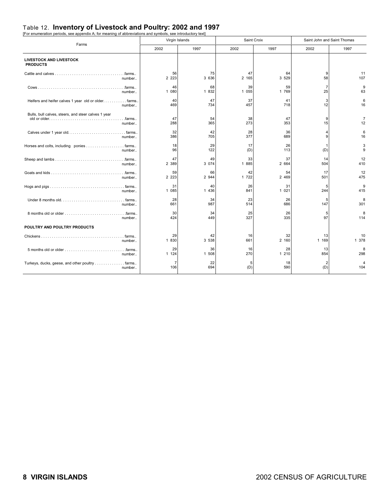## Table 12. **Inventory of Livestock and Poultry: 2002 and 1997** [For enumeration periods, see appendix A; for meaning of abbreviations and symbols, see introductory text]

|                                                                                | Virgin Islands |             |             | Saint Croix |                      | Saint John and Saint Thomas |
|--------------------------------------------------------------------------------|----------------|-------------|-------------|-------------|----------------------|-----------------------------|
| Farms                                                                          | 2002           | 1997        | 2002        | 1997        | 2002                 | 1997                        |
| <b>LIVESTOCK AND LIVESTOCK</b><br><b>PRODUCTS</b>                              |                |             |             |             |                      |                             |
|                                                                                | 56             | 75          | 47          | 64          | 9                    | 11                          |
| number                                                                         | 2 2 2 3        | 3 636       | 2 165       | 3 5 2 9     | 58                   | 107                         |
| . .farms<br>number                                                             | 46<br>1 080    | 68<br>1 832 | 39<br>1 055 | 59<br>1 769 | $\overline{7}$<br>25 | 9<br>63                     |
| Heifers and heifer calves 1 year old or older. farms.                          | 40             | 47          | 37          | 41          | 3                    | 6                           |
| number                                                                         | 469            | 734         | 457         | 718         | 12                   | 16                          |
| Bulls, bull calves, steers, and steer calves 1 year                            |                |             |             |             |                      |                             |
|                                                                                | 47             | 54          | 38          | 47          | 9                    | $\overline{7}$              |
| number                                                                         | 288            | 365         | 273         | 353         | 15                   | 12                          |
|                                                                                | 32             | 42          | 28          | 36          | $\overline{4}$       | 6                           |
| number                                                                         | 386            | 705         | 377         | 689         | 9                    | 16                          |
| Horses and colts, including ponies farms                                       | 18             | 29          | 17          | 26          | 1                    | 3                           |
| number                                                                         | 96             | 122         | (D)         | 113         | (D)                  | 9                           |
|                                                                                | 47             | 49          | 33          | 37          | 14                   | 12                          |
| number                                                                         | 2 389          | 3 0 7 4     | 1 885       | 2 664       | 504                  | 410                         |
|                                                                                | 59             | 66          | 42          | 54          | 17                   | 12                          |
| number                                                                         | 2 2 2 3        | 2 944       | 1 722       | 2 4 6 9     | 501                  | 475                         |
|                                                                                | 31             | 40          | 26          | 31          | 5                    | 9                           |
| number                                                                         | 1 085          | 1 4 3 6     | 841         | 1 0 2 1     | 244                  | 415                         |
|                                                                                | 28             | 34          | 23          | 26          | 5                    | 8                           |
| number                                                                         | 661            | 987         | 514         | 686         | 147                  | 301                         |
|                                                                                | 30             | 34          | 25          | 26          | 5                    | 8                           |
| number                                                                         | 424            | 449         | 327         | 335         | 97                   | 114                         |
| POULTRY AND POULTRY PRODUCTS                                                   |                |             |             |             |                      |                             |
|                                                                                | 29             | 42          | 16          | 32          | 13                   | 10                          |
| number                                                                         | 1 830          | 3 5 38      | 661         | 2 160       | 1 169                | 1 378                       |
| $5$ months old or older $\dots\dots\dots\dots\dots\dots\dots\dots\dots$ farms. | 29             | 36          | 16          | 28          | 13                   | 8                           |
| number                                                                         | 1 1 2 4        | 1 508       | 270         | 1 210       | 854                  | 298                         |
| Turkeys, ducks, geese, and other poultry<br>. . farms<br>number                | 7<br>106       | 22<br>694   | 5<br>(D)    | 18<br>590   | (D)                  | 4<br>104                    |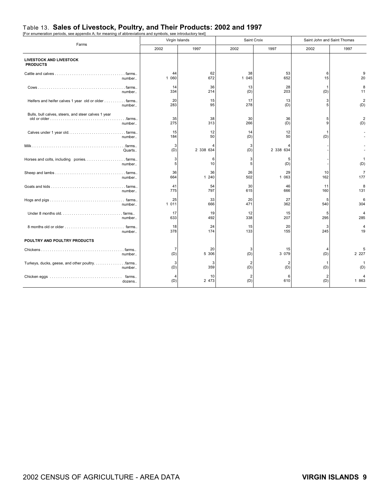## Table 13. **Sales of Livestock, Poultry, and Their Products: 2002 and 1997** [For enumeration periods, see appendix A; for meaning of abbreviations and symbols, see introductory text]

| Farms                                                         | Virgin Islands |             |                | Saint Croix    | Saint John and Saint Thomas |                       |
|---------------------------------------------------------------|----------------|-------------|----------------|----------------|-----------------------------|-----------------------|
|                                                               | 2002           | 1997        | 2002           | 1997           | 2002                        | 1997                  |
| <b>LIVESTOCK AND LIVESTOCK</b><br><b>PRODUCTS</b>             |                |             |                |                |                             |                       |
|                                                               | 44             | 62          | 38             | 53             | 6                           | 9                     |
| number                                                        | 1 060          | 672         | 1 045          | 652            | 15                          | 20                    |
|                                                               | 14             | 36          | 13             | 28             | $\mathbf{1}$                | 8                     |
| number                                                        | 334            | 214         | (D)            | 203            | (D)                         | 11                    |
| Heifers and heifer calves 1 year old or older farms           | 20             | 15          | 17             | 13             | 3                           | $\overline{2}$        |
| number                                                        | 283            | 95          | 278            | (D)            | 5                           | (D)                   |
| Bulls, bull calves, steers, and steer calves 1 year<br>number | 35<br>275      | 38<br>313   | 30<br>266      | 36<br>(D)      | 5<br>9                      | $\overline{2}$<br>(D) |
|                                                               | 15             | 12          | 14             | 12             | $\mathbf{1}$                |                       |
| number                                                        | 184            | 50          | (D)            | 50             | (D)                         |                       |
| Quarts                                                        | 3<br>(D)       | 2 338 634   | 3<br>(D)       | 2 338 634      |                             |                       |
| Horses and colts, including ponies farms                      | 3              | 6           | 3              | 5              |                             | 1                     |
| number                                                        | 5              | 10          | 5              | (D)            |                             | (D)                   |
|                                                               | 36             | 36          | 26             | 29             | 10                          | $\overline{7}$        |
| number                                                        | 664            | 1 240       | 502            | 1 063          | 162                         | 177                   |
|                                                               | 41             | 54          | 30             | 46             | 11                          | 8                     |
| number                                                        | 775            | 797         | 615            | 666            | 160                         | 131                   |
|                                                               | 25             | 33          | 20             | 27             | 5                           | 6                     |
| number                                                        | 1 011          | 666         | 471            | 362            | 540                         | 304                   |
|                                                               | 17             | 19          | 12             | 15             | 5                           | 4                     |
| number                                                        | 633            | 492         | 338            | 207            | 295                         | 285                   |
|                                                               | 18             | 24          | 15             | 20             | 3                           | 4                     |
| number                                                        | 378            | 174         | 133            | 155            | 245                         | 19                    |
| POULTRY AND POULTRY PRODUCTS                                  |                |             |                |                |                             |                       |
|                                                               | $\overline{7}$ | 20          | 3              | 15             | (D)                         | 5                     |
| number                                                        | (D)            | 5 306       | (D)            | 3 0 7 9        |                             | 2 2 2 7               |
| Turkeys, ducks, geese, and other poultryfarms                 | 3              | 3           | $\overline{2}$ | $\overline{2}$ | 1                           | (D)                   |
| number                                                        | (D)            | 359         | (D)            | (D)            | (D)                         |                       |
| farms<br>dozens                                               | (D)            | 10<br>2 473 | (D)            | 6<br>610       | $\overline{c}$<br>(D)       | 1 863                 |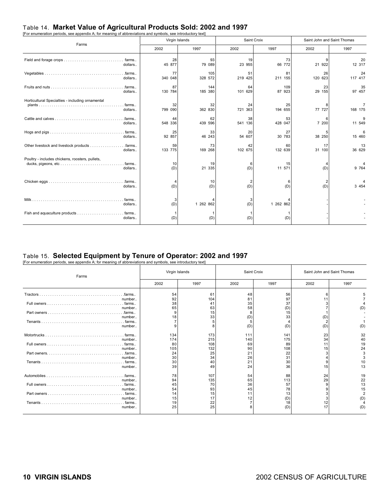## Table 14. **Market Value of Agricultural Products Sold: 2002 and 1997** [For enumeration periods, see appendix A; for meaning of abbreviations and symbols, see introductory text]

| Farms                                                                  | Virgin Islands               |                |               | Saint Croix   | Saint John and Saint Thomas |               |
|------------------------------------------------------------------------|------------------------------|----------------|---------------|---------------|-----------------------------|---------------|
|                                                                        | 2002                         | 1997           | 2002          | 1997          | 2002                        | 1997          |
| dollars                                                                | 28<br>45 877                 | 93<br>79 089   | 19<br>23 955  | 73<br>66 772  | 21 922                      | 20<br>12 317  |
| . .farms<br>dollars                                                    | 77<br>340 048                | 105<br>328 572 | 51<br>219 425 | 81<br>211 155 | 26<br>120 623               | 24<br>117 417 |
| . .farms<br>dollars                                                    | 87<br>130 784                | 144<br>185 380 | 64<br>101 629 | 109<br>87 923 | 23<br>29 155                | 35<br>97 457  |
| Horticultural Specialties - including ornamental<br>. farms<br>dollars | 32<br>799 090                | 32<br>362 830  | 24<br>721 363 | 25<br>194 655 | 77 727                      | 168 175       |
| .farms<br>dollars                                                      | 44<br>548 336                | 62<br>439 596  | 38<br>541 136 | 53<br>428 047 | 6<br>7 200                  | 9<br>11 549   |
| $. .$ farms $. .$<br>dollars                                           | 25<br>92 857                 | 33<br>46 243   | 20<br>54 607  | 27<br>30 783  | 38 250                      | 15 460        |
| dollars                                                                | 59<br>133 775                | 73<br>169 268  | 42<br>102 675 | 60<br>132 639 | 17<br>31 100                | 13<br>36 629  |
| Poultry - includes chickens, roosters, pullets,<br>dollars             | 10<br>(D)                    | 19<br>21 335   | 6<br>(D)      | 15<br>11 571  | (D)                         | 9 7 64        |
| dollars                                                                | $\boldsymbol{\Delta}$<br>(D) | 10<br>(D)      | (D)           | (D)           | (D)                         | 3 4 5 4       |
| dollars                                                                | 3<br>(D)                     | 1 262 862      | 3<br>(D)      | 1 262 862     |                             |               |
| . farms<br>dollars                                                     | (D)                          | (D)            | (D)           | (D)           |                             |               |

## Table 15. **Selected Equipment by Tenure of Operator: 2002 and 1997** [For enumeration periods, see appendix A; for meaning of abbreviations and symbols, see introductory text]

| Farms                                                                                              | Virgin Islands |            | Saint Croix |            | Saint John and Saint Thomas |                       |
|----------------------------------------------------------------------------------------------------|----------------|------------|-------------|------------|-----------------------------|-----------------------|
|                                                                                                    | 2002           | 1997       | 2002        | 1997       | 2002                        | 1997                  |
| . .farms<br>number                                                                                 | 54<br>92       | 61<br>104  | 48<br>81    | 56<br>97   | 6                           |                       |
| . farms<br>number                                                                                  | 38<br>65       | 41<br>63   | 35<br>58    | 37<br>(D)  |                             | (D)                   |
| number                                                                                             | 9<br>18        | 15<br>33   | (D)         | 15<br>33   | (D)                         |                       |
| . farms<br>number                                                                                  | q              |            | (D)         | (D)        | (D)                         | (D)                   |
| . farms<br>number                                                                                  | 134<br>174     | 173<br>215 | 111<br>140  | 141<br>175 | 23<br>34                    | 32<br>40              |
| . farms<br>number                                                                                  | 80<br>105      | 108<br>132 | 69<br>90    | 89<br>108  | 15                          | 19<br>24              |
| Part owners. $\dots \dots \dots \dots \dots \dots \dots \dots \dots \dots \dots$ . farms<br>number | 24<br>30       | 25<br>34   | 21<br>26    | 22<br>31   |                             | 3                     |
| . farms<br>number                                                                                  | 30<br>39       | 40<br>49   | 21<br>24    | 30<br>36   | 15                          | 10<br>13              |
| . .farms<br>number                                                                                 | 78<br>94       | 107<br>135 | 54<br>65    | 88<br>113  | 24<br>29                    | 19<br>22              |
| number                                                                                             | 45<br>54       | 70<br>93   | 36<br>45    | 57<br>78   | 9                           | 13<br>15              |
| . farms<br>number                                                                                  | 14<br>15       | 15<br>17   | 11<br>12    | 13<br>(D)  |                             | $\overline{2}$<br>(D) |
| $. .$ farms $. .$<br>number                                                                        | 19<br>25       | 22<br>25   |             | 18<br>(D)  | 12<br>17                    | (D)                   |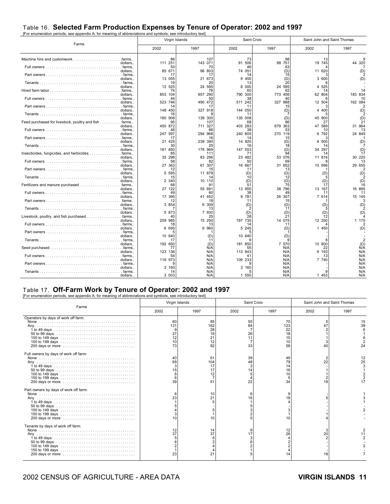### Table 16. **Selected Farm Production Expenses by Tenure of Operator: 2002 and 1997** [For enumeration periods, see appendix A; for meaning of abbreviations and symbols, see introductory text]

| r or chanciation penous, see appenaix A, for meaning or abbieviations and symbols, see introductory text | Virgin Islands |               | Saint Croix     |               | Saint John and Saint Thomas |               |
|----------------------------------------------------------------------------------------------------------|----------------|---------------|-----------------|---------------|-----------------------------|---------------|
| Farms                                                                                                    | 2002           | 1997          | 2002            | 1997          | 2002                        | 1997          |
|                                                                                                          | 86             | 107           | 73              | 98            | 13                          |               |
| dollars                                                                                                  | 111 251<br>50  | 143 071<br>70 | 506<br>91<br>46 | 98 751<br>63  | 19 745                      | 44 320        |
| dollars                                                                                                  | 85 671         | 96 803        | 74 051<br>14    | (D)           | 11 620                      | (D)           |
| dollars                                                                                                  | 13 055         | 21 673        | 9 455           | (D)           | 3 600                       |               |
| dollars                                                                                                  | 19<br>12 525   | 20<br>24 595  | 13<br>8 000     | 24 595        | 4 525                       |               |
|                                                                                                          | 74             | 76            | 60              |               |                             |               |
| dollars                                                                                                  | 853 104<br>44  | 957 290<br>50 | 790 300<br>38   | 773 456<br>40 | 62 804                      | 183 834<br>10 |
| dollars                                                                                                  | 523 746<br>14  | 490 472<br>17 | 511 242<br>11   | 327 988<br>15 | 12 504                      | 162 084       |
| dollars                                                                                                  | 148 450        | 327 918       | 144 050         | (D)           | 4 400                       | (D)           |
| dollars                                                                                                  | 16<br>180 908  | 139 300       | 11<br>135 008   | (D)           | 45 900                      | (D)           |
| Feed purchased for livestock, poultry and fish farms                                                     | 95             | 107           | 68              |               | 27                          | 21            |
| dollars                                                                                                  | 450 872<br>48  | 711 327<br>66 | 403 283         | 679 363       | 47 589<br>10                | 31 964<br>13  |
| dollars                                                                                                  | 247 597<br>17  | 294 968<br>16 | 240 805<br>14   | 270 119<br>15 | 6 792                       | 24 849        |
| dollars                                                                                                  | 21 425         | 239 390       | 14 925          | (D)           | 6 500                       | (D)           |
| dollars                                                                                                  | 30<br>181 850  | 176 969       | 16<br>147 553   | (D            | 34 297                      |               |
| Insecticides, fungicides, and herbicides farms                                                           | 85             | 111           | 71              |               | 14                          |               |
| dollars                                                                                                  | 35 298<br>58   | 83 296<br>82  | 23 482<br>50    | 53 076<br>69  | 11 816                      | 30 220<br>-13 |
| dollars                                                                                                  | 27 363<br>12   | 61 307<br>15  | 16 667<br>11    | 31 652<br>13  | 10 696                      | 29 655        |
| dollars                                                                                                  | 5 5 9 5        | 11 879        | (D)             | (D)           | (D)                         | (D)           |
| dollars                                                                                                  | 15<br>2 3 4 0  | 14<br>10 110  | 10<br>(D)       | (D)           | (D)                         | (D)           |
|                                                                                                          | 68             | 91            | 51              |               |                             | 16            |
| dollars<br>. . farms                                                                                     | 27 122<br>49   | 55 691<br>60  | 13 955<br>38    | 38 796<br>49  | 13 167<br>11                | 16 895<br>11  |
| dollars                                                                                                  | 17 395<br>12   | 41 452<br>18  | 9 781<br>11     | 26 307<br>15  | 7 614                       | 15 145        |
| dollars                                                                                                  | 3 854          | 6<br>309      | (D)             | (D'           | (D)                         | (D)           |
| dollars                                                                                                  | 5 873          | 13<br>7 930   | (D)             | (D)           | (D)                         | (D)           |
| dollars                                                                                                  | 40<br>209 985  | 25<br>15 250  | 28<br>197 735   | 14 075        | 12 250                      | 1 175         |
|                                                                                                          | 18             | 13            | 14              | 11            |                             |               |
| dollars                                                                                                  | 6 6 9 5        | 6 960         | 5 2 4 5         | (D)           | 1 450                       | (D)           |
| dollars                                                                                                  | 10 640         | (D'           | 10 640          | (D)           |                             |               |
| dollars                                                                                                  | 17<br>192 650  | (D)           | 181 850         | 7 570         | 10 800                      | (D)           |
| dollars                                                                                                  | 77<br>123 136  | N/A<br>N/A    | 55<br>113 943   | N/A<br>N/A    | 22<br>9 193                 | N/A<br>N/A    |
|                                                                                                          | 54             | N/A           |                 | N/A           | 13                          | N/A           |
| dollars                                                                                                  | 116 973        | N/A<br>N/A    | 109 233         | N/A<br>N/A    | 7 740                       | N/A<br>N/A    |
| dollars                                                                                                  | 3 160          | N/A           | 3 160           | N/A           |                             | N/A           |
| . farms<br>dollars                                                                                       | 14<br>3 003    | N/A<br>N/A    | 1 550           | N/A<br>N/A    | 1 453                       | N/A<br>N/A    |

### Table 17. **Off-Farm Work by Tenure of Operator: 2002 and 1997** [For enumeration periods, see appendix A; for meaning of abbreviations and symbols, see introductory text]

|                                       | Virgin Islands        |                                         |                            | Saint Croix                             | Saint John and Saint Thomas |                |
|---------------------------------------|-----------------------|-----------------------------------------|----------------------------|-----------------------------------------|-----------------------------|----------------|
| Farms                                 | 2002                  | 1997                                    | 2002                       | 1997                                    | 2002                        | 1997           |
| Operators by days of work off farm:   | 60<br>131<br>27<br>73 | 85<br>162<br>28<br>19<br>21<br>12<br>82 | 55<br>84<br>26<br>11<br>33 | 70<br>123<br>22<br>18<br>15<br>10<br>58 | 40                          | 15<br>39<br>24 |
| Full owners by days of work off farm: | 40<br>69<br>39        | -61<br>104<br>17<br>17<br>12<br>51      | 39<br>48<br>14<br>22       | 49<br>79<br>14<br>16<br>10<br>34        | 22                          | 12<br>25<br>17 |
| Part owners by days of work off farm: | 23                    | 10<br>21                                |                            | 10                                      |                             |                |
| Tenants by days of work off farm:     | 37<br>23              | 14<br>37<br>21                          |                            | 26                                      | 20<br>18                    | 11             |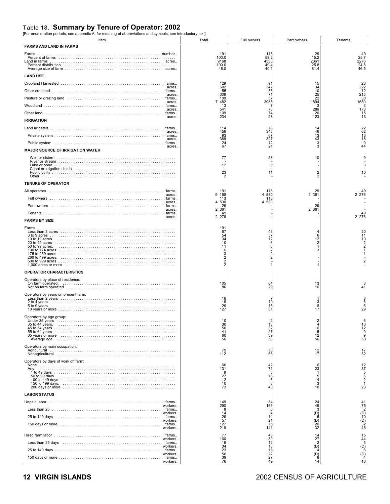### Table 18. **Summary by Tenure of Operator: 2002** [For enumeration periods, see appendix A; for meaning of abbreviations and symbols, see introductory text]

| Item<br><b>FARMS AND LAND IN FARMS</b>                                                                                                                                                                                                                                                                                                                | Total                              | Full owners                            | Part owners                                  | Tenants                                |
|-------------------------------------------------------------------------------------------------------------------------------------------------------------------------------------------------------------------------------------------------------------------------------------------------------------------------------------------------------|------------------------------------|----------------------------------------|----------------------------------------------|----------------------------------------|
| Farms                                                                                                                                                                                                                                                                                                                                                 | 191                                | 113                                    | 29                                           | 49                                     |
| Percent of farms entertainment of the contract of farms of the contract of farms and the contract of the contract of the contract of the contract of the contract of the contract of the contract of the contract of the contr<br>Land in farms                                                                                                       | 100.0<br>9168<br>100.0<br>48.0     | 59.2<br>4530<br>49.4<br>40.1           | 15.2<br>2361<br>25.8<br>81.4                 | 25.7<br>2276<br>24.8<br>46.5           |
| <b>LAND USE</b>                                                                                                                                                                                                                                                                                                                                       |                                    |                                        |                                              |                                        |
| acres.                                                                                                                                                                                                                                                                                                                                                | 129<br>602                         | 91<br>347                              | 15<br>34                                     | $\frac{23}{222}$                       |
| acres.                                                                                                                                                                                                                                                                                                                                                | 55<br>309                          | 33<br>71                               | 10<br>25                                     | $\frac{12}{213}$                       |
| acres.                                                                                                                                                                                                                                                                                                                                                | 109<br>7 482                       | 57<br>3938                             | 22<br>1894                                   | 30<br>1650                             |
| acres.                                                                                                                                                                                                                                                                                                                                                | 13<br>541<br>109                   | 78<br>74                               | 286<br>20                                    | 3<br>178                               |
| acres.<br><b>IRRIGATION</b>                                                                                                                                                                                                                                                                                                                           | 234                                | 98                                     | 123                                          | $\frac{15}{13}$                        |
|                                                                                                                                                                                                                                                                                                                                                       | 114                                | 78<br>348                              | 14                                           |                                        |
| acres.                                                                                                                                                                                                                                                                                                                                                | 456<br>93                          | 67                                     | 46<br>13                                     | 22<br>62<br>13<br>13<br>18             |
| acres.<br>acres.                                                                                                                                                                                                                                                                                                                                      | 389<br>24<br>67                    | 327<br>12<br>21                        | 43<br>3<br>3                                 | 9<br>44                                |
| <b>MAJOR SOURCE OF IRRIGATION WATER</b>                                                                                                                                                                                                                                                                                                               |                                    |                                        |                                              |                                        |
|                                                                                                                                                                                                                                                                                                                                                       | 77                                 | 58                                     | 10                                           |                                        |
|                                                                                                                                                                                                                                                                                                                                                       | 12                                 | 9                                      |                                              |                                        |
|                                                                                                                                                                                                                                                                                                                                                       | 23                                 | 11                                     |                                              | 10                                     |
| <b>TENURE OF OPERATOR</b>                                                                                                                                                                                                                                                                                                                             |                                    |                                        |                                              |                                        |
| acres.                                                                                                                                                                                                                                                                                                                                                | 191<br>9 168                       | 113<br>530<br>4                        | $\begin{array}{c} 29 \\ 2 \ 361 \end{array}$ | 49<br>2 2 7 6                          |
| Full owners<br>acres                                                                                                                                                                                                                                                                                                                                  | 113<br>4 530                       | 113<br>4 5 3 0                         |                                              |                                        |
| Part owners<br>acres<br>. farms                                                                                                                                                                                                                                                                                                                       | 29<br>2 3 6 1<br>49                |                                        | 29<br>2 361                                  | 49                                     |
| acres<br><b>FARMS BY SIZE</b>                                                                                                                                                                                                                                                                                                                         | 2 2 7 6                            |                                        |                                              | 2 2 7 6                                |
| Farms                                                                                                                                                                                                                                                                                                                                                 | 191                                |                                        |                                              |                                        |
|                                                                                                                                                                                                                                                                                                                                                       | 67<br>54                           | 43<br>37                               | 6                                            | $^{20}_{11}$                           |
|                                                                                                                                                                                                                                                                                                                                                       | 34<br>10<br>11                     | 12<br>6                                | 12<br>$\overline{2}$                         | 10<br>2                                |
|                                                                                                                                                                                                                                                                                                                                                       | 6<br>3                             | $\frac{8}{2}$                          |                                              |                                        |
|                                                                                                                                                                                                                                                                                                                                                       |                                    |                                        |                                              |                                        |
| <b>OPERATOR CHARACTERISTICS</b>                                                                                                                                                                                                                                                                                                                       |                                    |                                        |                                              |                                        |
| Operators by place of residence:                                                                                                                                                                                                                                                                                                                      |                                    |                                        |                                              |                                        |
|                                                                                                                                                                                                                                                                                                                                                       | 105<br>86                          | 84<br>$\overline{29}$                  | $\frac{13}{16}$                              | 41                                     |
| Operators by years on present farm:                                                                                                                                                                                                                                                                                                                   | 16                                 |                                        |                                              |                                        |
|                                                                                                                                                                                                                                                                                                                                                       | 19                                 | 10<br>15                               | 8                                            | 6<br>6                                 |
|                                                                                                                                                                                                                                                                                                                                                       | $^{29}_{127}$                      | 81                                     | 17                                           | 29                                     |
| Operators by age group:<br>Under 35 vears                                                                                                                                                                                                                                                                                                             | 30                                 | 13                                     | 4                                            | O                                      |
|                                                                                                                                                                                                                                                                                                                                                       | 50<br>41                           | 32                                     | 6<br>5                                       | $\frac{13}{12}$<br>9                   |
| 65 years or more <i>witch the content of the content of the series</i> of the content of the content of the content of the content of the content of the content of the content of the content of the content of the content of the<br>Average age in the contract of the contract of the contract of the contract of the contract of the contract of | 60<br>56                           | $\frac{27}{39}$<br>58                  | 12<br>56                                     | 9<br>50                                |
| Operators by main occupation:                                                                                                                                                                                                                                                                                                                         |                                    |                                        |                                              |                                        |
|                                                                                                                                                                                                                                                                                                                                                       | 79<br>112                          | 50<br>63                               | 12<br>17                                     | 17<br>32                               |
| Operators by days of work off farm:                                                                                                                                                                                                                                                                                                                   | 60                                 | 42                                     | 6                                            | 12                                     |
| Any.                                                                                                                                                                                                                                                                                                                                                  | 131<br>-9                          | 71<br>3                                | 23<br>$\overline{1}$                         | $\frac{37}{5}$                         |
|                                                                                                                                                                                                                                                                                                                                                       | $\frac{27}{12}$                    | $\begin{array}{c} 16 \\ 6 \end{array}$ | 5                                            | 6<br>$\overline{2}$                    |
|                                                                                                                                                                                                                                                                                                                                                       | 10<br>73                           | 6<br>40                                | 3<br>10                                      | 23                                     |
| <b>LABOR STATUS</b>                                                                                                                                                                                                                                                                                                                                   |                                    |                                        |                                              |                                        |
| workers.                                                                                                                                                                                                                                                                                                                                              | 149<br>290                         | 84<br>166                              | $^{24}_{49}$                                 |                                        |
| workers.                                                                                                                                                                                                                                                                                                                                              | 14                                 |                                        | 3<br>$\overline{10}$<br>5                    |                                        |
| workers.                                                                                                                                                                                                                                                                                                                                              | 29<br>57<br>127                    | 14<br>21<br>75                         | $\binom{D}{20}$<br>32                        | 41<br>75<br>2<br>(D)<br>10<br>32<br>46 |
| workers.                                                                                                                                                                                                                                                                                                                                              | 219                                | 141                                    |                                              |                                        |
| workers                                                                                                                                                                                                                                                                                                                                               | 77<br>160                          | 48<br>$^{89}_{12}$                     | 14<br>$\frac{27}{2}$                         | $15$<br>$44$<br>$5$                    |
| Less than 25 days<br>workers.                                                                                                                                                                                                                                                                                                                         | 19                                 | 18<br>13                               | (D)                                          | $\overrightarrow{D_6}$                 |
| workers.                                                                                                                                                                                                                                                                                                                                              | $\frac{34}{23}$<br>$\frac{50}{39}$ | $\frac{22}{27}$                        | $\binom{D}{8}$                               | $\overline{P_4}$                       |
| workers.                                                                                                                                                                                                                                                                                                                                              | 76                                 | 49                                     | 14                                           | 13                                     |

#### **12 VIRGIN ISLANDS** 2002 CENSUS OF AGRICULTURE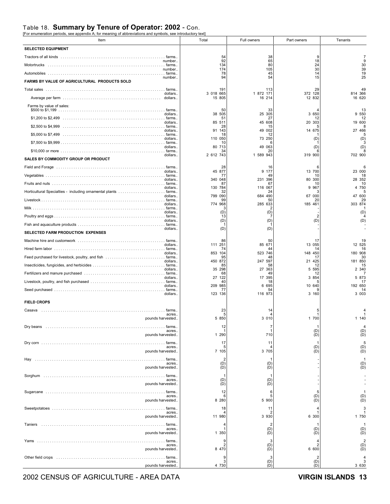### Table 18. **Summary by Tenure of Operator: 2002** - Con.<br>[For enumeration periods, see appendix A; for meaning of abbreviations and symbols, see introductory text]

| Item                                                                                                  | Total                     | Full owners           | Part owners           | Tenants                                        |
|-------------------------------------------------------------------------------------------------------|---------------------------|-----------------------|-----------------------|------------------------------------------------|
| <b>SELECTED EQUIPMENT</b>                                                                             |                           |                       |                       |                                                |
|                                                                                                       | 54                        | 38                    | 9                     | $\overline{7}$<br>9                            |
| number<br>Motortrucks                                                                                 | 92<br>134                 | 65<br>80              | 18<br>24              | 30                                             |
| number                                                                                                | 174<br>78                 | 105<br>45             | 30<br>14              | 39<br>19                                       |
| number<br>FARMS BY VALUE OF AGRICULTURAL PRODUCTS SOLD                                                | 94                        | 54                    | 15                    | 25                                             |
|                                                                                                       | 191                       | 113                   | 29                    |                                                |
| dollars.                                                                                              | 3 018 665<br>15 805       | 1 872 171<br>16 214   | 372 128<br>12 832     | 814 366<br>16 620                              |
| Farms by value of sales:                                                                              |                           |                       |                       |                                                |
| dollars                                                                                               | 50<br>38<br>505           | 33<br>25 305          | 3 650                 | 13<br>9 550                                    |
| dollars.                                                                                              | 51<br>85<br>511           | 27<br>45 608          | 12<br>20 303          | 12<br>19 600                                   |
| dollars.                                                                                              | 28<br>91<br>143           | 15<br>49 002          | 14 675                | 27 466                                         |
| dollars.                                                                                              | 18<br>110 050             | 12<br>73 250          | (D)                   | (D)                                            |
| dollars.                                                                                              | 10<br>80 713              | 49 063                | (D)                   | (D)                                            |
| dollars.                                                                                              | 34<br>2 612 743           | 20<br>1 589 943       | 319 900               | 702 900                                        |
| SALES BY COMMODITY GROUP OR PRODUCT                                                                   |                           |                       |                       |                                                |
| Field and Forage (and according to the control of the control of the control of the farms.<br>dollars | 28<br>45 877              | 16<br>9 177           | 13 700                | 23 000                                         |
| dollars.                                                                                              | $\prime\prime$<br>340 048 | 49<br>231 396         | 10<br>80 300          | 18<br>28 352                                   |
| dollars.                                                                                              | 87<br>130 784             | 67<br>116 067         | 10<br>9 9 6 7         | 10<br>4 750                                    |
| dollars.                                                                                              | 32<br>799 090             | 24<br>684 490         | 67 000                | 47 600                                         |
| dollars.                                                                                              | 99<br>774 968             | 50<br>285 633         | 20<br>185 461         | 29<br>303 874                                  |
| dollars.                                                                                              | (D)                       | (D)                   |                       | (D)                                            |
| dollars                                                                                               | 13<br>(D)                 | (D)                   | (D)                   | (D)                                            |
|                                                                                                       |                           |                       |                       |                                                |
| dollars.<br>SELECTED FARM PRODUCTION EXPENSES                                                         | (D)                       | (D)                   |                       |                                                |
| dollars                                                                                               | 86<br>111<br>251          | 50<br>85 671          | 17<br>13 055          | 12 525                                         |
|                                                                                                       | 74                        | 44                    | 14                    | 16                                             |
| dollars.                                                                                              | 853 104<br>95             | 523 746<br>48         | 148 450<br>17         | 180 908<br>30                                  |
| dollars.                                                                                              | 450 872<br>85             | 247 597<br>58         | 21 425<br>12          | 181 850<br>15                                  |
| dollars                                                                                               | 35<br>298<br>68           | 27<br>363<br>49       | 5 5 9 5<br>12         | 2 340                                          |
| dollars                                                                                               | 27<br>122<br>40           | 17 395<br>18          | 3 8 5 4               | 5 873<br>17                                    |
| dollars                                                                                               | 209 985<br>77             | 6 695<br>54           | 10 640                | 192 650<br>14                                  |
| dollars.                                                                                              | 123 136                   | 116 973               | 3 160                 | 3 003                                          |
| <b>FIELD CROPS</b>                                                                                    |                           |                       |                       |                                                |
| Casava<br>. farms.<br>acres.                                                                          | 23                        | 14                    |                       |                                                |
| pounds harvested                                                                                      | 5 850                     | 3 0 1 0               | 1 700                 | 1 140                                          |
| acres.                                                                                                | 12                        | 7                     | (D)                   | $\overline{4}$<br>(D)                          |
| pounds harvested                                                                                      | 1 290                     | 710                   | (D)                   | (D)                                            |
| acres.                                                                                                | 17<br>5                   | 11                    | (D)                   | 5<br>(D)<br>(D)                                |
| pounds harvested                                                                                      | 7 105                     | 3 7 0 5               | (D)                   |                                                |
| . farms<br>Hay<br>acres.                                                                              | $\overline{2}$<br>(D)     | (D)                   |                       | $\begin{array}{c} 1 \\ (D) \\ (D) \end{array}$ |
| pounds harvested                                                                                      | (D)                       | (D)                   |                       |                                                |
| acres.                                                                                                | -1<br>(D)                 | (D)                   |                       |                                                |
| pounds harvested                                                                                      | (D)                       | (D)                   |                       |                                                |
| acres                                                                                                 | 12<br>6                   | 6<br>5                | 5<br>(D)              | $\mathbf{1}$<br>(D)                            |
| pounds harvested                                                                                      | 8 2 8 0                   | 5 900                 | (D)                   | (D)                                            |
| acres.                                                                                                | 18                        | 11<br>2               |                       | 3                                              |
| pounds harvested                                                                                      | 11 980                    | 3 9 3 0               | 6 300                 | 1 750                                          |
| farms<br>Taniers<br>acres.                                                                            |                           | $\overline{2}$<br>(D) | (D)                   | $\mathbf{1}$<br>(D)                            |
| pounds harvested                                                                                      | 1 350                     | (D)                   | (D)                   | (D)                                            |
| Yams<br>farms<br>acres.                                                                               | 9                         | 3<br>(D)              | 4<br>$\overline{c}$   | $\begin{array}{c} 2 \\ (D) \\ (D) \end{array}$ |
| pounds harvested                                                                                      | 8 470                     | (D)                   | 6 600                 |                                                |
| Other field crops<br>. farms<br>acres.                                                                | 9<br>3                    | 3<br>(D)              | $\overline{2}$<br>(D) | 3                                              |
| pounds harvested                                                                                      | 4 730                     | (D)                   | (D)                   | 3 6 3 0                                        |

2002 CENSUS OF AGRICULTURE - AREA DATA **VIRGIN ISLANDS 13**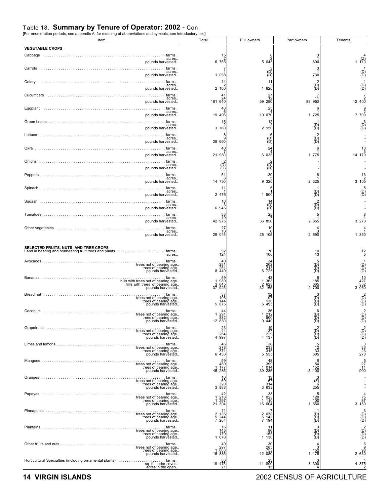#### Table 18. **Summary by Tenure of Operator: 2002** - Con.<br>**IFor enumeration periods, see appendix A:** for meaning of abbreviations and symbols, see introductory to for meaning of abbreviations and symbols, see introductory te

Item Total Full owners Part owners Tenants **VEGETABLE CROPS** Cabbage .. ... ... ... ... ... ... ... ... ... ... ... ... ... ... ... ... ... ... . farms.. acres.. pounds harvested.. Carrots .. ... ... ... ... ... ... ... ... ... ... ... ... ... ... ... ... ... ... ... farms.. acres.. pounds harvested.. Celery .. ... ... ... ... ... ... ... ... ... ... ... ... ... ... ... ... ... ... ... farms.. acres.. pounds harvested.. Cucumbers .. ... ... ... ... ... ... ... ... ... ... ... ... ... ... ... ... ... . . farms.. acres.. pounds harvested.. Eggplant .. ... ... ... ... ... ... ... ... ... ... ... ... ... ... ... ... ... ... . farms.. acres.. pounds harvested.. Green beans ... ... ... ... ... ... ... ... ... ... ... ... ... ... ... ... ... ... farms.. acres.. pounds harvested.. Lettuce .. ... ... ... ... ... ... ... ... ... ... ... ... ... ... ... ... ... ... ... farms.. farms.<br>acres. pounds harvested.. Okra .. ... ... ... ... ... ... ... ... ... ... ... ... ... ... ... ... ... ... ... . . farms.. acres.. pounds harvested.. Onions .. ... ... ... ... ... ... ... ... ... ... ... ... ... ... ... ... ... ... ... farms.. acres.. pounds harvested.. Peppers .. ... ... ... ... ... ... ... ... ... ... ... ... ... ... ... ... ... ... . . farms.. acres.. pounds harvested.. Spinach .. ... ... ... ... ... ... ... ... ... ... ... ... ... ... ... ... ... ... . . farms.. acres.. pounds harvested.. Squash .. ... ... ... ... ... ... ... ... ... ... ... ... ... ... ... ... ... ... . . farms.. acres.. pounds harvested.. Tomatoes .. ... ... ... ... ... ... ... ... ... ... ... ... ... ... ... ... ... ... . farms.. acres.. pounds harvested.. Other vegetables ... ... ... ... ... ... ... ... ... ... ... ... ... ... ... ... ... farms.. acres.. pounds harvested.. **SELECTED FRUITS, NUTS, AND TREE CROPS**<br>Land in bearing and nonbearing fruit trees and plants Land in bearing and nonbearing fruit trees and plants . . . . . . . . . . . . . . . . . . . . . . . farms.. acres.. Avocados ... ... ... ... ... ... ... ... ... ... ... ... ... ... ... ... ... ... ... farms.. trees not of bearing age.. trees of bearing age.. pounds harvested.. Bananas ... ... ... ... ... ... ... ... ... ... ... ... ... ... ... ... ... ... ... . farms.. hills with trees not of bearing age.. hills with trees of bearing age.. pounds harvested.. Breadfruit ... ... ... ... ... ... ... ... ... ... ... ... ... ... ... ... ... ... ... farms.. trees not of bearing age.. trees of bearing age.. pounds harvested.. Coconuts ... ... ... ... ... ... ... ... ... ... ... ... ... ... ... ... ... ... ... farms.. trees not of bearing age.. trees of bearing age.. pounds harvested.. Grapefruits ... ... ... ... ... ... ... ... ... ... ... ... ... ... ... ... ... ... . . farms.. trees not of bearing age.. trees of bearing age.. pounds harvested.. Limes and lemons . ... ... ... ... ... ... ... ... ... ... ... ... ... ... ... ... . . farms.. trees not of bearing age.. trees of bearing age.. pounds harvested.. Mangoes ... ... ... ... ... ... ... ... ... ... ... ... ... ... ... ... ... ... ... . farms.. trees not of bearing age.. trees of bearing age.. pounds harvested.. Oranges ... ... ... ... ... ... ... ... ... ... ... ... ... ... ... ... ... ... ... . farms.. trees not of bearing age.. trees of bearing age.. pounds harvested.. Papayas ... ... ... ... ... ... ... ... ... ... ... ... ... ... ... ... ... ... ... . farms.. trees not of bearing age.. trees of bearing age.. pounds harvested.. Pineapples ... ... ... ... ... ... ... ... ... ... ... ... ... ... ... ... ... ... . . farms.. trees not of bearing age.. trees of bearing age.. pounds harvested.. Plantains ... ... ... ... ... ... ... ... ... ... ... ... ... ... ... ... ... ... ... . farms.. trees not of bearing age.. trees of bearing age.. pounds harvested.. Other fruits and nuts ... ... ... ... ... ... ... ... ... ... ... ... ... ... ... ... . farms.. trees not of bearing age.. trees of bearing age.. pounds harvested.. Horticultural Specialties (including ornamental plants) . . . . . . . . . . . . . . . . . . . . . . farms.. sq. ft. under cover.. acres in the open. 15 2 6 755 7 1 1 058 14 2 2 100 41 24 161 640  $40$ 6 19 495 16 2 3 760 8 9 38 660  $4<sub>0</sub>$ 7 21 980 2 (D) (D)  $5<sup>7</sup>$ 8 14 750 11 1 2 475  $16$ 3 6 945 38 10 42 975 27 10 29 045 92 124 40 231 251  $8\,440$ 59 1 980 3 645 37 925 37 106 144 5 875 44 1 291 882 12 830 23 44 254 4 997 46<br>278<br>371<br>6 430 59 480 1 177 45 285 16 69 320 3 888 42 1 218 1 297 21 304 11 2 135 5 244 7 264 16 145 179 1 670 40 297 1 003 15 885 30 19 475 21 8 2 5 045 3 (D) (D)  $11$ 2 1 820 27 12 59 290 25 4 10 070 12 2 2 950 6 (D) (D) 24 4 6 035 2 (D) (D)  $3<sub>0</sub>$ 5 9 320 5 1 1 500 14 (D) (D) 25 7 36 850 19 6 25 105 70 106 34<br>202<br>213 6<br>725 43 1 368 2 628 32 165 32 97 130 5 495 36<br>1 212<br>500 50<br>9 440 19<br>37<br>229 4<br>137 38<br>233<br>315 55<br>555 5 48 399 1 014 39 285 13 67 314 3 633 33 1 023 1 110 16 604 7 2 078 5 143 7 194 11<br>96<br>155 -<br>130 - 1 30<br>285<br>753<br>12 080 23 11 800 15 3 1 600 3 1 730 2 (D) (D) 7 11 89 950 6 1 1 725 1 (D) (D) 2 (D) (D) 6 1 1 775 - - - 8 1 2 325 1 (D) (D) 2 (D) (D) 5 1 2 855 4 3 2 590 10 13 5 (D) (D) (D) 6 185 665 2 700 3 (D) (D) (D) 6 (D) (D) (D) 2 (D) (D) (D) 5 12 33 605 6<br>54<br>152<br>5 100 3 (Z) 6 255 5<br>120<br>1550<br>1550 1 (D) (D) (D) 3 (D) (D) (D) 4 3 152 1 175 3 3 300 4 4 (Z) 1 110 1 (D) (D) 1 (D) (D) 7 2 12 400 9 2 7 700 3 (D) (D) - - - 10 3 14 170 - - - 13 2 3 105 5 (D) (D) - - - 8 1 3 270 4 1 1 350 12 5 1 (D) (D) (D) 10<br>427<br>352<br>3 060 2 (D) (D) (D) 2 (D) (D) (D) 2 (D) (D) (D) 3 33 23 270 5 27 11 900 - - - - 4<br>75<br>87 3<br>150 3 3 (D) (D) (D) 2 (D) (D) (D) 6<br>98<br>630 2 4 4 375 2

#### **14 VIRGIN ISLANDS** 2002 CENSUS OF AGRICULTURE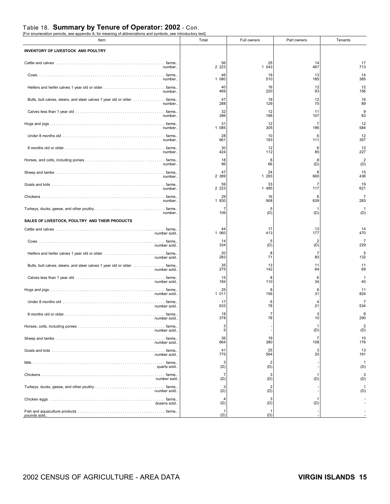## Table 18. **Summary by Tenure of Operator: 2002** - Con.<br>[For enumeration periods, see appendix A; for meaning of abbreviations and symbols, see introductory text]

| Item                                                                    | Total     | Full owners | Part owners          | Tenants        |
|-------------------------------------------------------------------------|-----------|-------------|----------------------|----------------|
| INVENTORY OF LIVESTOCK AND POULTRY                                      |           |             |                      |                |
|                                                                         | 56        | 25          | 14                   | 17             |
| number                                                                  | 2 2 2 3   | 1 043       | 467                  | 713            |
|                                                                         | 46        | 19          | 13                   | 14             |
| number                                                                  | 1 080     | 510         | 185                  | 385            |
|                                                                         | 40        | 16          | 12                   | 12             |
| number                                                                  | 469       | 220         | 93                   | 156            |
| Bulls, bull calves, steers, and steer calves 1 year old or older  farms | 47        | 19          | 12                   | 16             |
| number                                                                  | 288       | 129         | 70                   | 89             |
|                                                                         | 32        | 12          | 11                   | 9              |
| number                                                                  | 386       | 196         | 107                  | 83             |
|                                                                         | 31        | 12          | 7                    | 12             |
| number                                                                  | 1 085     | 305         | 196                  | 584            |
|                                                                         | 28        | 10          | 6                    | 12             |
| number                                                                  | 661       | 193         | 111                  | 357            |
|                                                                         | 30        | -12         | 6                    | 12             |
| number                                                                  | 424       | 112         | 85                   | 227            |
|                                                                         | 18        | 8           | 8                    | $\overline{2}$ |
| number                                                                  | 96        | 66          | (D)                  | (D)            |
|                                                                         | 47        | 24          | 8                    | 15             |
| number                                                                  | 2 389     | 1 293       | 660                  | 436            |
|                                                                         | 59        | 33          | -7                   | 19             |
| number                                                                  | 2 2 2 3   | 1 485       | 117                  | 621            |
|                                                                         | 29        | 16          | 6                    |                |
| number                                                                  | 1 830     | 908         | 639                  | 283            |
|                                                                         | 7         | 5           |                      | -1             |
| number<br>SALES OF LIVESTOCK, POULTRY AND THEIR PRODUCTS                | 106       | (D)         | (D)                  | (D)            |
|                                                                         | 44        | 17          | 13                   | 14             |
| number sold                                                             | 1 060     | 413         | 177                  | 470            |
|                                                                         | -14       | 5           | $\overline{2}$       | 229            |
| number sold                                                             | 334       | (D)         | (D)                  |                |
|                                                                         | 20        | 8           | 7                    | 5              |
| number sold                                                             | 283       | 71          | 80                   | 132            |
|                                                                         | 35        | 13          | 11                   | 11             |
| number sold                                                             | 275       | 142         | 64                   | 69             |
|                                                                         | 15        | 8           | 6                    | 40             |
| number sold                                                             | 184       | 110         | 34                   |                |
|                                                                         | 25        | 8           | 6                    | 11             |
| number sold                                                             | 1 011     | 156         | 31                   | 824            |
|                                                                         | 17<br>633 | 6<br>78     | $\overline{4}$<br>21 | 534            |
| number sold                                                             | 18        | 7<br>78     | 3<br>10              | 8              |
| number sold.                                                            | 378<br>3  |             |                      | 290<br>2       |
| number sold                                                             | 5         | 19          | (D)                  | (D)            |
|                                                                         | 36        |             | 7                    | 10             |
| number sold                                                             | 664       | 380         | 108                  | 176            |
|                                                                         | 41        | 25          | 3                    | 13             |
| number sold                                                             | 775<br>3  | 564<br>2    | 20                   | 191            |
| quarts sold                                                             | (D)       | (D)         |                      | (D)            |
|                                                                         | 7         | 3           |                      | 3              |
| number sold.                                                            | (D)<br>3  | (D)<br>2    | (D)                  | (D)            |
| number sold                                                             | (D)<br>4  | (D)<br>3    |                      | (D)            |
| dozens sold                                                             | (D)       | (D)         | (D)                  |                |
| pounds sold.                                                            | (D)       | (D)         |                      |                |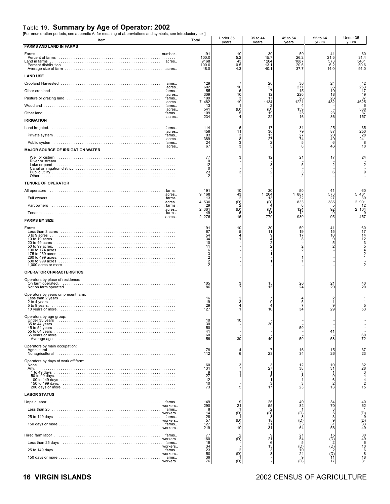### Table 19. **Summary by Age of Operator: 2002** [For enumeration periods, see appendix A; for meaning of abbreviations and symbols, see introductory text]

| $\mu$ or enameration periods, see appendix $\mu$ , for meaning or abbreviations and symbols, see introductor,<br>Item                                                                                                             | וטאי<br>Total                                          | Under 35<br>years             | 35 to 44<br>years                                  | 45 to 54<br>years                             | 55 to 64<br>years                             | Under 35<br>years                     |
|-----------------------------------------------------------------------------------------------------------------------------------------------------------------------------------------------------------------------------------|--------------------------------------------------------|-------------------------------|----------------------------------------------------|-----------------------------------------------|-----------------------------------------------|---------------------------------------|
| <b>FARMS AND LAND IN FARMS</b>                                                                                                                                                                                                    |                                                        |                               |                                                    |                                               |                                               |                                       |
| Farms<br>Land in farms                                                                                                                                                                                                            | 191<br>100.0<br>9168<br>100.0<br>48.0                  | 10<br>5.2<br>43<br>0.5<br>4.3 | 30<br>15.7<br>1204<br>13.1<br>40.1                 | 50<br>26.2<br>1887<br>20.6<br>37.7            | 41<br>21.5<br>573<br>6.2<br>14.0              | 60<br>31.4<br>5461<br>59.6<br>91.0    |
| <b>LAND USE</b>                                                                                                                                                                                                                   |                                                        |                               |                                                    |                                               |                                               |                                       |
| acres.                                                                                                                                                                                                                            | 129<br>602                                             | 10                            | 20<br>23                                           | 36<br>271                                     | 24<br>36                                      | 42<br>263                             |
| acres.                                                                                                                                                                                                                            | 55<br>309                                              | 6<br>10                       |                                                    | 15<br>220                                     | 10<br>18                                      | 17<br>49                              |
| acres.                                                                                                                                                                                                                            | 109<br>7 482                                           | 19                            | $^{12}_{17}$<br>1134                               | 26<br>1221                                    | 26<br>482                                     | 37<br>4625                            |
| acres.                                                                                                                                                                                                                            | 13<br>541                                              | (D)                           | (D)                                                | 159                                           |                                               | 6<br>368                              |
| acres.                                                                                                                                                                                                                            | 109<br>234                                             |                               | 19<br>22                                           | 25<br>16                                      | 23<br>36                                      | 37<br>157                             |
| <b>IRRIGATION</b>                                                                                                                                                                                                                 |                                                        |                               |                                                    |                                               |                                               |                                       |
| acres.                                                                                                                                                                                                                            | 114<br>456                                             | 6<br>11                       | 17<br>$\begin{array}{c} 30 \\ 15 \end{array}$      | $\begin{array}{c} 31 \\ 79 \\ 27 \end{array}$ | $\begin{array}{c} 25 \\ 87 \end{array}$<br>20 | 35<br>250<br>28                       |
| acres.                                                                                                                                                                                                                            | 93<br>389<br>24                                        |                               | 27                                                 | 74                                            | 40<br>-6                                      | 241<br>8                              |
| acres.<br><b>MAJOR SOURCE OF IRRIGATION WATER</b>                                                                                                                                                                                 | 67                                                     |                               | 3                                                  | 6                                             | 46                                            | 10                                    |
|                                                                                                                                                                                                                                   | 77                                                     | з                             | 12                                                 | 21                                            | 17                                            | 24                                    |
|                                                                                                                                                                                                                                   | $\Omega$<br>12<br>0<br>23                              |                               | 3<br>$\overline{2}$                                | 5<br>3                                        | 2                                             |                                       |
| <b>TENURE OF OPERATOR</b>                                                                                                                                                                                                         |                                                        |                               |                                                    |                                               |                                               |                                       |
| All operators in the content of the content of the content of the content of the content of the content of the<br>acres                                                                                                           | 191<br>9<br>168                                        | 10<br>43                      | 30<br>1 204                                        | 50<br>887                                     | 41<br>573<br>27                               | 60<br>5 4 6 1                         |
| acres                                                                                                                                                                                                                             | 113<br>530<br>4                                        | (D)                           | 13<br>(D)                                          | 32<br>833                                     | 385                                           | 39<br>2 901                           |
| Part owners<br>acres                                                                                                                                                                                                              | 29<br>2 3 6 1                                          | (D)                           | (D)                                                | 6<br>124                                      | 5<br>92                                       | 12<br>2 104                           |
| . farms<br>acres<br><b>FARMS BY SIZE</b>                                                                                                                                                                                          | 49<br>2 2 7 6                                          | 16                            | 13<br>779                                          | 12<br>930                                     | 9<br>95                                       | 457                                   |
| Farms                                                                                                                                                                                                                             | 191                                                    | 10                            | 30                                                 | 50                                            | 41                                            | 60                                    |
|                                                                                                                                                                                                                                   | 67<br>54<br>34<br>10<br>11<br>6<br>3<br>$\overline{2}$ |                               | 11<br>9<br>$\overline{4}$<br>2<br>$\overline{2}$   | 19<br>17<br>8<br>$\overline{2}$<br>2          | $\frac{15}{10}$<br>9<br>5<br>$\overline{2}$   | 17<br>14<br>12                        |
| <b>OPERATOR CHARACTERISTICS</b>                                                                                                                                                                                                   |                                                        |                               |                                                    |                                               |                                               |                                       |
| Operators by place of residence:                                                                                                                                                                                                  | 105                                                    | 3                             |                                                    | 26                                            | 21                                            | 40                                    |
|                                                                                                                                                                                                                                   | 86                                                     |                               | $\frac{15}{15}$                                    | 24                                            | 20                                            | 20                                    |
| Operators by years on present farm:                                                                                                                                                                                               | 16<br>19<br>29<br>127                                  |                               | 7<br>9<br>$\overline{4}$<br>10                     | 5<br>34                                       | 9<br>29                                       | 53                                    |
| Operators by age group:<br>Under 35 years                                                                                                                                                                                         | 10                                                     |                               |                                                    |                                               |                                               |                                       |
|                                                                                                                                                                                                                                   | 30<br>50                                               |                               | 30                                                 | 50                                            |                                               |                                       |
| 65 years or more<br>Average age in interaction in the context of the context of the context of the context of the context of the context of the context of the context of the context of the context of the context of the contex | 41<br>60                                               |                               |                                                    |                                               | 41                                            | 60                                    |
| Operators by main occupation:                                                                                                                                                                                                     | 56<br>79<br>112                                        | 30<br>6                       | 40<br>7<br>23                                      | 50<br>$\frac{16}{34}$                         | 58<br>15<br>26                                | 72<br>37<br>23                        |
| Operators by days of work off farm:                                                                                                                                                                                               |                                                        |                               |                                                    |                                               |                                               |                                       |
| Any.                                                                                                                                                                                                                              | 60<br>131<br>$27^9$<br>$\frac{12}{10}$<br>73           | 3                             | $\frac{3}{27}$<br>$\mathbf 1$<br>5<br>1<br>3<br>17 | $\frac{12}{38}$<br>$_8^3$<br>3<br>23          | 10<br>31<br>9<br>$\frac{6}{2}$<br>13          | 32<br>28<br>4<br>$\overline{2}$<br>15 |
| <b>LABOR STATUS</b>                                                                                                                                                                                                               |                                                        |                               |                                                    |                                               |                                               |                                       |
| workers                                                                                                                                                                                                                           | 149<br>290                                             | 21                            | $26$<br>$55$<br>$2$<br>$(D)$                       | 40<br>82                                      | 34<br>70                                      | 40<br>62                              |
| workers                                                                                                                                                                                                                           | 14                                                     | (D)                           |                                                    | (D)                                           | 5                                             | (D)                                   |
| workers<br>workers                                                                                                                                                                                                                | $\frac{29}{57}$<br>127<br>219                          | (D)<br>19                     | 8<br>18<br>$\frac{21}{31}$                         | $\binom{D}{33}$<br>64                         | $\frac{3}{9}$<br>31<br>56                     | 9<br>$\binom{D}{33}$<br>49            |
|                                                                                                                                                                                                                                   | 77                                                     |                               | 9                                                  | $^{21}_{54}$                                  | 15                                            | 30                                    |
| workers<br>Less than 25 days (all contains and container and container all contains and farms<br>workers                                                                                                                          | 160<br>19<br>34                                        | (D)                           | 21<br>6<br>13                                      |                                               | $\binom{D}{2}$                                | 49<br>6<br>10                         |
| workers.                                                                                                                                                                                                                          | $\frac{23}{50}$                                        | (D)                           | 3<br>8                                             | $\overline{10}$<br>24                         | $\overline{P_2}$                              | 6<br>8                                |
| workers.                                                                                                                                                                                                                          | 39<br>76                                               | (D)                           |                                                    | 9<br>(D)                                      | $\overline{11}$<br>17                         | 18<br>31                              |

### **16 VIRGIN ISLANDS** 2002 CENSUS OF AGRICULTURE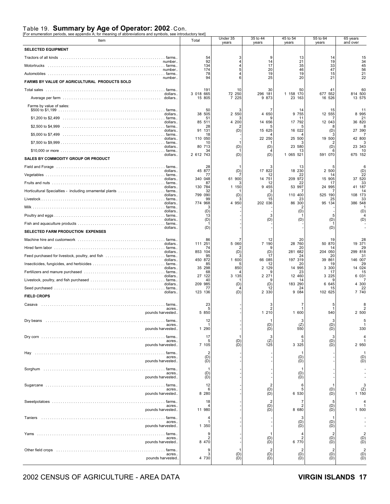### Table 19. **Summary by Age of Operator: 2002** - Con.<br>[For enumeration periods, see appendix A; for meaning of abbreviations and symbols, see introductory text]

| r or enameration penous, see appenaix A, ior meaning or abbreviations and symbols, see introductory text<br>Item | Total                   | Under 35<br>years                      | 35 to 44<br>years                      | 45 to 54<br>years | 55 to 64<br>years | 65 years<br>and over |
|------------------------------------------------------------------------------------------------------------------|-------------------------|----------------------------------------|----------------------------------------|-------------------|-------------------|----------------------|
| <b>SELECTED EQUIPMENT</b>                                                                                        |                         |                                        |                                        |                   |                   |                      |
|                                                                                                                  | 54<br>92                |                                        | 9                                      | 13                | 14                | 15<br>34             |
| number<br>number                                                                                                 | 134<br>174              |                                        | 14<br>17<br>20                         | 21<br>35<br>46    | 19<br>33<br>47    | 45<br>56             |
| number                                                                                                           | 78<br>94                |                                        | 19<br>25                               | 19<br>20          | 15<br>21          | 21<br>22             |
| FARMS BY VALUE OF AGRICULTURAL PRODUCTS SOLD                                                                     |                         |                                        |                                        |                   |                   |                      |
| dollars                                                                                                          | 191<br>3 018 665        | 10<br>72 250                           | 30<br>296 181                          | 50<br>1 158 170   | 41<br>677 552     | 60<br>814 500        |
|                                                                                                                  | 15 805                  | 7 225                                  | 9 873                                  | 23 163            | 16 526            | 13 575               |
| Farms by value of sales:<br>dollars                                                                              | 50<br>38 505            | 2 550                                  | 4 650                                  | 14<br>9 7 5 5     | 15<br>12 555      | 11<br>8 9 9 5        |
| dollars                                                                                                          | 51<br>85 511            | 4 200                                  | 14 656                                 | 17 792            | 12 043            | 21<br>36 820         |
| \$2,500 to \$4,999<br>dollars                                                                                    | 28<br>91 131            | (D)                                    | 15 625                                 | 16 022            | (D)               | 27 390               |
| dollars                                                                                                          | 18<br>110 050           |                                        | 22 250                                 | 25 500            | 19 500            | 42 800               |
| dollars                                                                                                          | 10<br>80 713            | (D)                                    | (D)                                    | 23 580            | (D)               | 23 343               |
| dollars                                                                                                          | 34<br>2 612 743         | (D)                                    | (D)                                    | 13<br>1 065 521   | 591 070           | 10<br>675 152        |
| SALES BY COMMODITY GROUP OR PRODUCT                                                                              |                         |                                        |                                        |                   |                   |                      |
| Field and Forage (and according to the control of the control of the control of the farms.<br>dollars            | 28<br>45 877            | (D)                                    | 17 822                                 | 13<br>18 230      | 2 500             | (D)                  |
| dollars                                                                                                          | 77<br>340 048           | 61 900                                 | 12<br>14 751                           | 22<br>209 972     | 14<br>15 905      | 22<br>37 520         |
| dollars.                                                                                                         | 87<br>130 784           | 1 150                                  | 12<br>9 4 5 5                          | 22<br>53 997      | 17<br>24 995      | 33<br>41 187         |
| dollars.                                                                                                         | 32<br>799 090           | (D)                                    | з<br>(D)                               | 110 400           | 525 190           | -14<br>108 173       |
| dollars                                                                                                          | 99<br>774 968           | 4 950                                  | 15<br>202 036                          | 23<br>86 300      | 25<br>95<br>134   | 33<br>386 548        |
| dollars.                                                                                                         | (D)                     |                                        |                                        | (D)               |                   | (D)                  |
| dollars                                                                                                          | 13<br>(D)               |                                        | 3<br>(D)                               | (D)               | 5<br>(D)          |                      |
| dollars.<br>SELECTED FARM PRODUCTION EXPENSES                                                                    | (D)                     |                                        |                                        |                   | (D)               |                      |
|                                                                                                                  | 86                      |                                        | 12                                     | 20                | 19                | 28                   |
| dollars                                                                                                          | 111 251<br>74           | 5 060                                  | 7 190                                  | 28 760<br>20      | 870<br>50<br>14   | 19 371<br>29         |
| dollars.                                                                                                         | 853 104<br>95           | (D)                                    | (D)<br>17                              | 281 682<br>24     | 204 050<br>20     | 299 818<br>31        |
| dollars.                                                                                                         | 450 872<br>85           | 1 600                                  | 66 085<br>12                           | 197 319<br>20     | 39 861<br>19      | 146 007<br>29        |
| dollars                                                                                                          | 35 298<br>68            | 850                                    | 2 1 2 9                                | 14 995<br>23      | 3 300<br>17       | 14 024<br>15         |
| dollars.                                                                                                         | 27 122<br>40            | 3 135                                  | 2 2 7 1                                | 12 460<br>14      | 3 2 2 5           | 6 0 3 1              |
| dollars.                                                                                                         | 209 985<br>77           | (D)                                    | (D)<br>12                              | 183 290<br>24     | 6 645<br>15       | 4 300<br>22          |
| dollars.<br><b>FIELD CROPS</b>                                                                                   | 123 136                 | (D)                                    | 2 3 3 0                                | 9 0 8 4           | 102 625           | 7 740                |
| Casava                                                                                                           | 23<br>5                 |                                        |                                        |                   |                   |                      |
| acres.<br>pounds harvested.                                                                                      | 5 850                   |                                        | 1 210                                  | 1 600             | 540               | 2 500                |
| Dry beans<br>farms.<br>acres.                                                                                    | 12<br>-1                |                                        | (D)                                    | (Z)               | (D)               |                      |
| pounds harvested                                                                                                 | 1 290                   |                                        | (D)                                    | 550               | (D)               | 330                  |
| acres.                                                                                                           | 17<br>5                 | $\begin{pmatrix} D \\ D \end{pmatrix}$ | 3<br>$\binom{Z}{125}$                  | 6<br>3            | 3<br>(D)          | 4                    |
| pounds harvested.                                                                                                | 7 105                   |                                        |                                        | 3 3 2 5           | (D)               | 2 950                |
| Hay<br>acres.                                                                                                    | $\overline{2}$<br>(D)   |                                        |                                        | (D)               |                   | $(D)$<br>$(D)$       |
| pounds harvested                                                                                                 | (D)                     |                                        |                                        | (D)               |                   |                      |
| acres.<br>pounds harvested.                                                                                      | (D)<br>(D)              |                                        |                                        | (D)<br>(D)        |                   |                      |
| . farms.                                                                                                         | 12                      |                                        | $\overline{2}$                         | 6                 |                   | 3                    |
| acres.<br>pounds harvested                                                                                       | 6<br>8 2 8 0            |                                        | (D)<br>(D)                             | 6 530             | (D)<br>(D)        | $(\frac{z}{1})$      |
| farms.                                                                                                           | 18                      |                                        | $\overline{2}$                         | 7                 | 5                 | $\overline{4}$       |
| acres.<br>pounds harvested                                                                                       | 11 980                  |                                        | $\begin{pmatrix} D \\ D \end{pmatrix}$ | 8 680             | $(D)$<br>$(D)$    | 1 500                |
|                                                                                                                  | 4                       |                                        |                                        | 3                 |                   |                      |
| acres.<br>pounds harvested                                                                                       | 1<br>1 350              |                                        |                                        | (D)<br>(D)        | (D)<br>(D)        |                      |
|                                                                                                                  | 9                       |                                        | -1                                     |                   | $\overline{2}$    | $\overline{2}$       |
| acres.<br>pounds harvested                                                                                       | $\overline{2}$<br>8 470 |                                        | (D)<br>(D)                             | 6 770             | (D)<br>(D)        | $(D)$<br>$(D)$       |
| acres.                                                                                                           | 9<br>3                  |                                        | $\overline{2}$                         | 2                 | $\overline{2}$    | $\overline{2}$       |
| pounds harvested.                                                                                                | 4 730                   | $(D)$<br>$(D)$                         | $(D)$<br>$(D)$                         | (D)<br>(D)        | $(D)$<br>$(D)$    | $(D)$<br>$(D)$       |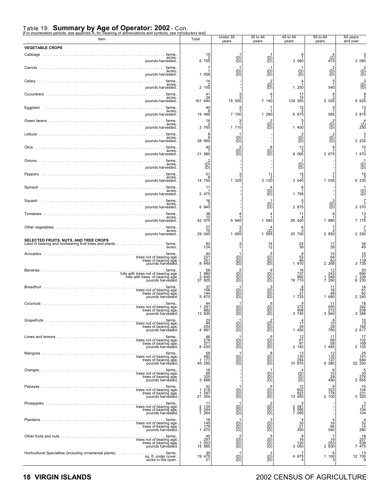### Table 19. **Summary by Age of Operator: 2002** - Con.<br>[For enumeration periods, see appendix A; for meaning of abbreviations and symbols, see introductory text]

| Item                                                                                                                                                               | Total                                                                  | Under 35<br>years                                     | 35 to 44<br>years                                                                      | 45 to 54<br>years                                            | 55 to 64<br>years                                           | 65 years<br>and over                                                          |
|--------------------------------------------------------------------------------------------------------------------------------------------------------------------|------------------------------------------------------------------------|-------------------------------------------------------|----------------------------------------------------------------------------------------|--------------------------------------------------------------|-------------------------------------------------------------|-------------------------------------------------------------------------------|
| <b>VEGETABLE CROPS</b>                                                                                                                                             |                                                                        |                                                       |                                                                                        | 6                                                            |                                                             |                                                                               |
| farms.<br>acres.<br>pounds harvested                                                                                                                               | $\begin{array}{c} 15 \\ 2 \\ 6 \ \ 755 \end{array}$<br>7               | $\overline{B}$                                        | $\overline{\mathcal{B}}$                                                               | 3 060                                                        | $\binom{7}{415}$                                            | 3 080                                                                         |
| acres.<br>pounds harvested                                                                                                                                         | 1 0 5 8                                                                | $\overline{\mathcal{C}}$                              | $\overline{\mathcal{C}}$                                                               | $\left\{ \begin{matrix} D \\ D \end{matrix} \right\}$        | $\overline{D}^2$                                            | (pī<br>∂D                                                                     |
| Celery<br>acres.<br>pounds harvested                                                                                                                               | 14<br>2,100                                                            |                                                       | $\widehat{\mathcal{B}}$                                                                | 1 250                                                        | 5<br>540                                                    | $\overline{D}$                                                                |
| Cucumbers<br>farms.<br>acres.<br>pounds harvested.                                                                                                                 | 41<br>24<br>161 640                                                    | 15 500                                                | 6<br>7 140                                                                             | 17<br>16<br>124 350                                          | $\frac{6}{2}$<br>5025                                       | 9 625                                                                         |
| farms.<br>acres.<br>pounds harvested                                                                                                                               | 40<br>19 495                                                           | 7 150                                                 | 1 290                                                                                  | 12<br>6 675                                                  | 565                                                         | 1 <sub>3</sub><br>3 8 1 5                                                     |
| Green beans<br>farms.<br>acres.<br>pounds harvested                                                                                                                | 16<br>3 760                                                            | 1 710                                                 | $\overline{\text{B}}$                                                                  | 1 400                                                        | $\overline{\text{D}}$                                       | $\frac{\sqrt{2}}{250}$                                                        |
| acres.<br>pounds harvested                                                                                                                                         | 8<br>38 660                                                            | $\overline{D}$                                        |                                                                                        | $\overline{B}$                                               | $\overline{CD}$                                             | 2 2 3 5                                                                       |
| Okra<br>farms.<br>acres.<br>pounds harvested                                                                                                                       | 40<br>21 980                                                           | م<br>Pi<br>D                                          | $\widetilde{\mathbb{D}}^8_2$                                                           | $\frac{12}{3}$<br>8 0 6 5                                    | 8<br>2 675                                                  | 10<br>1 470                                                                   |
| $\ldots$ . farms.<br>acres.<br>pounds harvested                                                                                                                    | $\overline{\textsf{B}}$                                                |                                                       |                                                                                        | $\overline{(\mathsf{D})}$                                    |                                                             | (D<br>(D                                                                      |
| acres.<br>pounds harvested                                                                                                                                         | 51<br>8<br>14 750                                                      | 325<br>$\mathbf{1}$                                   | 11<br>3, 120                                                                           | 15<br>3 040                                                  | 7<br>1 0 3 5                                                | 15<br>6 230                                                                   |
| acres.<br>pounds harvested                                                                                                                                         | 11<br>2 475                                                            |                                                       | $\binom{D}{D}$                                                                         | 1 795                                                        |                                                             | $\overline{D}$                                                                |
| Squash<br>acres.<br>pounds harvested                                                                                                                               | 16<br>6 945                                                            |                                                       | $\overline{\mathcal{B}}$                                                               | 2 875                                                        | $\left(\begin{smallmatrix} 0 \\ 0 \end{smallmatrix}\right)$ | 3 370                                                                         |
| farms.<br>acres.<br>pounds harvested                                                                                                                               | 38<br>10<br>42 975                                                     | 5 940                                                 | 1 580                                                                                  | 11<br>26 400                                                 | 6<br>1 880                                                  | 13<br>7 175                                                                   |
| acres.<br>pounds harvested                                                                                                                                         | 27<br>$\frac{70}{29}$ 045                                              | 1650                                                  | $(2)$<br>1 595                                                                         | 20 700                                                       | 7<br>2850                                                   | 2 250                                                                         |
| <b>SELECTED FRUITS, NUTS, AND TREE CROPS</b><br>Land in bearing and nonbearing fruit trees and plants $\ldots \ldots \ldots \ldots \ldots \ldots$ farms.<br>acres. | $\frac{92}{124}$                                                       |                                                       | $^{14}_{12}$                                                                           | 24<br>38                                                     | 17<br>28                                                    | $\frac{34}{45}$                                                               |
| Avocados<br>farms<br>trees not of bearing age.<br>trees of bearing age.<br>pounds harvested.                                                                       | 40<br>$\frac{231}{251}$<br>440<br>8                                    | $\begin{matrix} 0 \\ 0 \\ 0 \end{matrix}$             | $\widetilde{\mathbb{B}}$                                                               | 9<br>52<br>46<br>1 910                                       | 10<br>64<br>$2\frac{63}{265}$                               | $\begin{array}{c} 15 \\ 77 \\ 119 \\ 3 \ \ 735 \end{array}$                   |
| pounds harvested.                                                                                                                                                  | 59<br>980<br>645<br>925<br>$\begin{array}{c} 1 \\ 3 \\ 37 \end{array}$ | $\overline{\mathcal{C}}$                              | 9<br>(B)<br>(D)                                                                        | 16<br>737<br>992<br>19 710                                   | $\frac{12}{243}$<br>290                                     | 20<br>690<br>328<br>230<br>8                                                  |
| Breadfruit<br>trees of bearing age.<br>pounds harvested.                                                                                                           | 37<br>106<br>144<br>5 875                                              | $\begin{matrix} 0 \\ 0 \\ 0 \end{matrix}$             | (D)<br>(D)<br>(D)                                                                      | 8<br>18<br>31<br>1 725                                       | 11<br>16<br>48<br>1 680                                     | $\begin{array}{c} 14 \\ 61 \\ 60 \\ 2 \ 240 \end{array}$                      |
| Coconuts                                                                                                                                                           | 291<br>-1<br>882<br>12 830                                             | (D)<br>(D)                                            | (B)<br>(B)                                                                             | 272<br>408<br>3 740                                          | 555<br>940<br>3                                             | 18<br>342<br>209<br>385<br>3                                                  |
| Grapetruits<br>farms<br>trees not of bearing age.<br>trees of bearing age.<br>pounds harvested.                                                                    | 23<br>44<br>254<br>997<br>4                                            | $\begin{pmatrix} 0 \\ 0 \\ 0 \end{pmatrix}$           | $\begin{pmatrix} 0 \\ 0 \\ 0 \end{pmatrix}$                                            | $1\frac{4}{7}$<br>$39$<br>1 450                              | $\begin{array}{c} 6 \\ 10 \\ 28 \\ 780 \end{array}$         | $\begin{array}{c} 10 \\ 13 \\ 182 \\ 2 \ 617 \end{array}$                     |
| trees not of bearing age.<br>trees of bearing age.<br>pounds harvested.                                                                                            | 46<br>278<br>371<br>6 430                                              | $\overline{CD}$                                       | $\widetilde{\mathbb{B}}$                                                               | $^{12}_{61}$<br>97<br>2 140                                  | 11<br>68<br>58<br>1 485                                     | $\begin{array}{c} 17 \\ 102 \\ 169 \\ 2 \ 105 \end{array}$                    |
| trees of bearing age.<br>pounds harvested.                                                                                                                         | 480<br>177<br>$^{1}_{45}$                                              | $\mathcal{B}^{(D)}$                                   | $\widetilde{\mathbb{D}}^3_0$                                                           | 130<br>10 $\frac{254}{875}$                                  | 132<br>137<br>280<br>9                                      | 25<br>141<br>684<br>22  200                                                   |
| trees not of bearing age.<br>trees of bearing age.<br>pounds harvested.                                                                                            | $^{16}_{69}$<br>320<br>3888                                            |                                                       | $\begin{pmatrix} D \\ D \end{pmatrix}$                                                 | (D)<br>$\overline{\mathcal{L}}$                              | $\begin{array}{c} 6 \\ 10 \\ 28 \\ 490 \end{array}$         | $\begin{smallmatrix} & & & & 5\\ & & & 30\\ & 276\\ 2& 655 \end{smallmatrix}$ |
| trees not of bearing age.<br>trees of bearing age.<br>pounds harvested.                                                                                            | 42<br>$\begin{array}{c} 1 \ 218 \\ 1 \ 297 \\ 21 \ 304 \end{array}$    | $\begin{pmatrix} 0 \\ 0 \end{pmatrix}$                | $\widetilde{\Theta}^5$                                                                 | 12<br>602<br>822<br>13 450                                   | 323<br>178<br>2 100                                         | 104<br>$\frac{231}{320}$                                                      |
| trees of bearing age.<br>pounds harvested.                                                                                                                         | 11<br>$\frac{135}{244}$<br>244<br>$\frac{2}{5}$                        | $\begin{pmatrix} 0 \\ 0 \\ 0 \end{pmatrix}$           | (B)<br>(D)<br>(D)                                                                      | $\begin{array}{c} 2 & 081 \\ 5 & 095 \\ 7 & 095 \end{array}$ |                                                             | $\begin{array}{c} 3 \\ 21 \\ 104 \\ 104 \end{array}$                          |
| trees of bearing age.<br>pounds harvested.                                                                                                                         | 16<br>145<br>179<br>1 670                                              | $\begin{pmatrix} 0 \\ 0 \\ 0 \end{pmatrix}$           | $\widetilde{\widetilde{\Theta}}$                                                       | $\frac{30}{21}$<br>350                                       | $\begin{array}{c} 16 \\ 86 \\ 540 \end{array}$              | $\begin{array}{c}\n 4 \\  \times 14 \\  \hline\n 280\n \end{array}$           |
| trees of bearing age.<br>pounds harvested.                                                                                                                         | $^{40}_{297}$<br>$^{003}_{003}$<br>15 885                              | $\begin{pmatrix} 0 \\ 0 \end{pmatrix}$                | $\begin{smallmatrix}5\cr\text{0}\cr\text{0}\cr\text{0}\cr\text{0}\cr\end{smallmatrix}$ | 8<br>16<br>120<br>3 0 5 0                                    | 19<br>253<br>2 830                                          | 18<br>257<br>539<br>7 475                                                     |
| Horticultural Specialties (including ornamental plants)<br>farms<br>sq. ft. under cover<br>acres in the open                                                       | 19 475<br>21                                                           | $\left\{ \begin{matrix} D \\ D \end{matrix} \right\}$ | $\widetilde{B}$                                                                        | 4 675                                                        | 1 100                                                       | $12 \begin{array}{c} 13 \\ 700 \\ 9 \end{array}$                              |

#### **18 VIRGIN ISLANDS** 2002 CENSUS OF AGRICULTURE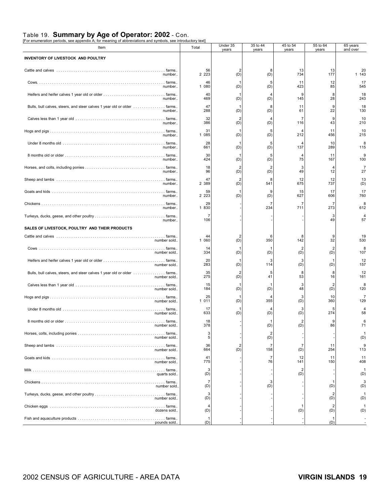### Table 19. **Summary by Age of Operator: 2002** - Con. [For enumeration periods, see appendix A; for meaning of abbreviations and symbols, see introductory text]

| r or enameration penous, see appenuix A, ior meaning or abbreviations and symbols, see introductor<br>Item | ישע<br>Total  | Under 35<br>years     | 35 to 44<br>years     | 45 to 54<br>years | 55 to 64<br>years | 65 years<br>and over |
|------------------------------------------------------------------------------------------------------------|---------------|-----------------------|-----------------------|-------------------|-------------------|----------------------|
| INVENTORY OF LIVESTOCK AND POULTRY                                                                         |               |                       |                       |                   |                   |                      |
| number                                                                                                     | 56<br>2 2 2 3 | $\overline{2}$<br>(D) | 8<br>(D)              | 13<br>734         | 13<br>177         | 20<br>1 143          |
| number                                                                                                     | 46<br>1 080   | -1<br>(D)             | 5<br>(D)              | 11<br>423         | 12<br>85          | 17<br>545            |
| number                                                                                                     | 40<br>469     | (D)                   | (D)                   | 9<br>145          | 8<br>28           | 18<br>243            |
| number                                                                                                     | 47<br>288     | (D)                   | 8<br>(D)              | 11<br>61          | 9<br>22           | 18<br>130            |
| number                                                                                                     | 32<br>386     | $\overline{2}$<br>(D) | (D)                   | 7<br>116          | 9<br>43           | 10<br>210            |
| number                                                                                                     | 31<br>1 085   | (D)                   | 5<br>(D)              | 212               | 11<br>456         | 10<br>215            |
| number                                                                                                     | 28<br>661     | -1<br>(D)             | 5<br>(D)              | Δ<br>137          | 10<br>289         | 8<br>115             |
| number                                                                                                     | 30<br>424     | (D)                   | 5<br>(D)              | 75                | 11<br>167         | 9<br>100             |
| number                                                                                                     | 18<br>96      | (D)                   | 2<br>(D)              | 3<br>49           | 12                | 7<br>27              |
| number                                                                                                     | 47<br>2 3 8 9 | $\overline{2}$<br>(D) | 8<br>541              | 12<br>675         | 12<br>737         | 13<br>(D)            |
| number                                                                                                     | 59<br>2 2 2 3 | (D)                   | 9<br>(D)              | 15<br>627         | 17<br>606         | 17<br>760            |
| number                                                                                                     | 29<br>1 830   |                       | 234                   | 711               | 7<br>273          | 612                  |
| number.                                                                                                    | 7<br>106      |                       |                       |                   | 3<br>49           | 57                   |
| SALES OF LIVESTOCK, POULTRY AND THEIR PRODUCTS                                                             |               |                       |                       |                   |                   |                      |
| number sold.                                                                                               | 44<br>1 060   | (D)                   | 6<br>350              | Я<br>142          | 9<br>32           | 19<br>530            |
| number sold.                                                                                               | 14<br>334     | (D)                   | (D)                   | 2<br>(D)          | 2<br>(D)          | 8<br>107             |
| number sold                                                                                                | 20<br>283     | (D)                   | 3<br>114              | 3<br>(D)          | (D)               | 12<br>157            |
| number sold.                                                                                               | 35<br>275     | $\overline{2}$<br>(D) | 5<br>41               | 8<br>53           | 8<br>16           | 12<br>161            |
| number sold                                                                                                | 15<br>184     | (D)                   | (D)                   | 3<br>48           | (D)               | 8<br>120             |
| number sold                                                                                                | 25<br>1 011   | (D)                   | 355                   | 3<br>(D)          | 10<br>360         | 7<br>129             |
| number sold.                                                                                               | 17<br>633     | (D)                   | 4<br>(D)              | 3<br>(D)          | 5<br>274          | 58                   |
| number sold.                                                                                               | 18<br>378     |                       | (D)                   | 2<br>(D)          | 9<br>86           | 6<br>71              |
| number sold                                                                                                | 3<br>5        |                       | $\overline{2}$<br>(D) |                   |                   | (D)                  |
| number sold                                                                                                | 36<br>664     | $\overline{2}$<br>(D) | 158                   | 7<br>(D)          | 11<br>254         | 113                  |
| number sold                                                                                                | 41<br>775     |                       | 7<br>76               | 12<br>141         | 11<br>150         | 11<br>408            |
| quarts sold                                                                                                | 3<br>(D)      |                       |                       | (D)               |                   | (D)                  |
| number sold.                                                                                               | (D)           |                       | 3<br>(D)              |                   | (D)               | (D)                  |
| number sold                                                                                                | 3<br>(D)      |                       |                       |                   | (D)               | (D)                  |
| dozens sold                                                                                                | (D)           |                       |                       | (D)               | (D)               | (D)                  |
| pounds sold.                                                                                               | (D)           |                       |                       |                   | 1<br>(D)          |                      |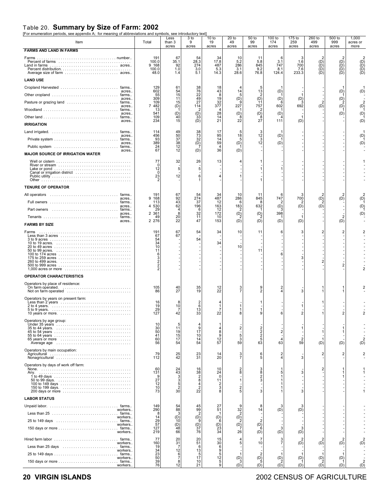### Table 20. **Summary by Size of Farm: 2002** [For enumeration periods, see appendix A; for meaning of abbreviations and symbols, see introductory text]

| Item                                                                                                                                                        | Total                                                                                         | Less<br>than 3<br>acres                                          | 3 to<br>9<br>acres                                      | 10 to<br>19<br>acres                                                            | $20$ to<br>49<br>acres                             | 50 to<br>99<br>acres                         | 100 to<br>174<br>acres                                   | 175 to<br>259<br>acres            | 260 to<br>499<br>acres        | 500 to<br>999<br>acres                       | 1,000<br>acres or<br>more      |
|-------------------------------------------------------------------------------------------------------------------------------------------------------------|-----------------------------------------------------------------------------------------------|------------------------------------------------------------------|---------------------------------------------------------|---------------------------------------------------------------------------------|----------------------------------------------------|----------------------------------------------|----------------------------------------------------------|-----------------------------------|-------------------------------|----------------------------------------------|--------------------------------|
| <b>FARMS AND LAND IN FARMS</b>                                                                                                                              |                                                                                               |                                                                  |                                                         |                                                                                 |                                                    |                                              |                                                          |                                   |                               |                                              |                                |
| Land in farms<br>acres                                                                                                                                      | 191<br>100.0<br>9 168<br>100.0<br>48.0                                                        | 67<br>35.1<br>92<br>1.0<br>1.4                                   | 54<br>28.3<br>274<br>3.0<br>5.1                         | 34<br>17.8<br>487<br>5.3<br>14.3                                                | 10<br>5.2<br>286<br>3.1<br>28.6                    | 11<br>5.8<br>845<br>9.2<br>76.8              | 6<br>3.1<br>747<br>8.1<br>124.4                          | 3<br>1.6<br>700<br>7.6<br>233.3   | (D)<br>$\widetilde{P}$<br>ÌDÍ | (D)<br>$\widetilde{P}(\widetilde{D})$<br>ÌDÍ | $\widetilde{D}(\widetilde{D})$ |
| <b>LAND USE</b><br>acres<br>acres                                                                                                                           | 129<br>602<br>55<br>309                                                                       | 61<br>$\frac{54}{15}$<br>11                                      | 38<br>76<br>22<br>49<br>27                              | 18<br>$\begin{array}{c} 43 \\ 8 \end{array}$<br>19                              | 14<br>5<br>(D)                                     | 5<br>13<br>2                                 | (D)<br>(D)                                               | (D)                               |                               | (D)<br>(D)                                   | (D'                            |
| acres.<br>acres.<br>acres.                                                                                                                                  | 109<br>482<br>$\overline{7}$<br>13<br>541<br>109<br>234                                       | 15<br>(D)<br>(D)<br>ΆÓ<br>15                                     | 114<br>$\binom{D}{33}$<br>(D)                           | 32<br>377<br>4<br>$^{28}_{14}$<br>21                                            | 227<br>(D)<br>22                                   | $\binom{D}{1}$<br>757<br>(D)<br>8<br>27      | 6<br>602<br>(D)<br>111                                   | 692<br>1<br>(D)                   | $\overline{2}$<br>(D)         | (D)<br>(D)                                   | (D)<br>(D)<br>(D)              |
| <b>IRRIGATION</b><br>acres.<br>acres.                                                                                                                       | 114<br>456<br>93<br>389<br>24                                                                 | 49<br>50<br>37<br>$38$<br>$12$<br>$12$                           | 38<br>$\frac{73}{32}$<br>(D)                            | 17<br>95<br>14<br>59<br>$\frac{4}{36}$                                          | 5<br>18<br>5<br>(D)                                | 3<br>12<br>3<br>12                           | (D)<br>(D)                                               |                                   |                               |                                              | (D<br>(D)                      |
| acres.<br><b>MAJOR SOURCE OF IRRIGATION WATER</b>                                                                                                           | 67                                                                                            |                                                                  | (D)                                                     |                                                                                 | (D)                                                |                                              |                                                          |                                   |                               |                                              |                                |
| Canal or irrigation district                                                                                                                                | 77<br>$\mathbf 0$<br>12<br>$\mathbf 0$<br>23                                                  | 32<br>5<br>12                                                    | 26<br>5<br>6<br>1                                       | 13<br>4                                                                         | 4<br>1                                             |                                              |                                                          |                                   |                               |                                              |                                |
| <b>TENURE OF OPERATOR</b>                                                                                                                                   |                                                                                               |                                                                  |                                                         |                                                                                 |                                                    |                                              |                                                          |                                   |                               |                                              |                                |
| acres<br>acres                                                                                                                                              | 191<br>168<br>9<br>113<br>530<br>4<br>29                                                      | 67<br>$\frac{92}{43}$<br>62<br>4                                 | 54<br>$\frac{274}{37}$<br>196<br>6                      | 34<br>487<br>12<br>163<br>12                                                    | 10<br>286<br>ĥ<br>183                              | 11<br>845<br>8<br>632                        | 6<br>747<br>(D)                                          | 3<br>700<br>2<br>(D)              | $\binom{D}{2}$<br>(D)         | (D)                                          | (D)<br>(D)                     |
| acres<br>acres<br><b>FARMS BY SIZE</b>                                                                                                                      | 2<br>361<br>49<br>2 2 7 6                                                                     | 8<br>$2\bar{0}$<br>22                                            | $\frac{32}{11}$<br>47                                   | 172<br>10<br>153                                                                | $\binom{D}{2}$<br>(D)                              | $\binom{D}{2}$<br>(D)                        | 398<br>(D)                                               | (D)                               |                               | (D)                                          | (D)                            |
| Farms<br>Less than 3 acres<br>$1,000$ acres or more $\ldots \ldots \ldots \ldots \ldots \ldots \ldots \ldots \ldots$                                        | 191<br>67<br>54<br>$\frac{34}{10}$<br>11<br>6<br>$\begin{array}{c}\n3 \\ 2 \\ 2\n\end{array}$ | 67<br>67                                                         | 54<br>54                                                | 34<br>34                                                                        | 10<br>10                                           | 11<br>11                                     | 6<br>6                                                   | 3<br>3                            | 2<br>2                        | 2<br>$\overline{2}$                          |                                |
| <b>OPERATOR CHARACTERISTICS</b>                                                                                                                             |                                                                                               |                                                                  |                                                         |                                                                                 |                                                    |                                              |                                                          |                                   |                               |                                              |                                |
| Operators by place of residence:<br>On farm operated.<br>Not on farm operated                                                                               | 105<br>86                                                                                     | 40<br>27                                                         | 35<br>19                                                | 12<br>22                                                                        | 3<br>$\overline{7}$                                | 9<br>$\overline{2}$                          | 2<br>$\Delta$                                            | 3                                 |                               |                                              |                                |
| Operators by years on present farm:<br>10 years or more.                                                                                                    | 16<br>19<br>29<br>127                                                                         | 10<br>7<br>42                                                    | 6<br>13<br>33                                           | 7<br>22                                                                         | 1<br>8                                             | 9                                            |                                                          |                                   |                               |                                              |                                |
| Operators by age group:<br>65 years or more                                                                                                                 | 10<br>$\substack{30\\50}$<br>41<br>60<br>56                                                   | 5<br>11<br>19<br>15<br>17<br>54                                  | 9<br>$1\bar{7}$<br>10<br>14<br>54                       | 8<br>9<br>$\frac{12}{57}$                                                       | $\overline{2}$<br>5<br>3<br>59                     | 2<br>2<br>2<br>5<br>$6\bar{3}$               | $\overline{\mathbf{c}}$<br>$\overline{\mathbf{4}}$<br>63 | $\overline{2}$<br>$5\overline{9}$ | (D)                           | (D)                                          | (D)                            |
| Operators by main occupation:                                                                                                                               | 79<br>112                                                                                     | $^{25}_{42}$                                                     | $\frac{23}{31}$                                         | 14<br>20                                                                        | $\frac{3}{7}$                                      | 6<br>5                                       | 2<br>4                                                   | 3                                 | 2                             | $\overline{2}$                               |                                |
| Operators by days of work off farm:<br>Any.<br>200 days or more                                                                                             | 60<br>131<br>$2^{9}$<br>12<br>10<br>73                                                        | 24<br>43<br>$\frac{3}{3}$<br>5<br>$\overline{c}$<br>30           | $\frac{16}{38}$<br>$\frac{2}{8}$<br>$\frac{4}{2}$<br>22 | 10<br>24<br>0<br>11<br>$\frac{2}{3}$<br>8                                       | $\frac{2}{8}$<br>1<br>$\overline{\mathbf{c}}$<br>5 | 3<br>8<br>$\frac{2}{3}$<br>3                 | 1<br>5<br>1<br>1                                         | 3<br>3                            | 2                             |                                              |                                |
| <b>LABOR STATUS</b>                                                                                                                                         |                                                                                               |                                                                  |                                                         |                                                                                 |                                                    |                                              |                                                          |                                   |                               |                                              |                                |
| workers.<br>workers<br>25 to 149 days (and all contains a state of the state of the state of the state of the state of the state of t<br>workers<br>workers | 149<br>290<br>8<br>14<br>29<br>57<br>127<br>219                                               | 54<br>88<br>$\overline{13}$<br>10<br>$\overline{10}$<br>48<br>66 | 45<br>99<br>$\overline{D}^2$<br>$\frac{(D)}{37}$<br>76  | $^{27}_{51}$<br>1<br>(D)<br>6<br>$\begin{array}{c} (D) \\ 23 \\ 34 \end{array}$ | 32<br>$\overline{D}^2$<br>$\overline{D}^2$<br>26   | 8<br>14<br>$\overline{2}$<br>(D)<br>6<br>(D) | (D)<br>3<br>(D)                                          | (D)<br>3<br>(D)                   |                               |                                              |                                |
| Hired farm labor  farms<br>workers                                                                                                                          | 77<br>160                                                                                     | 20<br>31                                                         | 20<br>51                                                | 15<br>30                                                                        | 5                                                  | $\overline{7}$<br>10                         | 3<br>$\overline{7}$                                      | (D)                               | $\overline{2}$<br>(D)         | $\overline{2}$<br>(D)                        | (D)                            |
| Less than $25 \text{ days} \dots \dots \dots \dots \dots \dots \dots \dots$ farms<br>workers                                                                | 19<br>34                                                                                      | 7<br>12                                                          | 6<br>$\begin{array}{c} 13 \\ 5 \end{array}$             | 6<br>9                                                                          |                                                    |                                              |                                                          |                                   |                               |                                              |                                |
| workers<br>workers                                                                                                                                          | 23<br>50<br>50<br>76<br>76                                                                    | 6<br>ž<br>8<br>12                                                | 17<br>10<br>21                                          | 5<br>12<br>5<br>ğ                                                               | $\mathbf{1}$<br>$\binom{D}{3}$<br>(D)              | $\overline{2}$<br>(D)<br>5<br>(D)            | 1<br>$\binom{D}{2}$<br>(D)                               | (D)<br>(D)                        | (D)<br>(D)                    | (D)<br>(D)                                   | $\overline{2}$<br>(D)          |

#### **20 VIRGIN ISLANDS** 2002 CENSUS OF AGRICULTURE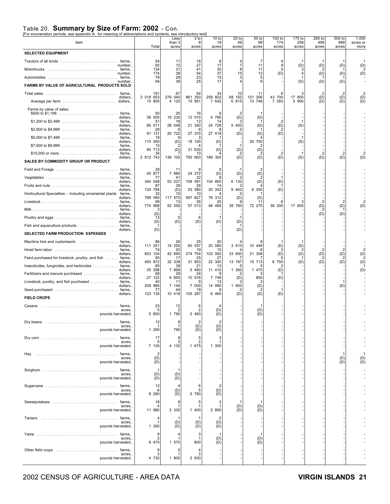### Table 20. **Summary by Size of Farm: 2002** - Con. [For enumeration periods, see appendix A; for meaning of abbreviations and symbols, see introductory text]

| For enumeration periods, see appendix A, Tor meaning or abbreviations and symbols, see introductory text |                              |                         |                         |                      |                                              |                                        |                        |                        |                        |                        |                           |
|----------------------------------------------------------------------------------------------------------|------------------------------|-------------------------|-------------------------|----------------------|----------------------------------------------|----------------------------------------|------------------------|------------------------|------------------------|------------------------|---------------------------|
| Item                                                                                                     | Total                        | Less<br>than 3<br>acres | 3 to<br>9<br>acres      | 10 to<br>19<br>acres | $20$ to<br>49<br>acres                       | 50 to<br>99<br>acres                   | 100 to<br>174<br>acres | 175 to<br>259<br>acres | 260 to<br>499<br>acres | 500 to<br>999<br>acres | 1,000<br>acres or<br>more |
| <b>SELECTED EQUIPMENT</b>                                                                                |                              |                         |                         |                      |                                              |                                        |                        |                        |                        |                        |                           |
|                                                                                                          | 54                           | 11                      | 16                      |                      |                                              |                                        |                        |                        |                        |                        |                           |
| number.<br>Motortrucks  farms                                                                            | 92<br>134                    | 12<br>31                | 27<br>41                | 17<br>30             | $\overline{7}$<br>8                          | 11<br>11                               | 9<br>5                 | (D)                    | (D)<br>2               | (D)                    | (D)                       |
| number                                                                                                   | 174<br>78                    | 39<br>29                | 54<br>23                | 37<br>15             | 15<br>3                                      | 12<br>5                                | (D)                    |                        | (D)                    | (D)                    | (D)                       |
| number.<br>FARMS BY VALUE OF AGRICULTURAL PRODUCTS SOLD                                                  | 94                           | 39                      | 25                      | 17                   |                                              | 6                                      |                        | (D)                    | (D)                    | (D)                    |                           |
| dollars.                                                                                                 | 191<br>3 018 653             | 67<br>276 040           | 54<br>861 350           | 34<br>259 832        | 10<br>152<br>68                              | 11<br>151 206                          | 43 700                 | 17 800                 | $\overline{2}$<br>(D)  | $\overline{2}$<br>(D)  | (D)                       |
|                                                                                                          | 15 805                       | 4 120                   | 15 951                  | 7 642                | 6 815                                        | 13 746                                 | 7 283                  | 5 9 9 3                | (D)                    | (D)                    | (D)                       |
| Farms by value of sales:                                                                                 | 50                           | 25                      | 16                      | 6                    | $\overline{2}$                               |                                        |                        |                        |                        |                        |                           |
| dollars.                                                                                                 | 38 505<br>51                 | 19 230<br>18            | 12 010<br>12            | 4 785<br>14          | (D)                                          | (D)                                    | 2                      |                        |                        |                        |                           |
| dollars.                                                                                                 | 85 511<br>28                 | 28 048<br>6             | 21 340<br>9             | 24 728<br>8          | 5 400                                        | (D)                                    | (D)                    | (D)                    |                        |                        |                           |
| dollars.                                                                                                 | 91<br>131<br>18              | 20 722<br>9             | 27 370<br>З             | 27 419               | (D)                                          | (D)                                    | (D)                    |                        |                        |                        |                           |
| dollars.                                                                                                 | 110 050<br>10                | (D)                     | 18 100                  | (D)                  | $\mathbf{1}$                                 | 25 750                                 |                        | (D)                    |                        |                        |                           |
| dollars.<br>\$10,000 or more $\ldots \ldots \ldots \ldots \ldots \ldots \ldots \ldots$ farms             | 80<br>713<br>34              | (D)                     | 31 630<br>10            | (D)                  | (D)                                          | (D)<br>2                               | $\overline{2}$         |                        | $\overline{2}$         |                        |                           |
| dollars.<br>SALES BY COMMODITY GROUP OR PRODUCT                                                          | 2 612 743                    | 136 100                 | 750 900                 | 189 300              | (D)                                          | (D)                                    | (D)                    | (D)                    | (D)                    | (D)                    | (D)                       |
| Field and Forage  farms                                                                                  | 28                           | 11                      |                         | 5                    |                                              |                                        |                        |                        |                        |                        |                           |
| dollars.                                                                                                 | 45 877<br>77                 | 7 880<br>41             | 24 272<br>22            | (D)<br>8             | (D)                                          | (D)                                    |                        |                        |                        |                        |                           |
| dollars.                                                                                                 | 340 048<br>87                | 53 027<br>39            | 108 591<br>26<br>53 580 | 104 600<br>14        | 6 130                                        | (D)                                    | (D)                    |                        |                        |                        |                           |
| dollars.<br>Horticultural Specialties - including ornamental plants<br>farms.<br>dollars.                | 130 784<br>32<br>799<br>090  | (D)<br>15<br>117 570    | 10<br>597 827           | 20 342<br>79 312     | 9 4 6 2<br>(D)                               | 6 300<br>(D)                           | (D)                    |                        |                        |                        |                           |
| dollars.                                                                                                 | 99<br>774 968                | 13<br>52 555            | 26<br>57 013            | 25<br>48 465         | 39 760                                       | 11<br>72 275                           | 6<br>36 200            | 17 800                 | $\overline{2}$         | (D)                    |                           |
| dollars.                                                                                                 | 3<br>(D)                     |                         |                         |                      |                                              |                                        |                        |                        | $\binom{D}{2}$<br>(D)  | (D)                    |                           |
| dollars.                                                                                                 | 13<br>(D)                    | 5<br>(D)                | 6<br>(D)                | (D)                  | (D)                                          |                                        |                        |                        |                        |                        |                           |
| dollars.                                                                                                 | (D)                          |                         |                         |                      | (D)                                          |                                        |                        |                        |                        |                        |                           |
| SELECTED FARM PRODUCTION EXPENSES                                                                        |                              |                         |                         |                      |                                              |                                        |                        |                        |                        |                        |                           |
| Machine hire and customwork  farms<br>dollars.                                                           | 86<br>111 251                | 26<br>14 255            | 25<br>60 057            | 20<br>20 580         | 3 510                                        | 10 449                                 | (D)                    | (D)                    |                        |                        |                           |
| dollars.                                                                                                 | 74<br>853 104                | 20<br>42 690            | 19<br>274 754           | 15<br>102 550        | 33 650                                       | 21 308                                 | (D)                    | (D)                    | $\overline{2}$<br>(D)  | (D)                    | (D)                       |
| Feed purchased for livestock, poultry, and fish  farms<br>dollars.                                       | 95<br>450 872                | 17<br>32 339            | 25<br>31 853            | 27<br>22 340         | 13 187                                       | 15 713                                 | 6 750                  | (D)                    | (D)                    | (D)                    | (D)                       |
| Insecticides, fungicides, and herbicides  farms<br>dollars.                                              | 85<br>35 298                 | 38<br>7 868             | 21<br>5 4 9 0<br>24     | 13<br>11 410<br>9    | 1 360                                        | 1 470                                  | (D)                    |                        |                        |                        | (D)                       |
| Fertilizers and manure purchased  farms<br>dollars.<br>Livestock, poultry, and fish purchased  farms     | 68<br>27<br>122<br>40        | 29<br>6 855             | 10 518                  | 7 749<br>13          | (D)                                          | 850<br>3                               | (D)                    |                        |                        |                        |                           |
| dollars.<br>Seed purchased  farms                                                                        | 209 985<br>77                | 11<br>7 145<br>44       | 7 000<br>19             | 14 990               | 1 950                                        | (D)                                    |                        |                        |                        | (D)                    |                           |
| dollars.<br><b>FIELD CROPS</b>                                                                           | 123 136                      | 10 419                  | 105 287                 | 6 4 6 0              | (D)                                          | (D)                                    | (D)                    |                        |                        |                        |                           |
| Casava<br>farms.                                                                                         | 23                           | 12                      |                         |                      |                                              |                                        |                        |                        |                        |                        |                           |
| acres.<br>pounds harvested.                                                                              | 5<br>5 8 5 0                 | 2<br>1 790              | 2 460                   | (D)<br>(D)           |                                              | (D)<br>(D)                             |                        |                        |                        |                        |                           |
| Dry beans                                                                                                | 12                           | 8                       |                         | 2                    |                                              |                                        |                        |                        |                        |                        |                           |
| acres.<br>pounds harvested                                                                               | -1<br>1 290                  | $\mathbf{1}$<br>790     | $\binom{D}{D}$          | $\binom{D}{D}$       |                                              |                                        |                        |                        |                        |                        |                           |
|                                                                                                          | 17                           | 9                       | 5                       | 3                    |                                              |                                        |                        |                        |                        |                        |                           |
| acres.<br>pounds harvested                                                                               | 5<br>7 105                   | 3<br>4 130              | $\overline{2}$<br>1 675 | 1 300                |                                              |                                        |                        |                        |                        |                        |                           |
| Hay<br>acres.                                                                                            | $\overline{2}$<br>(D)        |                         |                         |                      |                                              |                                        |                        |                        |                        | (D)                    |                           |
| pounds harvested.                                                                                        | (D)                          |                         |                         |                      |                                              |                                        |                        |                        |                        | (D)                    | $(D)$<br>$(D)$            |
| Sorghum<br>farms<br>acres.                                                                               | -1<br>(D)                    | -1<br>(D)               |                         |                      |                                              |                                        |                        |                        |                        |                        |                           |
| pounds harvested                                                                                         | (D)                          | (D)                     |                         |                      |                                              |                                        |                        |                        |                        |                        |                           |
| acres.                                                                                                   | 12<br>6                      | (D)                     | 6<br>5                  | 2<br>(D)             |                                              |                                        |                        |                        |                        |                        |                           |
| pounds harvested                                                                                         | 8 2 8 0                      | (D)                     | 5 780                   | (D)                  |                                              |                                        |                        |                        |                        |                        |                           |
| acres.                                                                                                   | 18                           | 8<br>-1                 | 5                       | 3                    | -1<br>$\begin{pmatrix} D \\ D \end{pmatrix}$ | $\begin{pmatrix} D \\ D \end{pmatrix}$ |                        |                        |                        |                        |                           |
| pounds harvested                                                                                         | 11 980                       | 2 3 3 0                 | 1 400                   | 2 850                |                                              |                                        |                        |                        |                        |                        |                           |
| acres.                                                                                                   | 4                            | (D)                     | -1<br>(D)               | 2<br>(D)             |                                              |                                        |                        |                        |                        |                        |                           |
| pounds harvested                                                                                         | 1 350                        | (D)                     | (D)                     | (D)                  |                                              |                                        |                        |                        |                        |                        |                           |
| farms<br>acres.<br>pounds harvested                                                                      | 9<br>$\overline{2}$<br>8 470 | 1 570                   | 3<br>-1<br>800          | (D)<br>(D)           |                                              | 1<br>(D)<br>(D)                        |                        |                        |                        |                        |                           |
|                                                                                                          | 9                            | 5                       |                         |                      |                                              |                                        |                        |                        |                        |                        |                           |
| acres.<br>pounds harvested.                                                                              | 3<br>4 730                   | $\mathbf{1}$<br>1 800   | 3<br>2 9 3 0            |                      |                                              |                                        |                        |                        |                        |                        |                           |
|                                                                                                          |                              |                         |                         |                      |                                              |                                        |                        |                        |                        |                        |                           |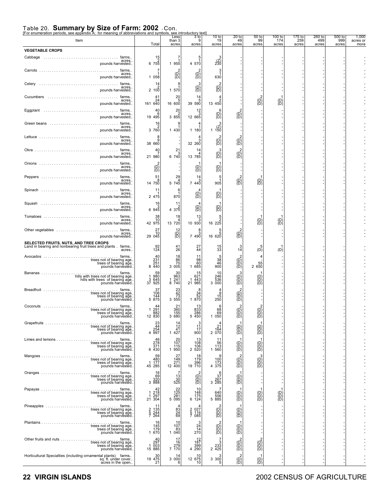## Table 20. **Summary by Size of Farm: 2002** - Con.<br>[For enumeration periods, see appendix A; for meaning of abbreviations and symbols, see introductory text]<br>Less 3 to 3

| Item                                                                                                                                                    | Total                                                               | Less<br>than 3<br>acres                                              | $3$ to<br>9<br>acres                                         | 10 <sub>to</sub><br>19<br>acres                             | 20 <sub>to</sub><br>49<br>acres        | 50 <sub>to</sub><br>99<br>acres                   | 100 to<br>174<br>acres                         | 175 to<br>259<br>acres | 260 to<br>499<br>acres | 500 to<br>999<br>acres | 1,000<br>acres or<br>more |
|---------------------------------------------------------------------------------------------------------------------------------------------------------|---------------------------------------------------------------------|----------------------------------------------------------------------|--------------------------------------------------------------|-------------------------------------------------------------|----------------------------------------|---------------------------------------------------|------------------------------------------------|------------------------|------------------------|------------------------|---------------------------|
| <b>VEGETABLE CROPS</b>                                                                                                                                  |                                                                     |                                                                      |                                                              |                                                             |                                        |                                                   |                                                |                        |                        |                        |                           |
| Cabbage<br>farms<br>acres.<br>pounds harvested.                                                                                                         | $\frac{15}{2}$<br>$675\overline{5}$                                 | 1 955                                                                | 5<br>4 570                                                   | $\binom{z}{230}$                                            |                                        |                                                   |                                                |                        |                        |                        |                           |
| farms<br>acres.<br>pounds harvested                                                                                                                     | 7<br>1 058                                                          | $\overline{\textsf{(B)}}$                                            | $\overline{\text{B}}$                                        | 3<br>630                                                    |                                        |                                                   |                                                |                        |                        |                        |                           |
| Celery<br>farms<br>acres<br>pounds harvested.                                                                                                           | 14<br>2,100                                                         | 1 570                                                                | (B)                                                          | $\left(\begin{smallmatrix} 0 \\ 0 \end{smallmatrix}\right)$ |                                        |                                                   |                                                |                        |                        |                        |                           |
| Cucumbers<br>farms<br>acres<br>pounds harvested.                                                                                                        | 41<br>$\begin{array}{c} 24 \\ 161 \ 640 \end{array}$                | 20<br>1600                                                           | 14<br>5<br>39 590                                            | 13 450                                                      |                                        | $\overline{(\mathsf{D})}$                         | $\overline{B}$                                 |                        |                        |                        |                           |
| Eggplant<br>farms<br>acres.<br>pounds harvested.                                                                                                        | 40<br>$0.66$<br>19.495                                              | $\begin{array}{c} 20 \\ 2 \\ 3 \hspace{1.5mm} 855 \end{array}$       | $\frac{12}{3}$<br>12 665                                     | 6<br>$\left(\begin{matrix}D\end{matrix}\right)$             | $\begin{pmatrix} 2 \\ D \end{pmatrix}$ |                                                   |                                                |                        |                        |                        |                           |
| Green beans<br>farms<br>acres<br>pounds harvested.                                                                                                      | 16<br>3760                                                          | 1 430                                                                | 1 180                                                        | 1, 150                                                      |                                        |                                                   |                                                |                        |                        |                        |                           |
| farms<br>acres.<br>pounds harvested                                                                                                                     | 8<br>38 660                                                         |                                                                      | 32 260                                                       | (D)<br>ìō∖                                                  | $\overline{D}$                         |                                                   |                                                |                        |                        |                        |                           |
| Okra<br>farms.<br>.<br>acres<br>pounds harvested.                                                                                                       | 40<br>21 980                                                        | 21<br>6740                                                           | 14<br>13 785                                                 | З<br>$\overline{\mathcal{B}}$                               | $\overline{\mathcal{B}}$               |                                                   |                                                |                        |                        |                        |                           |
| farms<br>acres.<br>pounds harvested.                                                                                                                    | $\overline{\mathcal{B}}$                                            |                                                                      | $\binom{D}{D}$                                               | (B)                                                         |                                        |                                                   |                                                |                        |                        |                        |                           |
| Peppers<br>farms.<br>acres.<br>pounds harvested.                                                                                                        | 51<br>8<br>14 750                                                   | 29<br>$5\ \overline{745}$                                            | 14<br>7 440                                                  | $\frac{5}{1}$<br>905                                        | $\begin{pmatrix} 2 \\ D \end{pmatrix}$ | (D)<br>(D)                                        |                                                |                        |                        |                        |                           |
| Spinach<br>farms.<br>acres.<br>pounds harvested                                                                                                         | 11<br>2 475                                                         | 6<br>870                                                             | $\overline{(\mathsf{B})}$                                    | $\overline{D}$                                              |                                        |                                                   |                                                |                        |                        |                        |                           |
| Squash<br>farms<br>acres.<br>pounds harvested.                                                                                                          | 16<br>6945                                                          | 11<br>$4.37\frac{2}{5}$                                              | $\langle B \rangle$                                          | (D                                                          |                                        |                                                   |                                                |                        |                        |                        |                           |
| Tomatoes<br>farms.<br>acres.<br>pounds harvested.                                                                                                       | $\begin{array}{c} 38 \\ 10 \\ 42 \ \ 975 \end{array}$               | 18<br>43720                                                          | 13<br>10 930                                                 | 5<br>16225                                                  |                                        | (D)                                               | $\left(\begin{matrix}D\\ D\end{matrix}\right)$ |                        |                        |                        |                           |
| Other vegetables<br>farms<br>acres.<br>pounds harvested                                                                                                 | 27<br>70<br>29 045                                                  | 12<br>$\overline{(\overline{B})}$                                    | 8<br>7 490                                                   | 16620                                                       | $\overline{\text{B}}$                  |                                                   |                                                |                        |                        |                        |                           |
| SELECTED FRUITS, NUTS, AND TREE CROPS<br>Land in bearing and nonbearing fruit trees and plants. farms<br>acres.                                         | 124                                                                 | $^{41}_{26}$                                                         | $^{27}_{44}$                                                 | 15<br>33                                                    | $\frac{3}{14}$                         | (D̀                                               | (D)                                            |                        |                        |                        |                           |
| farms<br>trees not of bearing age.<br>trees of bearing age.<br>pounds harvested.                                                                        | $\frac{40}{231}$<br>8 440                                           | 18<br>$\begin{array}{c} 86 \\ 70 \\ 3 \ 005 \end{array}$             | 98<br>60<br>1 685                                            | $\frac{38}{46}$<br>900                                      | $\widetilde{\mathcal{B}}$              | $\begin{smallmatrix}&&55\\2&650\end{smallmatrix}$ |                                                |                        |                        |                        |                           |
| Bananas<br>farms.<br>hills with trees not of bearing age.<br>hills with trees of bearing age.<br>pounds harvested.                                      | 59<br>980<br>645<br>925<br>$\frac{3}{37}$                           | $30$<br>963<br>$\frac{241}{740}$<br>$\frac{1}{8}$                    | $^{15}_{621}$<br>1 443<br>21 985                             | 10<br>246<br>536<br>3 000                                   | З<br>$\widetilde{\mathcal{B}}$         | (D)<br>(D)<br>(D)                                 |                                                |                        |                        |                        |                           |
| Breadfruit<br>trees not of bearing age<br>trees of bearing age<br>pounds harvested                                                                      | 37<br>$\begin{array}{r} 106 \\ 144 \\ 5875 \end{array}$             | $\begin{array}{r} 23 \\ 42 \\ 73 \\ 3 \\ 555 \end{array}$            | 8<br>$34$<br>$52$<br>1 870                                   | $\frac{15}{250}$                                            | $\overline{\mathcal{B}}$               |                                                   |                                                |                        |                        |                        |                           |
| Coconuts<br>trees not of bearing age.<br>trees of bearing age.                                                                                          | 1 291<br>882                                                        | 21<br>360<br>$\frac{155}{3680}$                                      | 13<br>833<br><sup>286</sup> 5                                | 6<br>$^{68}_{69}$                                           | G)<br>G)                               | (D<br>(D)<br>(D)                                  |                                                |                        |                        |                        |                           |
| pounds harvested.<br>$\ldots$ farms<br>trees not of bearing age.                                                                                        | 12 830<br>$^{23}_{44}$                                              | $\frac{14}{12}$                                                      | $\frac{3}{17}$                                               | 1 050<br>4<br>21                                            |                                        |                                                   |                                                |                        |                        |                        |                           |
| trees of bearing age.<br>pounds harvested<br>Limes and lemons<br>. farms<br>.                                                                           | 4 $\frac{254}{997}$<br>$rac{46}{278}$                               | 1 427<br>$^{20}_{107}$                                               | 900<br>13                                                    | 164<br>2 070<br>11                                          | (B)<br>(D)                             | $\begin{pmatrix} 0 \\ 0 \\ 0 \end{pmatrix}$       |                                                |                        |                        |                        |                           |
| trees not of bearing age.<br>trees of bearing age.<br>pounds harvested.                                                                                 | 371<br>6 430                                                        | 115<br>1 950                                                         | 108<br>106<br>2 5 2 0                                        | 56<br>113<br>1 560                                          | $\begin{pmatrix} D \\ D \end{pmatrix}$ | $\overline{\textbf{B}}$                           |                                                |                        |                        |                        |                           |
| . <sub>.</sub> farms<br>trees not of bearing age.<br>trees of bearing age.<br>pounds harvested                                                          | $\frac{59}{480}$<br>45 285                                          | 27<br>$\frac{1\overline{49}}{271}$<br>12 400                         | 18<br>179<br>396<br>19 710                                   | 100<br>$4\frac{173}{375}$                                   | $\overline{\text{CD}}$                 | 3<br>$\widetilde{\mathbb{B}}$                     |                                                |                        |                        |                        |                           |
| farms<br>trees not of bearing age.<br>trees of bearing age<br>pounds harvested                                                                          | $\begin{array}{c} 16 \\ 69 \\ 320 \\ 388 \end{array}$               | $\begin{array}{c} 7 \\ 13 \\ 30 \\ 525 \end{array}$                  | (B)<br>(B)                                                   | $3^{6}$<br>3 267<br>3 285                                   | (B)<br>(B)                             |                                                   |                                                |                        |                        |                        |                           |
| Papayas<br>trees not of bearing age.<br>.<br>trees of bearing age.<br>pounds harvested.                                                                 | $\begin{array}{c} 42 \\ 1 \ 218 \\ 1 \ 297 \\ 21 \ 304 \end{array}$ | $\begin{array}{r} 22 \\ 125 \\ 281 \\ 5 \ \ 095 \end{array}$         | 10<br>148<br>$6\frac{175}{124}$                              | 640<br>556<br>5 885                                         | $\overline{\textbf{B}}$                | $\overline{\textbf{B}}$                           | $\begin{pmatrix} D \\ D \end{pmatrix}$         |                        |                        |                        |                           |
| trees not of bearing age.<br>trees of bearing age.                                                                                                      | 11<br>$rac{2}{5}$<br>135<br>244<br>264                              | $\frac{83}{24}$                                                      | $\begin{array}{c} 2 & 027 \\ 5 & 116 \\ 7 & 085 \end{array}$ | $\overline{\text{CD}}$                                      | $\overline{\text{BD}}$                 |                                                   |                                                |                        |                        |                        |                           |
| pounds harvested<br>trees not of bearing age.<br>trees of bearing age.                                                                                  | 16<br>$\begin{array}{c} 145 \\ 179 \\ 1670 \end{array}$             | 10<br>107<br>$\begin{smallmatrix} & 83 \\ 1 & 040 \end{smallmatrix}$ | 24<br>14                                                     | $\overline{\text{G}}$                                       | $\overline{\textbf{B}}$                |                                                   |                                                |                        |                        |                        |                           |
| pounds harvested.<br>Other fruits and nuts<br><u>.</u> farms<br>trees not of bearing age.                                                               | $^{40}_{297}$                                                       | 17<br>16                                                             | 270<br>$12$<br>$187$                                         |                                                             |                                        |                                                   |                                                |                        |                        |                        |                           |
| trees of bearing age.<br>pounds harvested.<br>Horticultural Specialties (including ornamental plants) farms<br>sq. ft. under cover<br>acres in the open | 003<br>15 885<br>19 475<br>21                                       | 7 279<br>7 170<br>14                                                 | 399<br>4 290<br>12 675<br>10 10                              | 2 <sup>233</sup><br>2 425                                   | $\overline{CD}$ )                      | $\begin{pmatrix} 0 \\ 0 \\ 0 \end{pmatrix}$       |                                                |                        |                        |                        |                           |
|                                                                                                                                                         |                                                                     | 3000                                                                 |                                                              | $3.30\frac{8}{5}$                                           | $\overline{\textsf{B}}$                | $\overline{B}$                                    |                                                |                        |                        |                        |                           |

#### **22 VIRGIN ISLANDS** 2002 CENSUS OF AGRICULTURE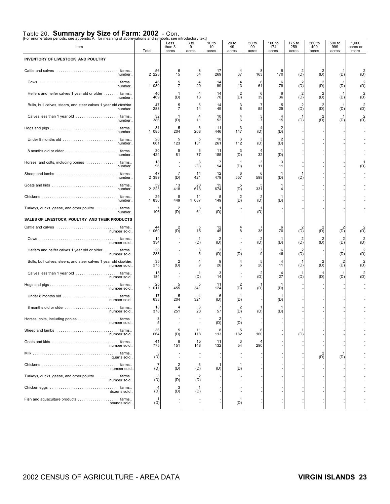### Table 20. **Summary by Size of Farm: 2002** - Con. [For enumeration periods, see appendix A; for meaning of abbreviations and symbols, see introductory text]

| <u>For enumeration periods, see appendix A; for meaning of abbreviations and symbols, see introductory text</u><br>Item | Total          | Less<br>than 3<br>acres | 3 to<br>9<br>acres | 10 to<br>19<br>acres  | $20$ to<br>49<br>acres | 50 to<br>99<br>acres  | 100 to<br>174<br>acres | 175 to<br>259<br>acres | 260 to<br>499<br>acres | 500 to<br>999<br>acres | 1,000<br>acres or<br>more |
|-------------------------------------------------------------------------------------------------------------------------|----------------|-------------------------|--------------------|-----------------------|------------------------|-----------------------|------------------------|------------------------|------------------------|------------------------|---------------------------|
| INVENTORY OF LIVESTOCK AND POULTRY                                                                                      |                |                         |                    |                       |                        |                       |                        |                        |                        |                        |                           |
| number                                                                                                                  | 56<br>2 2 2 3  | 6<br>15                 | 8<br>54            | 17<br>269             | 4<br>37                | 8<br>163              | 6<br>170               | $\overline{2}$<br>(D)  | 2<br>(D)               | (D)                    | (D)                       |
| number.                                                                                                                 | 46<br>1 080    | $\frac{5}{7}$           | 4<br>20            | 14<br>99              | 4<br>13                | 6<br>61               | 6<br>79                | $\overline{2}$<br>(D)  | $\overline{2}$<br>(D)  | (D)                    | (D)                       |
| Heifers and heifer calves 1 year old or older farms<br>number                                                           | 40<br>469      | -1<br>(D)               | 4<br>13            | 14<br>70              | $\overline{2}$<br>(D)  | 6<br>39               | 6<br>36                | $\overline{2}$<br>(D)  | $\overline{2}$<br>(D)  | (D)                    | $\overline{2}$<br>(D)     |
| Bulls, bull calves, steers, and steer calves 1 year old ofaulder.<br>number.                                            | 47<br>288      | $\frac{5}{7}$           | 6<br>14            | 14<br>49              | 3<br>8                 | 7<br>55               | 5<br>25                | $\overline{2}$<br>(D)  | $\overline{2}$<br>(D)  | (D)                    | (D)                       |
| Calves less than 1 year old  farms<br>number                                                                            | 32<br>386      | -1<br>(D)               | 4<br>11            | 10<br>52              | 4<br>6                 | 3<br>$\overline{7}$   | $\overline{4}$<br>15   | (D)                    | $\overline{2}$<br>(D)  | (D)                    | $\overline{2}$<br>(D)     |
| number.                                                                                                                 | 31<br>085<br>1 | 5<br>204                | 6<br>208           | 11<br>446             | 3<br>147               | 4<br>(D)              | $\overline{2}$<br>(D)  |                        |                        |                        |                           |
| number.                                                                                                                 | 28<br>661      | 5<br>123                | 5<br>131           | 10<br>261             | 3<br>112               | 3<br>(D)              | $\overline{2}$<br>(D)  |                        |                        |                        |                           |
| number.                                                                                                                 | 30<br>424      | 5<br>81                 | 6<br>77            | 11<br>185             | 3<br>(D)               | 4<br>32               | (D)                    |                        |                        |                        |                           |
| Horses, and colts, including ponies  farms<br>number.                                                                   | 18<br>96       |                         | 3<br>(D)           | $\overline{7}$<br>54  | 1<br>(D)               | 3<br>11               | 3<br>11                |                        |                        |                        | (D)                       |
| number.                                                                                                                 | 47<br>2 389    | $\overline{7}$<br>(D)   | 14<br>421          | 12<br>479             | 6<br>557               | 6<br>598              | -1<br>(D)              | (D)                    |                        |                        |                           |
| number.                                                                                                                 | 59<br>2 2 2 3  | 13<br>418               | 20<br>613          | 15<br>674             | 5<br>(D)               | 5<br>331              | 4                      |                        |                        |                        |                           |
| number.                                                                                                                 | 29<br>1 830    | 8<br>449                | 11<br>1 087        | 5<br>149              | $\overline{2}$<br>(D)  | 2<br>(D)              | 1<br>(D)               |                        |                        |                        |                           |
| Turkeys, ducks, geese, and other poultry farms<br>number                                                                | 7<br>106       | $\overline{2}$<br>(D)   | 3<br>61            | (D)                   |                        | (D)                   |                        |                        |                        |                        |                           |
| SALES OF LIVESTOCK, POULTRY AND THEIR PRODUCTS                                                                          |                |                         |                    |                       |                        |                       |                        |                        |                        |                        |                           |
| number sold                                                                                                             | 44<br>1 060    | $\overline{2}$<br>(D)   | 5<br>15            | 12<br>45              | 4<br>8                 | 7<br>38               | 6<br>70                | $\overline{2}$<br>(D)  | $\overline{2}$<br>(D)  | $\overline{2}$<br>(D)  | (D)                       |
| number sold                                                                                                             | 14<br>334      |                         | 1<br>(D)           | $\overline{2}$<br>(D) |                        | $\overline{2}$<br>(D) | -1<br>(D)              | $\overline{2}$<br>(D)  | $\overline{2}$<br>(D)  | $\overline{2}$<br>(D)  | $\overline{2}$<br>(D)     |
| Heifers and heifer calves 1 year old or older farms<br>number sold                                                      | 20<br>283      |                         | 3<br>5             | $\overline{2}$<br>(D) | 1<br>(D)               | 3<br>9                | 6<br>46                | $\overline{2}$<br>(D)  |                        | (D)                    | (D)                       |
| Bulls, bull calves, steers, and steer calves 1 year old ofaulder.<br>number sold                                        | 35<br>275      | $\overline{2}$<br>(D)   | 4<br>9             | 9<br>26               | 4<br>6                 | 5<br>20               | $\overline{4}$<br>11   | (D)                    | $\overline{2}$<br>(D)  | $\overline{2}$<br>(D)  | $\overline{2}$<br>(D)     |
| number sold                                                                                                             | 15<br>184      |                         | 1<br>(D)           | 3<br>14               |                        | 2<br>(D)              | $\overline{4}$<br>27   | (D)                    | (D)                    | (D)                    | (D)                       |
| number sold                                                                                                             | 25<br>1 0 1 1  | 5<br>455                | 5<br>341           | 11<br>124             | $\overline{2}$<br>(D)  | (D)                   | (D)                    |                        |                        |                        |                           |
| number sold                                                                                                             | 17<br>633      | 5<br>204                | 321                | 6<br>(D)              | 1<br>(D)               |                       | (D)                    |                        |                        |                        |                           |
| number sold                                                                                                             | 18<br>378      | 4<br>251                | 3<br>20            | $\overline{7}$<br>57  | $\overline{2}$<br>(D)  | (D)                   | (D)                    |                        |                        |                        |                           |
| Horses, colts, including ponies farms<br>number sold.                                                                   | 3<br>5         |                         |                    | 2<br>(D)              | 1<br>(D)               |                       |                        |                        |                        |                        |                           |
| number sold                                                                                                             | 36<br>664      | 5<br>(D)                | 11<br>118          | 8<br>113              | 5<br>182               | 6<br>160              |                        | (D)                    |                        |                        |                           |
| number sold                                                                                                             | 41<br>775      | 8<br>151                | 15<br>148          | 11<br>132             | 3<br>54                | 4<br>290              |                        |                        |                        |                        |                           |
| quarts sold                                                                                                             | (D)            |                         |                    |                       |                        |                       |                        |                        | $\overline{2}$<br>(D)  | (D)                    |                           |
| number sold.                                                                                                            | 7<br>(D)       | $\overline{2}$<br>(D)   | 3<br>(D)           | 1<br>(D)              | 1<br>(D)               |                       |                        |                        |                        |                        |                           |
| Turkeys, ducks, geese, and other poultry farms<br>number sold                                                           | (D)            | (D)                     | (D)                |                       |                        |                       |                        |                        |                        |                        |                           |
| dozens sold                                                                                                             | 4<br>(D)       | 3<br>(D)                | (D)                |                       |                        |                       |                        |                        |                        |                        |                           |
| Fish and aquaculture products farms<br>pounds sold                                                                      | (D)            |                         |                    |                       | 1<br>(D)               |                       |                        |                        |                        |                        |                           |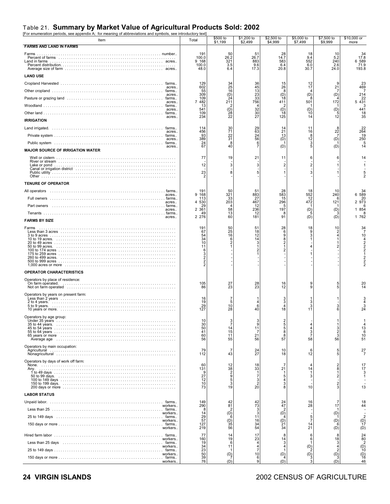### Table 21. **Summary by Market Value of Agricultural Products Sold: 2002** [For enumeration periods, see appendix A; for meaning of abbreviations and symbols, see introductory text]

| For enumeration periods, see appendix A, Tor meaning or appreviations and symbols, see introductory text<br>Item | Total                                                                                  | \$500 to<br>\$1,199                                | \$1,200 to<br>\$2,499                                 | \$2,500 to<br>\$4,999                          | \$5,000 to<br>\$7,499                                            | \$7,500 to<br>\$9,999                                   | \$10,000 or<br>more                  |
|------------------------------------------------------------------------------------------------------------------|----------------------------------------------------------------------------------------|----------------------------------------------------|-------------------------------------------------------|------------------------------------------------|------------------------------------------------------------------|---------------------------------------------------------|--------------------------------------|
| <b>FARMS AND LAND IN FARMS</b>                                                                                   |                                                                                        |                                                    |                                                       |                                                |                                                                  |                                                         |                                      |
| Farms                                                                                                            | 191<br>100.0<br>9 168<br>100.0<br>48.0                                                 | 50<br>26.2<br>$\frac{321}{3.5}$<br>6.4             | 51<br>26.7<br>883<br>9.6<br>17.3                      | $^{28}_{14.7}$<br>583<br>6.4<br>20.8           | 18<br>9.4<br>552<br>6.0<br>30.7                                  | 10<br>5.2<br>$\frac{240}{2.6}$<br>24.0                  | 34<br>17.8<br>6 589<br>71.9<br>193.8 |
| <b>LAND USE</b>                                                                                                  |                                                                                        |                                                    |                                                       |                                                |                                                                  |                                                         |                                      |
| acres                                                                                                            | 129<br>602                                                                             | 34<br>25                                           | 36<br>45                                              | $\frac{15}{26}$                                | $\frac{12}{17}$                                                  | 21                                                      | 469                                  |
| acres.                                                                                                           | 55<br>309                                                                              | $\frac{16}{24}$                                    | $\frac{13}{23}$<br>$\frac{23}{33}$<br>$\frac{33}{56}$ | 8<br>$\begin{matrix} (D) \\ 18 \end{matrix}$   | (D)                                                              | (D)                                                     | 214                                  |
| acres.                                                                                                           | 109<br>482<br>$\overline{7}$                                                           | 211                                                |                                                       | 411                                            | 501                                                              | 172                                                     | 22<br>5 4 3 1                        |
| acres.                                                                                                           | 13<br>541                                                                              | (D)                                                | $\overline{4}$<br>32                                  | (D)                                            | (D)                                                              | (D)                                                     | 441                                  |
| farms<br>acres.<br><b>IRRIGATION</b>                                                                             | 109<br>234                                                                             | $^{28}$<br>22                                      | 30<br>27                                              | 18<br>125                                      | 10<br>14                                                         | $\frac{5}{12}$                                          | 18<br>35                             |
|                                                                                                                  | 114                                                                                    |                                                    |                                                       | 14                                             | 11                                                               | ε                                                       | 22                                   |
| acres.                                                                                                           | 456<br>93                                                                              | 30<br>71                                           | 29<br>63<br>24                                        | 21<br>13                                       | 16<br>8                                                          | 22                                                      | 264<br>19                            |
| acres.                                                                                                           | 389<br>24                                                                              | $rac{22}{31}$<br>8                                 | 56<br>6                                               | (D)                                            | 12<br>3                                                          | (D)                                                     | 250<br>-5                            |
| acres.<br><b>MAJOR SOURCE OF IRRIGATION WATER</b>                                                                | 67                                                                                     | 40                                                 | 7                                                     | (D)                                            | 5                                                                | (D)                                                     | 14                                   |
|                                                                                                                  | 77<br>12<br>23                                                                         | 19<br>3<br>8                                       | 21<br>3<br>5                                          | 11<br>$\overline{2}$<br>$\mathbf{1}$           | 6<br>$\overline{2}$<br>3                                         | 6                                                       | 14                                   |
| <b>TENURE OF OPERATOR</b>                                                                                        |                                                                                        |                                                    |                                                       |                                                |                                                                  |                                                         |                                      |
| acres                                                                                                            | 191<br>9<br>168                                                                        | 50<br>321                                          | 51<br>883                                             | $\frac{28}{583}$                               | 18<br>552                                                        | 10<br>240                                               | 34<br>6 589                          |
| acres                                                                                                            | 113<br>4<br>530                                                                        | 33<br>203                                          | $^{27}_{467}$                                         | 15<br>296                                      | 472                                                              | 6<br>121                                                | 20<br>2 973                          |
| Part owners<br>acres                                                                                             | 29<br>$\overline{c}$<br>361                                                            | 58                                                 | 12<br>236                                             | 5<br>197                                       | (D)                                                              | (D)                                                     | 6<br>1 854                           |
| acres<br><b>FARMS BY SIZE</b>                                                                                    | 49<br>2 2 7 6                                                                          | 13<br>60                                           | 12<br>181                                             | 8<br>91                                        | (D)                                                              | (D)                                                     | 1 762                                |
| Farms                                                                                                            | 191                                                                                    | 50                                                 | 51                                                    | 28                                             | 18                                                               | 10                                                      | 34                                   |
|                                                                                                                  | 67<br>54<br>$\frac{34}{10}$<br>11<br>6<br>$\begin{array}{c}\n3 \\ 2 \\ 2\n\end{array}$ | 25<br>16<br>6<br>2                                 | 18<br>12<br>$\begin{array}{c} 14 \\ 3 \end{array}$    | 6<br>9<br>$\frac{8}{2}$<br>1<br>$\overline{2}$ | 9<br>3                                                           | 2<br>4                                                  | 10                                   |
| OPERATOR CHARACTERISTICS                                                                                         |                                                                                        |                                                    |                                                       |                                                |                                                                  |                                                         |                                      |
| Operators by place of residence:<br>On farm operated.                                                            | 105<br>86                                                                              | $^{27}_{23}$                                       | 28<br>23                                              | 16<br>12                                       | 9<br>9                                                           | $\frac{5}{5}$                                           |                                      |
| Operators by years on present farm:                                                                              | 16<br>19<br>$^{29}_{127}$                                                              | 7<br>10<br>28                                      | 6<br>40                                               | 3<br>3<br>4<br>18                              | 3<br>3<br>11                                                     | 3<br>6                                                  | 24                                   |
| Operators by age group:                                                                                          |                                                                                        |                                                    |                                                       |                                                |                                                                  |                                                         |                                      |
| Average age in the contract of the contract of the contract of the contract of the contract of the contract of   | 30<br>50<br>41<br>60<br>56                                                             | 14<br>15<br>11<br>55                               | 9<br>11<br>-7<br>21<br>56                             | $rac{2}{5}$<br>8<br>8<br>57                    | $\overline{\mathbf{A}}$<br>$\overline{4}$<br>$\frac{3}{7}$<br>58 | $\frac{3}{2}$<br>56                                     | 13<br>6<br>10<br>51                  |
| Operators by main occupation:                                                                                    | 79<br>112                                                                              | $\overline{7}$<br>43                               | 24<br>27                                              | 10<br>18                                       | 6<br>12                                                          | 5<br>5                                                  | 27                                   |
| Operators by days of work off farm:                                                                              | 60                                                                                     | 12                                                 | 18                                                    | $\overline{7}$                                 |                                                                  | $\overline{\mathbf{c}}$                                 | 17                                   |
| Anv.                                                                                                             | 131<br>9<br>27<br>12<br>10<br>73                                                       | $\frac{38}{2}$<br>$\boldsymbol{9}$<br>5<br>3<br>19 | 33<br>-1<br>7<br>3<br>$\frac{2}{20}$                  | 21<br>$\frac{5}{4}$<br>3<br>8                  | 14<br>3<br>10                                                    | 8<br>-1<br>$\overline{2}$<br>$\frac{2}{3}$              | 17<br>13                             |
| <b>LABOR STATUS</b>                                                                                              |                                                                                        |                                                    |                                                       |                                                |                                                                  |                                                         |                                      |
| workers                                                                                                          | 149<br>290                                                                             | 42<br>81                                           | 42<br>73                                              | $^{24}_{47}$                                   | 16<br>28                                                         | 17                                                      | 18<br>44                             |
| workers.                                                                                                         | 14                                                                                     | 2<br>(D)                                           | 3                                                     | $\overline{c}$ <sup>2</sup>                    |                                                                  | (D)                                                     |                                      |
| workers.                                                                                                         | 29<br>57                                                                               | (D)                                                | 11<br>16                                              | $\frac{1}{21}$                                 | $\frac{5}{7}$                                                    | (D)                                                     | $\binom{D}{17}$                      |
| workers.                                                                                                         | 127<br>219                                                                             | $\begin{array}{c} 35 \\ 56 \end{array}$            | 34<br>54                                              | 34                                             | $^{14}_{21}$                                                     | (D)                                                     | (D)                                  |
| workers                                                                                                          | 77<br>160                                                                              | 14<br>19                                           | 17<br>23                                              | 8<br>14                                        | 6<br>6                                                           |                                                         | 24<br>80                             |
| workers                                                                                                          | 19                                                                                     | 6<br>11                                            | 4<br>Δ                                                | 3<br>4                                         | (D)                                                              | $\begin{array}{c} 18 \\ 3 \end{array}$<br>$\frac{4}{2}$ | 2<br>$\binom{D}{10}$                 |
| workers                                                                                                          | $34$<br>$23$<br>$50$<br>$39$                                                           | (D)                                                | 10                                                    | 1<br>(D)                                       | (D)                                                              | $\binom{D}{3}$                                          | $\binom{D}{16}$                      |
| workers                                                                                                          | 76                                                                                     | (D)                                                | 6<br>9                                                | (D)                                            |                                                                  | (D)                                                     | 46                                   |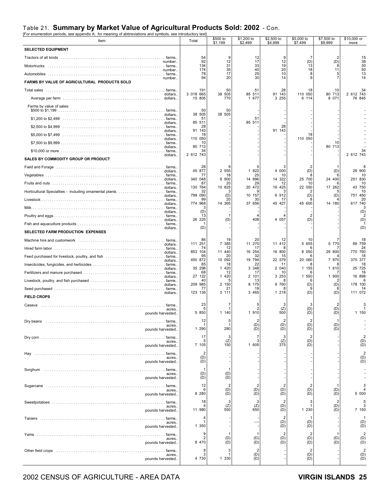### Table 21. **Summary by Market Value of Agricultural Products Sold: 2002** - Con.

| [For enumeration periods, see appendix A; for meaning of abbreviations and symbols, see introductory text<br>Item | Total                 | \$500 to<br>\$1,199   | \$1,200 to<br>\$2,499            | \$2,500 to<br>\$4,999 | \$5,000 to<br>\$7,499                                    | \$7,500 to<br>\$9,999 | \$10,000 or<br>more                                          |
|-------------------------------------------------------------------------------------------------------------------|-----------------------|-----------------------|----------------------------------|-----------------------|----------------------------------------------------------|-----------------------|--------------------------------------------------------------|
| <b>SELECTED EQUIPMENT</b>                                                                                         |                       |                       |                                  |                       |                                                          |                       |                                                              |
|                                                                                                                   | 54<br>92              | 9<br>12               | 12<br>17                         | 9<br>12               | -7<br>(D)                                                | 2<br>(D)              | 15<br>38                                                     |
| number<br>number                                                                                                  | 134<br>174            | 31<br>35              | 33<br>40                         | 19<br>20              | 13<br>18                                                 | 8<br>11               | 30<br>50                                                     |
| number                                                                                                            | 78<br>94              | 17<br>20              | 25<br>30                         | 10<br>14              | 8                                                        | 5                     | 13<br>14                                                     |
| FARMS BY VALUE OF AGRICULTURAL PRODUCTS SOLD                                                                      |                       |                       |                                  |                       |                                                          |                       |                                                              |
|                                                                                                                   | 191<br>3 018 665      | 50<br>38 505          | 51<br>85 511                     | 28<br>91 143          | 18<br>110 050                                            | 10<br>80 713          | 2 612 743                                                    |
| dollars                                                                                                           | 15 805                | 770                   | 1 677                            | 3 2 5 5               | 6 114                                                    | 8 0 7 1               | 76 845                                                       |
| Farms by value of sales:                                                                                          | 50                    | 50                    |                                  |                       |                                                          |                       |                                                              |
| dollars<br>\$1,200 to \$2,499                                                                                     | 38 505<br>51          | 38 505                | 51                               |                       |                                                          |                       |                                                              |
| dollars.<br>\$2,500 to \$4,999                                                                                    | 85 511<br>28          |                       | 85 511                           | 28                    |                                                          |                       |                                                              |
| dollars.<br>\$5,000 to \$7,499                                                                                    | 91 143<br>18          |                       |                                  | 91<br>143             | 18                                                       |                       |                                                              |
| dollars.                                                                                                          | 110 050<br>10         |                       |                                  |                       | 110 050                                                  | 10                    |                                                              |
| dollars.                                                                                                          | 80 713<br>34          |                       |                                  |                       |                                                          | 80 713                |                                                              |
| dollars.<br>SALES BY COMMODITY GROUP OR PRODUCT                                                                   | 2 612 743             |                       |                                  |                       |                                                          |                       | 2 612 743                                                    |
|                                                                                                                   | 28                    |                       |                                  |                       |                                                          |                       |                                                              |
| dollars.                                                                                                          | 45 877<br>77          | 2 555<br>18           | 1 922<br>25                      | 4 000<br>10           | (D)                                                      | (D)                   | 29 900<br>10                                                 |
| dollars.                                                                                                          | 340 048<br>87         | 8 900<br>20           | 14 896<br>29                     | 14 322<br>12          | 25 700<br>10                                             | 24 400                | 251 830<br>10                                                |
| dollars                                                                                                           | 130 784<br>32         | 10 825                | 20 472<br>g                      | 16 425                | 22 050                                                   | 17 262                | 43 750<br>10                                                 |
| dollars.                                                                                                          | 799 090<br>99         | (D)<br>20             | 10 157<br>30                     | 6 912<br>17           | (D)                                                      | (D)                   | 751 450<br>20                                                |
| dollars.                                                                                                          | 774 968               | 14 365                | 37 656                           | 45 427                | 45 600                                                   | 14 180                | 617 740<br>З                                                 |
| dollars.                                                                                                          | (D)<br>13             |                       |                                  |                       |                                                          |                       | (D)                                                          |
| dollars                                                                                                           | 26 225                | (D)                   | 408                              | 4 0 5 7               | (D)                                                      |                       | (D)                                                          |
| dollars.<br>SELECTED FARM PRODUCTION EXPENSES                                                                     | (D)                   |                       |                                  |                       |                                                          |                       | (D)                                                          |
|                                                                                                                   | 86                    | 19                    | 20                               | 12                    | 10                                                       |                       |                                                              |
| dollars                                                                                                           | 111 251<br>74         | 7 385<br>12           | 11 270<br>17                     | 11 412                | 5 655                                                    | 5 770                 | 69 759<br>24                                                 |
| dollars                                                                                                           | 853 104<br>95         | 11 440<br>20          | 16 254<br>32                     | 16 800<br>15          | 8 0 5 0                                                  | 29 800                | 770 760<br>18                                                |
| dollars                                                                                                           | 450 872<br>85         | 10 092<br>18          | 19 794<br>22                     | 22 579<br>11          | 20 060                                                   | 7 970                 | 370 377<br>18                                                |
| dollars.                                                                                                          | 35 298<br>68          | 1 4 2 0<br>12         | 3 3 4 8<br>17                    | 2 040<br>10           | 1 155                                                    | 1 610                 | 25 725<br>16                                                 |
| dollars.                                                                                                          | 27<br>122<br>40       | 1 4 2 0               | 2 101<br>13                      | 3 2 5 3               | 1 550                                                    | 1 900                 | 16 898                                                       |
| dollars.<br>Seed purchased                                                                                        | 209 985<br>77         | 2 150<br>21           | 8 175<br>19                      | 9 760                 | (D)                                                      | (D)                   | 178 100<br>14                                                |
| dollars<br><b>FIELD CROPS</b>                                                                                     | 123 136               | 3 111                 | 3 4 6 5                          | 1 218                 | (D)                                                      | (D)                   | 111 072                                                      |
| Casava                                                                                                            | 23                    | 7                     |                                  |                       |                                                          |                       |                                                              |
| acres.<br>pounds harvested                                                                                        | 5<br>5 850            | 1 140                 | 2<br>1 910                       | (Z)<br>500            | (D)<br>(D)                                               | (D)<br>(D)            | 1 150                                                        |
| Dry beans                                                                                                         | 12<br>$\mathbf{1}$    | 5<br>-1               | $\frac{2}{(D)}$                  | 2                     | $\overline{\mathbf{c}}$<br>(D)                           |                       |                                                              |
| acres.<br>pounds harvested                                                                                        | 1 290                 | 280                   | (D)                              | (D)<br>(D)            | (D)                                                      | (D)<br>(D)            |                                                              |
| farms                                                                                                             | 17<br>5               | 3<br>(Z)              | $\overline{7}$<br>3              | 3<br>(Z)              | $\overline{2}$<br>(D)                                    |                       | $\begin{array}{c} 2 \\ \text{(D)} \\ \text{(D)} \end{array}$ |
| acres.<br>pounds harvested                                                                                        | 7 105                 | 150                   | 1 605                            | 375                   | (D)                                                      |                       |                                                              |
| farms<br>Hay<br>acres.                                                                                            | $\overline{2}$<br>(D) |                       |                                  |                       |                                                          |                       | $\begin{array}{c} 2 \\ \text{(D)} \\ \text{(D)} \end{array}$ |
| pounds harvested                                                                                                  | (D)                   |                       |                                  |                       |                                                          |                       |                                                              |
| . farms<br>acres                                                                                                  | (D)                   | $\mathbf 1$<br>(D)    |                                  |                       |                                                          |                       |                                                              |
| pounds harvested                                                                                                  | (D)                   | (D)                   |                                  |                       |                                                          |                       |                                                              |
| acres.                                                                                                            | 12<br>6               | $\overline{2}$<br>(D) | $\overline{2}$                   | $\overline{2}$<br>(D) | $\overline{2}$<br>(D)                                    | (D)                   | 3<br>$\overline{4}$                                          |
| pounds harvested                                                                                                  | 8 2 8 0               | (D)                   | $\overline{(\overline{D})}$      | (D)                   | (D)                                                      | (D)                   | 5 000                                                        |
| acres.                                                                                                            | 18                    | 3<br>(Z)              | 3                                | 2<br>(D)              | 3                                                        | $\overline{2}$<br>(D) | 5<br>3                                                       |
| pounds harvested                                                                                                  | 11 980                | 550                   | $\binom{Z}{650}$                 | (D)                   | 1 2 3 0                                                  | (D)                   | 7 150                                                        |
| acres.                                                                                                            | 4<br>1                |                       | -.-                              | 2<br>(D)              | (D)                                                      |                       | $\mathbf 1$                                                  |
| pounds harvested                                                                                                  | 1 350                 |                       |                                  | (D)                   | (D)                                                      |                       | $(D)$<br>$(D)$                                               |
| acres.                                                                                                            | 9<br>$\overline{2}$   | (D)                   | (D)                              | $\overline{2}$<br>(D) | 2<br>(D)                                                 | $(D)$<br>$(D)$        | $\begin{array}{c} 2 \\ \text{(D)} \\ \text{(D)} \end{array}$ |
| pounds harvested                                                                                                  | 8 470                 | (D)                   | (D)                              | (D)                   | (D)                                                      |                       |                                                              |
| acres.                                                                                                            | 9<br>3                | 3                     | $\overline{2}$<br>$(D)$<br>$(D)$ |                       | $\overline{2}$<br>$\begin{pmatrix} D \\ D \end{pmatrix}$ |                       | $\begin{array}{c} 2 \\ (D) \\ (D) \end{array}$               |
| pounds harvested                                                                                                  | 4 730                 | 1 330                 |                                  |                       |                                                          |                       |                                                              |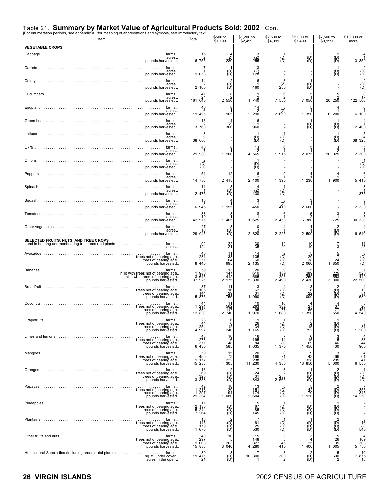|                                                                                                  | see introductory text                                      | \$500 to                                              | \$1,200 to                                          | \$2,500 to                                                                                                                      | \$5,000 to                                                               | \$7,500 to                                                                                                                                                                                                                                                                                                                                                                                                     | \$10,000 or                                                         |
|--------------------------------------------------------------------------------------------------|------------------------------------------------------------|-------------------------------------------------------|-----------------------------------------------------|---------------------------------------------------------------------------------------------------------------------------------|--------------------------------------------------------------------------|----------------------------------------------------------------------------------------------------------------------------------------------------------------------------------------------------------------------------------------------------------------------------------------------------------------------------------------------------------------------------------------------------------------|---------------------------------------------------------------------|
| Item                                                                                             | Total                                                      | \$1,199                                               | \$2,499                                             | \$4,999                                                                                                                         | \$7,499                                                                  | \$9,999                                                                                                                                                                                                                                                                                                                                                                                                        | more                                                                |
| <b>VEGETABLE CROPS</b><br>farms.                                                                 |                                                            |                                                       |                                                     |                                                                                                                                 |                                                                          |                                                                                                                                                                                                                                                                                                                                                                                                                |                                                                     |
| acres.<br>pounds harvested.<br>farms.                                                            | $\begin{array}{c} 15 \\ 2 \\ 6 \ \ 755 \end{array}$<br>7   | $\binom{z}{280}$                                      | $\frac{3}{255}$                                     | (D)<br>(D)                                                                                                                      | $\begin{pmatrix} 2 \\ D \end{pmatrix}$                                   | $\overline{\mathcal{B}}$                                                                                                                                                                                                                                                                                                                                                                                       | 3 850                                                               |
| acres.<br>pounds harvested                                                                       | 1 058                                                      | $\overline{\mathcal{B}}$                              | $\frac{3}{128}$                                     |                                                                                                                                 |                                                                          | (B)                                                                                                                                                                                                                                                                                                                                                                                                            |                                                                     |
| Celery<br>acres.<br>pounds harvested                                                             | 14<br>2, 100                                               | $\overline{D}$ <sup>2</sup>                           | $\frac{6}{1}$<br>460                                | $\binom{7}{250}$                                                                                                                | $\overline{D}$                                                           |                                                                                                                                                                                                                                                                                                                                                                                                                | (D<br>≀D                                                            |
| Cucumbers<br>. farms.<br>acres.<br>pounds harvested.                                             | 41<br>24<br>161 640                                        | 8<br>2 550                                            | $\frac{9}{2}$<br>1740                               | 6<br>7 550                                                                                                                      | 7 0 5 0                                                                  | 20, 250                                                                                                                                                                                                                                                                                                                                                                                                        | 17<br>122 500                                                       |
| Eggplant<br>farms.<br>acres.<br>pounds harvested                                                 | 40<br>6<br>19 495                                          | 8<br>905                                              | 14<br>$2\frac{2}{290}$                              | 265C                                                                                                                            | 5<br>1 350                                                               | 6 200                                                                                                                                                                                                                                                                                                                                                                                                          | 6 100                                                               |
| Green beans<br>farms.<br>acres.<br>pounds harvested.                                             | 16<br>3760                                                 | $\binom{z}{300}$                                      | 6<br>960                                            |                                                                                                                                 | $\binom{D}{D}$                                                           | (D)<br>ìDʻ                                                                                                                                                                                                                                                                                                                                                                                                     | 2 400                                                               |
| Lettuce<br>. farms.<br>acres.                                                                    | $\frac{8}{9}$                                              |                                                       | $\overline{\mathcal{B}}$                            | (D)<br>(D)                                                                                                                      |                                                                          | $\overline{\mathcal{C}}$                                                                                                                                                                                                                                                                                                                                                                                       |                                                                     |
| pounds harvested.<br>Okra<br>. farms.<br>acres.                                                  | 38 660<br>40                                               | 8                                                     | $\begin{array}{c} 13 \\ 2 \end{array}$              |                                                                                                                                 | 5                                                                        | $\frac{2}{10}$ 025                                                                                                                                                                                                                                                                                                                                                                                             | 38 325                                                              |
| pounds harvested.<br><b>Onions</b><br>farms.<br>acres.                                           | 21 980                                                     | 1 100                                                 | 4 565                                               | 1 915                                                                                                                           | 2 0 7 5                                                                  |                                                                                                                                                                                                                                                                                                                                                                                                                | 2 300                                                               |
| pounds harvested                                                                                 | $\overline{\overline{B}}$<br>51                            | 12                                                    | $\overline{\mathcal{B}}$<br>16                      |                                                                                                                                 |                                                                          |                                                                                                                                                                                                                                                                                                                                                                                                                | (D                                                                  |
| acres.<br>pounds harvested<br>Spinach                                                            | 8<br>14   750<br>11                                        | $241\overline{5}$                                     | 2,400                                               | 1 3 9 5                                                                                                                         | 1 2 3 0                                                                  | 1 900                                                                                                                                                                                                                                                                                                                                                                                                          | 5 4 1 0                                                             |
| acres.<br>pounds harvested.<br>Squash<br>. farms.                                                | 2 475<br>16                                                | $\overline{D}$ <sup>3</sup>                           | $\binom{z}{430}$<br>3                               | $\binom{D}{D}$                                                                                                                  | 3                                                                        |                                                                                                                                                                                                                                                                                                                                                                                                                | 1 375                                                               |
| acres.<br>pounds harvested.<br>Tomatoes<br>farms.                                                | 6945<br>38                                                 | 1 155                                                 | 450<br>8                                            | $^{47}_{40}$                                                                                                                    | 2 600<br>5                                                               |                                                                                                                                                                                                                                                                                                                                                                                                                | 2 330                                                               |
| acres.<br>pounds harvested.                                                                      | 42 975                                                     | 1 465                                                 | 1 625                                               | 2 450                                                                                                                           | 6 380                                                                    | 725                                                                                                                                                                                                                                                                                                                                                                                                            | 30 330                                                              |
| Other vegetables<br>farms.<br>acres.<br>pounds harvested.                                        | 27<br>10<br>29 045                                         | $\widetilde{D}$                                       | 10<br>2 820                                         | 2 2 2 5                                                                                                                         | 2 500                                                                    | $\overline{\text{B}}$                                                                                                                                                                                                                                                                                                                                                                                          | 16 540                                                              |
| <b>SELECTED FRUITS, NUTS, AND TREE CROPS</b><br>acres.                                           | 124                                                        | $^{22}_{21}$                                          | $\frac{30}{35}$                                     | $^{12}_{20}$                                                                                                                    | $\frac{10}{10}$                                                          | $1\overline{3}$                                                                                                                                                                                                                                                                                                                                                                                                | $\frac{11}{25}$                                                     |
| Avocados<br>pounds harvested.                                                                    | 40<br>231<br>251<br>8 440                                  | $\frac{11}{38}$<br>64<br>995                          | $135$<br>$60$<br>2 135                              | $\begin{smallmatrix} \left\langle 0\right\rangle \ \left\langle 0\right\rangle \ \left\langle 0\right\rangle \end{smallmatrix}$ | $\begin{array}{c}5\\20\\38\\2\ 060\end{array}$                           | $1\frac{5}{7}$<br>$^{24}_{1850}$                                                                                                                                                                                                                                                                                                                                                                               | (D)<br>(D)<br>(D)                                                   |
| hills with trees of bearing age.<br>pounds harvested.                                            | 59<br>980<br>$3^{3}$<br>645<br>925                         | 13<br>147<br>412                                      | $^{20}_{610}$<br>685<br>5 330                       | 189<br>296                                                                                                                      | 289<br>259                                                               | 5<br>$\begin{array}{r} 225 \\ 553 \\ 3 \ 000 \end{array}$                                                                                                                                                                                                                                                                                                                                                      | 520<br>440<br>500                                                   |
| Breadfruit                                                                                       | 37<br>106                                                  | 2 175<br>$\frac{11}{16}$                              | $^{13}_{62}$                                        | 2 490                                                                                                                           | $2\bar{4}30$<br>coco                                                     | 2<br>(D)                                                                                                                                                                                                                                                                                                                                                                                                       | 22                                                                  |
| Coconuts                                                                                         | <sup>144</sup><br>5 875<br>44                              | $\frac{29}{755}$<br>11                                | $3\overline{1}$<br>1 990<br>10                      | (D)<br>(D)<br>(D)<br>10                                                                                                         | 1000                                                                     | {Ō<br>∂D                                                                                                                                                                                                                                                                                                                                                                                                       | 13<br>31<br>30 1                                                    |
| trees not of bearing age.<br>trees of bearing age.<br>trees of bearing age.<br>pounds harvested. | 291<br>-1<br>882<br>12 830                                 | 562<br>117<br>2 740                                   | 263<br>95<br>1970                                   | 382<br>77<br>1 680                                                                                                              | 27<br>65<br>1 350                                                        | 37<br>77<br>550                                                                                                                                                                                                                                                                                                                                                                                                | $\frac{20}{451}$<br>540                                             |
| $\ldots$ farms.<br>trees not of bearing age.<br>trees of bearing age.<br>pounds harvested.       | $\begin{array}{c} 23 \\ 44 \\ 254 \end{array}$<br>997<br>4 | $\frac{6}{12}$<br>240                                 | $\frac{9}{34}$<br>1 165                             | $\begin{pmatrix} 0 \\ 0 \end{pmatrix}$                                                                                          | $\begin{array}{c}\n 3 \\  \times 15 \\  792\n \end{array}$               | $\begin{pmatrix} 0 \\ 0 \end{pmatrix}$                                                                                                                                                                                                                                                                                                                                                                         | $\begin{smallmatrix}&&&3\\&&&3\\&&&3\\3&1&\\1&200\end{smallmatrix}$ |
| trees of bearing age.<br>pounds harvested.                                                       | 46<br>278<br>371<br>6 430                                  | 10<br>6<br>$\frac{48}{585}$                           | $16$<br>195<br>$\overline{84}$<br>1 635             | 14<br>80<br>1 370                                                                                                               | $\frac{6}{15}$<br>1 450                                                  | $\begin{array}{c} 3 \\ 15 \\ 46 \\ 430 \end{array}$                                                                                                                                                                                                                                                                                                                                                            | $33\n44\n960$                                                       |
| trees of bearing age.                                                                            | 59<br>$\frac{480}{177}$                                    | $\begin{array}{c} 15 \\ 73 \\ 222 \\ 305 \end{array}$ | $^{20}_{166}$                                       | 8<br>$\begin{array}{c} 71 \\ 53 \\ 4 \ 350 \end{array}$                                                                         | 9<br>43                                                                  | $\begin{array}{@{}c@{\hspace{1em}}c@{\hspace{1em}}c@{\hspace{1em}}c@{\hspace{1em}}c@{\hspace{1em}}c@{\hspace{1em}}c@{\hspace{1em}}c@{\hspace{1em}}c@{\hspace{1em}}c@{\hspace{1em}}c@{\hspace{1em}}c@{\hspace{1em}}c@{\hspace{1em}}c@{\hspace{1em}}c@{\hspace{1em}}c@{\hspace{1em}}c@{\hspace{1em}}c@{\hspace{1em}}c@{\hspace{1em}}c@{\hspace{1em}}c@{\hspace{1em}}c@{\hspace{1em}}c@{\hspace{1em}}c@{\hspace{$ | $^{4}_{61}$<br>41                                                   |
| pounds harvested.<br>trees not of bearing age.                                                   | 45 285<br>$^{16}_{69}$                                     | 4                                                     | 238<br>11 230                                       |                                                                                                                                 | 328<br>13 850                                                            |                                                                                                                                                                                                                                                                                                                                                                                                                | 6 550                                                               |
| trees of bearing age.<br>pounds harvested.                                                       | 320<br>3 888                                               | (B)<br>(B)                                            | $\frac{24}{31}$<br>843                              | $\begin{smallmatrix} 25\overline{3}\ 2\ 565 \end{smallmatrix}$                                                                  | $\begin{pmatrix} 0 \\ 0 \\ 0 \end{pmatrix}$                              | (D)<br>(D)<br>(D)                                                                                                                                                                                                                                                                                                                                                                                              | $\overline{\mathcal{C}}$                                            |
| trees of bearing age.<br>pounds harvested.                                                       | 42<br>218<br>297<br>304<br>21                              | $\frac{10}{20}$<br>1080                               | $\frac{13}{151}$<br>2 604                           | $\overline{\text{CD}}$                                                                                                          | $\begin{smallmatrix} & & & 5\\ & 42\\ & 70\\ & 1\ 920 \end{smallmatrix}$ | $\begin{smallmatrix} 2 \ 0 \ 0 \end{smallmatrix}$                                                                                                                                                                                                                                                                                                                                                              | 855<br>845<br>14 250                                                |
| trees not of bearing age.<br>trees of bearing age.<br>pounds harvested.                          | 135<br>$\frac{2}{5}$<br>$\frac{244}{264}$                  | (D)<br>(B)                                            | 67<br>145                                           | $\begin{pmatrix} D \\ D \end{pmatrix}$                                                                                          | (D)<br>(B)                                                               | (D)<br>(B)<br>(D)                                                                                                                                                                                                                                                                                                                                                                                              |                                                                     |
| trees of bearing age.                                                                            | 16<br>145<br>179                                           | $\begin{matrix} 0 \\ 0 \\ 0 \end{matrix}$             | $\begin{array}{c} 7 \\ 61 \\ 25 \\ 530 \end{array}$ | $\begin{pmatrix} D \\ D \end{pmatrix}$                                                                                          | $\begin{pmatrix} 0 \\ 0 \\ 0 \end{pmatrix}$                              | $\begin{smallmatrix} 2 \ 0 \ 0 \end{smallmatrix}$                                                                                                                                                                                                                                                                                                                                                              | $\begin{array}{c}\n 3 \\  16 \\  88 \\  540\n\end{array}$           |
| pounds harvested.                                                                                | 1 670<br>40<br>$297$<br>$003$                              | 10                                                    | 148                                                 | $\frac{3}{5}$                                                                                                                   | З<br>$\boldsymbol{\Lambda}$                                              | $\begin{smallmatrix} & & & 5\\ & 26\phantom{0} & & \\ 35\phantom{0} & 35\phantom{0}\end{smallmatrix}$<br>1 005                                                                                                                                                                                                                                                                                                 |                                                                     |
| trees of bearing age.<br>pounds harvested.                                                       | 15 885                                                     | 3 263<br>3 040                                        | 327<br>$4\,280$                                     | 45<br>410                                                                                                                       | $3\overline{5}$<br>1 400                                                 |                                                                                                                                                                                                                                                                                                                                                                                                                | $\begin{array}{c} 109 \\ 308 \\ 5 \ 750 \end{array}$                |
|                                                                                                  | 19 475<br>21                                               | $\widetilde{B}$                                       | 10 300                                              | 300                                                                                                                             | $\overline{D}$ <sup>2</sup>                                              | $600$<br>2                                                                                                                                                                                                                                                                                                                                                                                                     | $\begin{array}{cc}\n & 10 \\ 7 & 875 \\  & 15\n\end{array}$         |

### Table 21. **Summary by Market Value of Agricultural Products Sold: 2002** - Con.<br>[For enumeration periods, see appendix A; for meaning of abbreviations and symbols, see introductory text]

#### **26 VIRGIN ISLANDS** 2002 CENSUS OF AGRICULTURE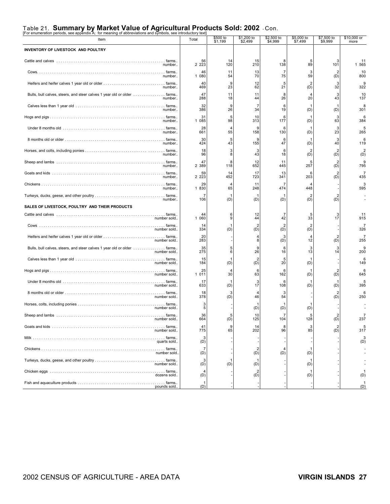### Table 21. **Summary by Market Value of Agricultural Products Sold: 2002** - Con. [For enumeration periods, see appendix A; for meaning of abbreviations and symbols, see introductory text]

| $\sim$ or enameration periods, see appendix $\sim$ , for meaning or abbreviations and symbols, see introductory text<br>Item | Total                                     | \$500 to<br>\$1,199  | \$1,200 to<br>\$2,499 | \$2,500 to<br>\$4,999 | \$5,000 to<br>\$7,499 | \$7,500 to<br>\$9,999 | \$10,000 or<br>more   |
|------------------------------------------------------------------------------------------------------------------------------|-------------------------------------------|----------------------|-----------------------|-----------------------|-----------------------|-----------------------|-----------------------|
| INVENTORY OF LIVESTOCK AND POULTRY                                                                                           |                                           |                      |                       |                       |                       |                       |                       |
| number                                                                                                                       | 56<br>2 2 2 3                             | 14<br>120            | 15<br>210             | 8<br>138              | 89                    | 101                   | 11<br>1 565           |
| number                                                                                                                       | 46<br>1 080                               | 11<br>54             | 13<br>70              | 75                    | 3<br>59               | (D)                   | 10<br>800             |
| number                                                                                                                       | 40<br>469                                 | 9<br>23              | 12<br>62              | 5<br>21               | (D)                   | З<br>32               | 9<br>322              |
| Bulls, bull calves, steers, and steer calves 1 year old or older  farms<br>number                                            | 47<br>288                                 | 11<br>18             | 11<br>44              | 8<br>26               | 20                    | 43                    | 10<br>137             |
| number                                                                                                                       | 32<br>386                                 | 9<br>26              | 7<br>34               | 6<br>19               | (D)                   | (D)                   | 8<br>301              |
| number                                                                                                                       | 31<br>085<br>1                            | 5<br>98              | 10<br>313             | 6<br>177              | (D)                   | 3<br>63               | 6<br>384              |
| number                                                                                                                       | 28<br>661                                 | $\overline{4}$<br>55 | 9<br>158              | ĥ<br>130              | (D)                   | З<br>23               | 5<br>265              |
| number                                                                                                                       | 30<br>424                                 | 5<br>43              | 155                   | 6<br>47               | (D)                   | 3<br>40               | 6<br>119              |
| number                                                                                                                       | 18<br>96                                  | 3<br>8               | 3<br>43               | 6<br>18               | (D)                   | (D)                   | $\overline{2}$<br>(D) |
| number                                                                                                                       | 47<br>2 389                               | 8<br>118             | 12<br>652             | 11<br>445             | 257                   | (D)                   | 9<br>795              |
| number                                                                                                                       | 59<br>2 2 2 3                             | 14<br>452            | 17<br>723             | $\frac{13}{341}$      | 203                   | (D)                   | 7<br>435              |
| number                                                                                                                       | $\begin{array}{c} 29 \\ 1830 \end{array}$ | $\overline{4}$<br>65 | 11<br>248             | 474                   | 448                   |                       | $3^{3}$               |
| number                                                                                                                       | 106                                       | (D)                  | (D)                   | (D)                   | (D)                   | (D)                   |                       |
| SALES OF LIVESTOCK, POULTRY AND THEIR PRODUCTS                                                                               |                                           |                      |                       |                       |                       |                       |                       |
| number sold                                                                                                                  | 44<br>1 060                               | 6<br>9               | 12<br>44              | 42                    | 5<br>33               | 3<br>17               | 11<br>915             |
| number sold                                                                                                                  | 14<br>334                                 | (D)                  | 2<br>(D)              | $\overline{2}$<br>(D) | $\overline{2}$<br>(D) |                       | $\overline{7}$<br>326 |
| number sold                                                                                                                  | 20<br>283                                 |                      | 8                     | 3<br>(D)              | 12                    | (D)                   | 7<br>255              |
| Bulls, bull calves, steers, and steer calves 1 year old or older  farms<br>number sold                                       | 35<br>275                                 | 5<br>6               | 9<br>26               | 6<br>16               | 3<br>13               | 3<br>14               | 9<br>200              |
|                                                                                                                              | 15<br>184                                 | (D)                  | 2<br>(D)              | 5<br>20               | (D)                   |                       | 6<br>149              |
| number sold                                                                                                                  | 25<br>1 0 1 1                             | $\overline{4}$<br>30 | 6<br>63               | 6<br>162              | (D)                   | (D)                   | 6<br>645              |
| number sold                                                                                                                  | 17<br>633                                 | (D)                  | 3<br>17               | 6<br>108              | (D)                   | (D)                   | 5<br>395              |
| number sold                                                                                                                  | 18<br>378                                 | 3<br>(D)             | 46                    | 54                    |                       | (D)                   | 6<br>250              |
| number sold.                                                                                                                 | 3<br>5                                    |                      | (D)                   | (D)                   | (D)                   |                       |                       |
| number sold                                                                                                                  | 36<br>664                                 | 5<br>(D)             | 10<br>125             | 7<br>104              | 5<br>128              |                       | $\overline{7}$<br>237 |
| number sold                                                                                                                  | 41<br>775                                 | 9<br>65              | 14<br>202             | 8<br>96               | 3<br>85               | $\overline{2}$<br>(D) | 5<br>317              |
| quarts sold                                                                                                                  | 3<br>(D)                                  |                      |                       |                       |                       |                       | 3<br>(D)              |
| number sold                                                                                                                  | 7<br>(D)                                  |                      | (D)                   | 4<br>(D)              | (D)                   |                       |                       |
| number sold                                                                                                                  | 3<br>(D)                                  | (D)                  | (D)                   |                       | (D)                   |                       |                       |
| dozens sold                                                                                                                  | (D)                                       |                      | (D)                   |                       | (D)                   |                       | (D)                   |
| pounds sold                                                                                                                  | (D)                                       |                      |                       |                       |                       |                       | (D)                   |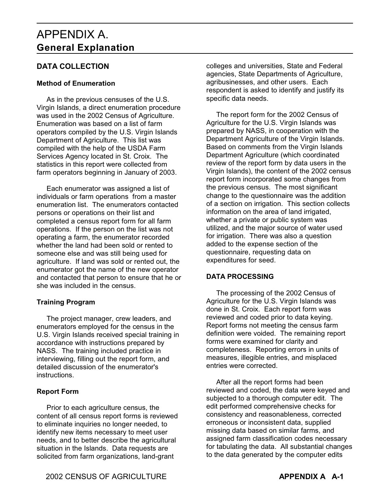### APPENDIX A. **General Explanation**

#### **DATA COLLECTION**

#### **Method of Enumeration**

 As in the previous censuses of the U.S. Virgin Islands, a direct enumeration procedure was used in the 2002 Census of Agriculture. Enumeration was based on a list of farm operators compiled by the U.S. Virgin Islands Department of Agriculture. This list was compiled with the help of the USDA Farm Services Agency located in St. Croix. The statistics in this report were collected from farm operators beginning in January of 2003.

 Each enumerator was assigned a list of individuals or farm operations from a master enumeration list. The enumerators contacted persons or operations on their list and completed a census report form for all farm operations. If the person on the list was not operating a farm, the enumerator recorded whether the land had been sold or rented to someone else and was still being used for agriculture. If land was sold or rented out, the enumerator got the name of the new operator and contacted that person to ensure that he or she was included in the census.

#### **Training Program**

 The project manager, crew leaders, and enumerators employed for the census in the U.S. Virgin Islands received special training in accordance with instructions prepared by NASS. The training included practice in interviewing, filling out the report form, and detailed discussion of the enumerator's instructions.

#### **Report Form**

 Prior to each agriculture census, the content of all census report forms is reviewed to eliminate inquiries no longer needed, to identify new items necessary to meet user needs, and to better describe the agricultural situation in the Islands. Data requests are solicited from farm organizations, land-grant

colleges and universities, State and Federal agencies, State Departments of Agriculture, agribusinesses, and other users. Each respondent is asked to identify and justify its specific data needs.

 The report form for the 2002 Census of Agriculture for the U.S. Virgin Islands was prepared by NASS, in cooperation with the Department Agriculture of the Virgin Islands. Based on comments from the Virgin Islands Department Agriculture (which coordinated review of the report form by data users in the Virgin Islands), the content of the 2002 census report form incorporated some changes from the previous census. The most significant change to the questionnaire was the addition of a section on irrigation. This section collects information on the area of land irrigated, whether a private or public system was utilized, and the major source of water used for irrigation. There was also a question added to the expense section of the questionnaire, requesting data on expenditures for seed.

#### **DATA PROCESSING**

 The processing of the 2002 Census of Agriculture for the U.S. Virgin Islands was done in St. Croix. Each report form was reviewed and coded prior to data keying. Report forms not meeting the census farm definition were voided. The remaining report forms were examined for clarity and completeness. Reporting errors in units of measures, illegible entries, and misplaced entries were corrected.

 After all the report forms had been reviewed and coded, the data were keyed and subjected to a thorough computer edit. The edit performed comprehensive checks for consistency and reasonableness, corrected erroneous or inconsistent data, supplied missing data based on similar farms, and assigned farm classification codes necessary for tabulating the data. All substantial changes to the data generated by the computer edits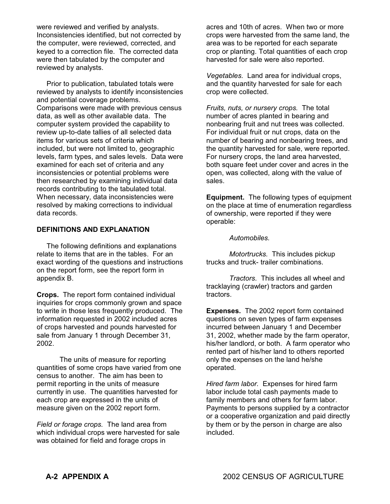were reviewed and verified by analysts. Inconsistencies identified, but not corrected by the computer, were reviewed, corrected, and keyed to a correction file. The corrected data were then tabulated by the computer and reviewed by analysts.

 Prior to publication, tabulated totals were reviewed by analysts to identify inconsistencies and potential coverage problems. Comparisons were made with previous census data, as well as other available data. The computer system provided the capability to review up-to-date tallies of all selected data items for various sets of criteria which included, but were not limited to, geographic levels, farm types, and sales levels. Data were examined for each set of criteria and any inconsistencies or potential problems were then researched by examining individual data records contributing to the tabulated total. When necessary, data inconsistencies were resolved by making corrections to individual data records.

#### **DEFINITIONS AND EXPLANATION**

 The following definitions and explanations relate to items that are in the tables. For an exact wording of the questions and instructions on the report form, see the report form in appendix B.

**Crops.** The report form contained individual inquiries for crops commonly grown and space to write in those less frequently produced. The information requested in 2002 included acres of crops harvested and pounds harvested for sale from January 1 through December 31, 2002.

The units of measure for reporting quantities of some crops have varied from one census to another. The aim has been to permit reporting in the units of measure currently in use. The quantities harvested for each crop are expressed in the units of measure given on the 2002 report form.

*Field or forage crops.* The land area from which individual crops were harvested for sale was obtained for field and forage crops in

acres and 10th of acres. When two or more crops were harvested from the same land, the area was to be reported for each separate crop or planting. Total quantities of each crop harvested for sale were also reported.

*Vegetables.* Land area for individual crops, and the quantity harvested for sale for each crop were collected.

*Fruits, nuts, or nursery crops.* The total number of acres planted in bearing and nonbearing fruit and nut trees was collected. For individual fruit or nut crops, data on the number of bearing and nonbearing trees, and the quantity harvested for sale, were reported. For nursery crops, the land area harvested, both square feet under cover and acres in the open, was collected, along with the value of sales.

**Equipment.** The following types of equipment on the place at time of enumeration regardless of ownership, were reported if they were operable:

*Automobiles.*

*Motortrucks.* This includes pickup trucks and truck- trailer combinations.

*Tractors.* This includes all wheel and tracklaying (crawler) tractors and garden tractors.

**Expenses.** The 2002 report form contained questions on seven types of farm expenses incurred between January 1 and December 31, 2002, whether made by the farm operator, his/her landlord, or both. A farm operator who rented part of his/her land to others reported only the expenses on the land he/she operated.

*Hired farm labor.* Expenses for hired farm labor include total cash payments made to family members and others for farm labor. Payments to persons supplied by a contractor or a cooperative organization and paid directly by them or by the person in charge are also included.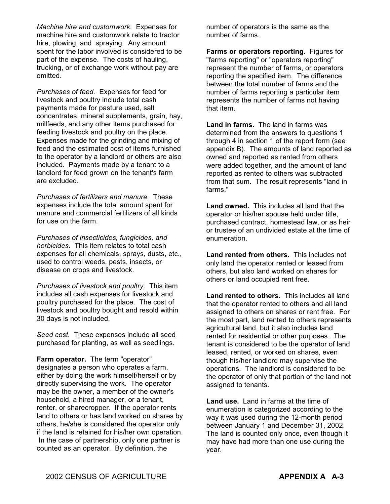*Machine hire and customwork.* Expenses for machine hire and customwork relate to tractor hire, plowing, and spraying. Any amount spent for the labor involved is considered to be part of the expense. The costs of hauling, trucking, or of exchange work without pay are omitted.

*Purchases of feed.* Expenses for feed for livestock and poultry include total cash payments made for pasture used, salt concentrates, mineral supplements, grain, hay, millfeeds, and any other items purchased for feeding livestock and poultry on the place. Expenses made for the grinding and mixing of feed and the estimated cost of items furnished to the operator by a landlord or others are also included. Payments made by a tenant to a landlord for feed grown on the tenant's farm are excluded.

*Purchases of fertilizers and manure.* These expenses include the total amount spent for manure and commercial fertilizers of all kinds for use on the farm.

*Purchases of insecticides, fungicides, and herbicides.* This item relates to total cash expenses for all chemicals, sprays, dusts, etc., used to control weeds, pests, insects, or disease on crops and livestock.

*Purchases of livestock and poultry.* This item includes all cash expenses for livestock and poultry purchased for the place. The cost of livestock and poultry bought and resold within 30 days is not included.

*Seed cost.* These expenses include all seed purchased for planting, as well as seedlings.

**Farm operator.** The term "operator" designates a person who operates a farm, either by doing the work himself/herself or by directly supervising the work. The operator may be the owner, a member of the owner's household, a hired manager, or a tenant, renter, or sharecropper. If the operator rents land to others or has land worked on shares by others, he/she is considered the operator only if the land is retained for his/her own operation. In the case of partnership, only one partner is counted as an operator. By definition, the

number of operators is the same as the number of farms.

**Farms or operators reporting.** Figures for "farms reporting" or "operators reporting" represent the number of farms, or operators reporting the specified item. The difference between the total number of farms and the number of farms reporting a particular item represents the number of farms not having that item.

**Land in farms.** The land in farms was determined from the answers to questions 1 through 4 in section 1 of the report form (see appendix B). The amounts of land reported as owned and reported as rented from others were added together, and the amount of land reported as rented to others was subtracted from that sum. The result represents "land in farms."

**Land owned.** This includes all land that the operator or his/her spouse held under title, purchased contract, homestead law, or as heir or trustee of an undivided estate at the time of enumeration.

**Land rented from others.** This includes not only land the operator rented or leased from others, but also land worked on shares for others or land occupied rent free.

**Land rented to others.** This includes all land that the operator rented to others and all land assigned to others on shares or rent free. For the most part, land rented to others represents agricultural land, but it also includes land rented for residential or other purposes. The tenant is considered to be the operator of land leased, rented, or worked on shares, even though his/her landlord may supervise the operations. The landlord is considered to be the operator of only that portion of the land not assigned to tenants.

**Land use.** Land in farms at the time of enumeration is categorized according to the way it was used during the 12-month period between January 1 and December 31, 2002. The land is counted only once, even though it may have had more than one use during the year.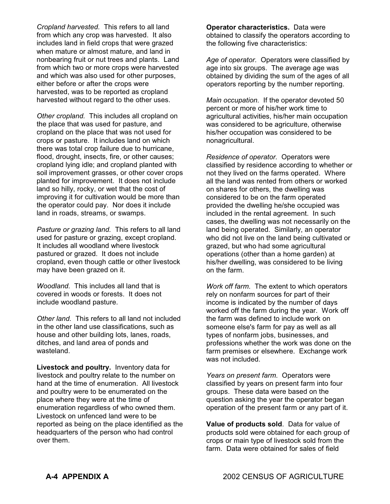*Cropland harvested.* This refers to all land from which any crop was harvested. It also includes land in field crops that were grazed when mature or almost mature, and land in nonbearing fruit or nut trees and plants. Land from which two or more crops were harvested and which was also used for other purposes, either before or after the crops were harvested, was to be reported as cropland harvested without regard to the other uses.

*Other cropland.* This includes all cropland on the place that was used for pasture, and cropland on the place that was not used for crops or pasture. It includes land on which there was total crop failure due to hurricane, flood, drought, insects, fire, or other causes; cropland lying idle; and cropland planted with soil improvement grasses, or other cover crops planted for improvement. It does not include land so hilly, rocky, or wet that the cost of improving it for cultivation would be more than the operator could pay. Nor does it include land in roads, streams, or swamps.

*Pasture or grazing land.* This refers to all land used for pasture or grazing, except cropland. It includes all woodland where livestock pastured or grazed. It does not include cropland, even though cattle or other livestock may have been grazed on it.

*Woodland.* This includes all land that is covered in woods or forests. It does not include woodland pasture.

*Other land.* This refers to all land not included in the other land use classifications, such as house and other building lots, lanes, roads, ditches, and land area of ponds and wasteland.

**Livestock and poultry.** Inventory data for livestock and poultry relate to the number on hand at the time of enumeration. All livestock and poultry were to be enumerated on the place where they were at the time of enumeration regardless of who owned them. Livestock on unfenced land were to be reported as being on the place identified as the headquarters of the person who had control over them.

**Operator characteristics.** Data were obtained to classify the operators according to the following five characteristics:

*Age of operator.* Operators were classified by age into six groups. The average age was obtained by dividing the sum of the ages of all operators reporting by the number reporting.

*Main occupation.* If the operator devoted 50 percent or more of his/her work time to agricultural activities, his/her main occupation was considered to be agriculture, otherwise his/her occupation was considered to be nonagricultural.

*Residence of operator.* Operators were classified by residence according to whether or not they lived on the farms operated. Where all the land was rented from others or worked on shares for others, the dwelling was considered to be on the farm operated provided the dwelling he/she occupied was included in the rental agreement. In such cases, the dwelling was not necessarily on the land being operated. Similarly, an operator who did not live on the land being cultivated or grazed, but who had some agricultural operations (other than a home garden) at his/her dwelling, was considered to be living on the farm.

*Work off farm.* The extent to which operators rely on nonfarm sources for part of their income is indicated by the number of days worked off the farm during the year. Work off the farm was defined to include work on someone else's farm for pay as well as all types of nonfarm jobs, businesses, and professions whether the work was done on the farm premises or elsewhere. Exchange work was not included.

*Years on present farm.* Operators were classified by years on present farm into four groups. These data were based on the question asking the year the operator began operation of the present farm or any part of it.

**Value of products sold**. Data for value of products sold were obtained for each group of crops or main type of livestock sold from the farm. Data were obtained for sales of field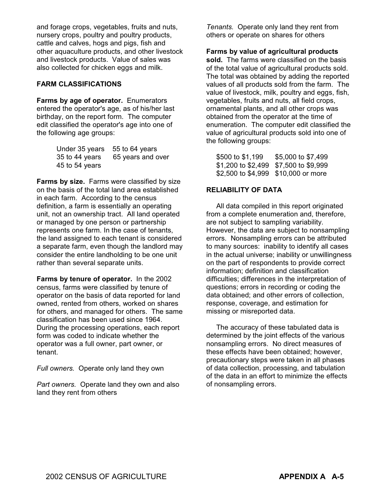and forage crops, vegetables, fruits and nuts, nursery crops, poultry and poultry products, cattle and calves, hogs and pigs, fish and other aquaculture products, and other livestock and livestock products. Value of sales was also collected for chicken eggs and milk.

#### **FARM CLASSIFICATIONS**

**Farms by age of operator.** Enumerators entered the operator's age, as of his/her last birthday, on the report form. The computer edit classified the operator's age into one of the following age groups:

| Under 35 years 55 to 64 years |                   |
|-------------------------------|-------------------|
| 35 to 44 years                | 65 years and over |
| 45 to 54 years                |                   |

**Farms by size.** Farms were classified by size on the basis of the total land area established in each farm. According to the census definition, a farm is essentially an operating unit, not an ownership tract. All land operated or managed by one person or partnership represents one farm. In the case of tenants, the land assigned to each tenant is considered a separate farm, even though the landlord may consider the entire landholding to be one unit rather than several separate units.

**Farms by tenure of operator.** In the 2002 census, farms were classified by tenure of operator on the basis of data reported for land owned, rented from others, worked on shares for others, and managed for others. The same classification has been used since 1964. During the processing operations, each report form was coded to indicate whether the operator was a full owner, part owner, or tenant.

*Full owners.* Operate only land they own

*Part owners.* Operate land they own and also land they rent from others

*Tenants.* Operate only land they rent from others or operate on shares for others

#### **Farms by value of agricultural products**

**sold.** The farms were classified on the basis of the total value of agricultural products sold. The total was obtained by adding the reported values of all products sold from the farm. The value of livestock, milk, poultry and eggs, fish, vegetables, fruits and nuts, all field crops, ornamental plants, and all other crops was obtained from the operator at the time of enumeration. The computer edit classified the value of agricultural products sold into one of the following groups:

| \$500 to \$1,199                      | \$5,000 to \$7,499 |
|---------------------------------------|--------------------|
| \$1,200 to \$2,499 \$7,500 to \$9,999 |                    |
| \$2,500 to \$4,999 \$10,000 or more   |                    |

#### **RELIABILITY OF DATA**

 All data compiled in this report originated from a complete enumeration and, therefore, are not subject to sampling variability. However, the data are subject to nonsampling errors. Nonsampling errors can be attributed to many sources: inability to identify all cases in the actual universe; inability or unwillingness on the part of respondents to provide correct information; definition and classification difficulties; differences in the interpretation of questions; errors in recording or coding the data obtained; and other errors of collection, response, coverage, and estimation for missing or misreported data.

 The accuracy of these tabulated data is determined by the joint effects of the various nonsampling errors. No direct measures of these effects have been obtained; however, precautionary steps were taken in all phases of data collection, processing, and tabulation of the data in an effort to minimize the effects of nonsampling errors.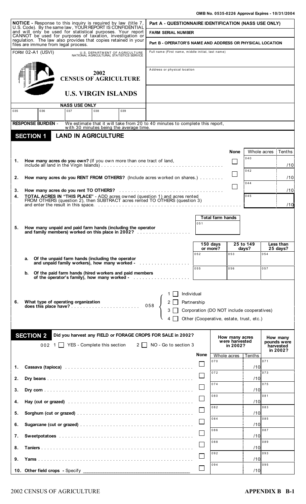|     | <b>NOTICE</b> - Response to this inquiry is required by law (title 7,<br>U.S. Code). By the same law, YOUR REPORT IS CONFIDENTIAL                                                                                              |                                   |                                                                            |                                                                                                                         | Part A - QUESTIONNAIRE IDENTIFICATION (NASS USE ONLY)     |                           |             |                         |                                  |                                           |                         |                       |
|-----|--------------------------------------------------------------------------------------------------------------------------------------------------------------------------------------------------------------------------------|-----------------------------------|----------------------------------------------------------------------------|-------------------------------------------------------------------------------------------------------------------------|-----------------------------------------------------------|---------------------------|-------------|-------------------------|----------------------------------|-------------------------------------------|-------------------------|-----------------------|
|     | and will only be used for statistical purposes. Your report<br>CANNOT be used for purposes of taxation, investigation or                                                                                                       |                                   |                                                                            |                                                                                                                         | <b>FARM SERIAL NUMBER</b>                                 |                           |             |                         |                                  |                                           |                         |                       |
|     | regulation. The law also provides that copies retained in your<br>files are immune from legal process.                                                                                                                         |                                   |                                                                            |                                                                                                                         | Part B - OPERATOR'S NAME AND ADDRESS OR PHYSICAL LOCATION |                           |             |                         |                                  |                                           |                         |                       |
|     | FORM 02-A1 (USVI)                                                                                                                                                                                                              |                                   | U.S. DEPARTMENT OF AGRICULTURE<br>NATIONAL AGRICULTURAL STATISTICS SERVICE |                                                                                                                         | Full name (First name, middle initial, last name)         |                           |             |                         |                                  |                                           |                         |                       |
|     |                                                                                                                                                                                                                                |                                   | 2002                                                                       |                                                                                                                         | Address or physical location                              |                           |             |                         |                                  |                                           |                         |                       |
|     |                                                                                                                                                                                                                                | <b>CENSUS OF AGRICULTURE</b>      |                                                                            |                                                                                                                         |                                                           |                           |             |                         |                                  |                                           |                         |                       |
|     |                                                                                                                                                                                                                                |                                   | <b>U.S. VIRGIN ISLANDS</b>                                                 |                                                                                                                         |                                                           |                           |             |                         |                                  |                                           |                         |                       |
|     |                                                                                                                                                                                                                                | <b>NASS USE ONLY</b><br>037       |                                                                            | 039                                                                                                                     |                                                           |                           |             |                         |                                  |                                           |                         |                       |
| 035 | 036                                                                                                                                                                                                                            |                                   | 038                                                                        |                                                                                                                         |                                                           |                           |             |                         |                                  |                                           |                         |                       |
|     | <b>RESPONSE BURDEN -</b>                                                                                                                                                                                                       |                                   |                                                                            | We estimate that it will take from 20 to 40 minutes to complete this report,<br>with 30 minutes being the average time. |                                                           |                           |             |                         |                                  |                                           |                         |                       |
|     | <b>SECTION 1</b>                                                                                                                                                                                                               | <b>LAND IN AGRICULTURE</b>        |                                                                            |                                                                                                                         |                                                           |                           |             |                         |                                  |                                           |                         |                       |
|     |                                                                                                                                                                                                                                |                                   |                                                                            |                                                                                                                         |                                                           |                           |             |                         |                                  |                                           |                         |                       |
|     | How many acres do you own? (If you own more than one tract of land,                                                                                                                                                            |                                   |                                                                            |                                                                                                                         |                                                           |                           |             |                         | <b>None</b>                      | 040                                       | Whole acres : Tenths    |                       |
| 1.  |                                                                                                                                                                                                                                |                                   |                                                                            |                                                                                                                         |                                                           |                           |             |                         |                                  | 042                                       |                         | /10                   |
| 2.  | How many acres do you RENT FROM OTHERS? (Include acres worked on shares.)                                                                                                                                                      |                                   |                                                                            |                                                                                                                         |                                                           |                           |             |                         |                                  |                                           |                         | /10                   |
| 3.  |                                                                                                                                                                                                                                |                                   |                                                                            |                                                                                                                         |                                                           |                           |             |                         |                                  | 044                                       |                         | /10                   |
| 4.  | TOTAL ACRES IN "THIS PLACE" - ADD acres owned (question 1) and acres rented<br>FROM OTHERS (question 2), then SUBTRACT acres rented TO OTHERS (question 3)                                                                     |                                   |                                                                            |                                                                                                                         |                                                           |                           |             |                         |                                  | 045                                       |                         |                       |
|     |                                                                                                                                                                                                                                |                                   |                                                                            |                                                                                                                         |                                                           |                           |             |                         |                                  |                                           |                         | /10                   |
|     |                                                                                                                                                                                                                                |                                   |                                                                            |                                                                                                                         |                                                           |                           |             | <b>Total farm hands</b> |                                  |                                           |                         |                       |
| 5.  | How many unpaid and paid farm hands (including the operator                                                                                                                                                                    |                                   |                                                                            |                                                                                                                         |                                                           |                           | 051         |                         |                                  |                                           |                         |                       |
|     | and family members) worked on this place in 2002?                                                                                                                                                                              |                                   |                                                                            |                                                                                                                         |                                                           |                           |             |                         |                                  |                                           |                         |                       |
|     |                                                                                                                                                                                                                                |                                   |                                                                            |                                                                                                                         |                                                           |                           |             | 150 days<br>or more?    |                                  | 25 to 149<br>days?                        |                         | Less than<br>25 days? |
|     | Of the unpaid farm hands (including the operator<br>a.                                                                                                                                                                         |                                   |                                                                            |                                                                                                                         |                                                           |                           | 052         |                         | 053                              |                                           | 054                     |                       |
|     | and unpaid family workers), how many worked -                                                                                                                                                                                  |                                   |                                                                            |                                                                                                                         |                                                           |                           | 055         |                         | 056                              |                                           | 057                     |                       |
|     | Of the paid farm hands (hired workers and paid members<br>b.<br>of the operator's family), how many worked -                                                                                                                   |                                   |                                                                            |                                                                                                                         |                                                           |                           |             |                         |                                  |                                           |                         |                       |
| 6.  | What type of operating organization                                                                                                                                                                                            |                                   |                                                                            |                                                                                                                         |                                                           | Individual<br>Partnership |             |                         |                                  |                                           |                         |                       |
|     |                                                                                                                                                                                                                                |                                   |                                                                            |                                                                                                                         | $058$ $\left\{$                                           |                           |             |                         |                                  | Corporation (DO NOT include cooperatives) |                         |                       |
|     |                                                                                                                                                                                                                                |                                   |                                                                            |                                                                                                                         |                                                           |                           |             |                         |                                  | Other (Cooperative, estate, trust, etc.)  |                         |                       |
|     |                                                                                                                                                                                                                                |                                   |                                                                            |                                                                                                                         |                                                           |                           |             |                         |                                  |                                           |                         |                       |
|     | <b>SECTION 2</b>                                                                                                                                                                                                               |                                   |                                                                            | Did you harvest any FIELD or FORAGE CROPS FOR SALE in 2002?                                                             |                                                           |                           |             |                         | How many acres<br>were harvested |                                           | How many<br>pounds were |                       |
|     |                                                                                                                                                                                                                                | 002 1 YES - Complete this section |                                                                            |                                                                                                                         | 2   NO - Go to section 3                                  |                           |             |                         | in 2002?                         |                                           | harvested               | in 2002?              |
|     |                                                                                                                                                                                                                                |                                   |                                                                            |                                                                                                                         |                                                           |                           | <b>None</b> | 070                     |                                  | Whole acres : Tenths                      | 071                     |                       |
| 1.  |                                                                                                                                                                                                                                |                                   |                                                                            |                                                                                                                         |                                                           |                           |             | 072                     |                                  | /10                                       | 073                     |                       |
| 2.  |                                                                                                                                                                                                                                |                                   |                                                                            |                                                                                                                         |                                                           |                           | $\Box$      |                         |                                  | /10                                       |                         |                       |
| 3.  |                                                                                                                                                                                                                                |                                   |                                                                            |                                                                                                                         |                                                           |                           | $\Box$      | 074                     |                                  | /10                                       | 075                     |                       |
| 4.  | Hay (cut or grazed) entertainment and the state of the state of the state of the state of the state of the state of the state of the state of the state of the state of the state of the state of the state of the state of th |                                   |                                                                            |                                                                                                                         |                                                           |                           | $\Box$      | 080                     |                                  | /10                                       | 081                     |                       |
| 5.  |                                                                                                                                                                                                                                |                                   |                                                                            |                                                                                                                         |                                                           |                           | $\Box$      | 082                     |                                  | /10                                       | 083                     |                       |
| 6.  |                                                                                                                                                                                                                                |                                   |                                                                            |                                                                                                                         |                                                           |                           | $\Box$      | 084                     |                                  | /10                                       | 085                     |                       |
|     |                                                                                                                                                                                                                                |                                   |                                                                            |                                                                                                                         |                                                           |                           | $\Box$      | 086                     |                                  |                                           | 087                     |                       |
| 7.  |                                                                                                                                                                                                                                |                                   |                                                                            |                                                                                                                         |                                                           |                           | l l         | 088                     |                                  | /10                                       | 089                     |                       |
| 8.  |                                                                                                                                                                                                                                |                                   |                                                                            |                                                                                                                         |                                                           |                           |             | 092                     |                                  | /10                                       | 093                     |                       |
| 9.  |                                                                                                                                                                                                                                |                                   |                                                                            |                                                                                                                         |                                                           |                           |             | 094                     |                                  | /10                                       | 095                     |                       |
|     | 10. Other field crops - Specify                                                                                                                                                                                                |                                   |                                                                            |                                                                                                                         |                                                           |                           | $\Box$      |                         |                                  | /10                                       |                         |                       |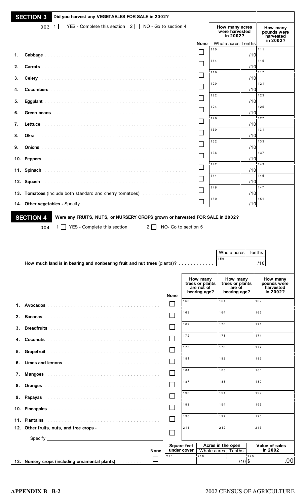|    | <b>SECTION 3</b><br>Did you harvest any VEGETABLES FOR SALE in 2002?                                                                |             |             |                                   |                                               |                   |                                                                    |                                                  |
|----|-------------------------------------------------------------------------------------------------------------------------------------|-------------|-------------|-----------------------------------|-----------------------------------------------|-------------------|--------------------------------------------------------------------|--------------------------------------------------|
|    | 003 1 YES - Complete this section 2 NO - Go to section 4                                                                            |             |             |                                   | <b>None</b>                                   |                   | How many acres<br>were harvested<br>in 2002?<br>Whole acres Tenths | How many<br>pounds were<br>harvested<br>in 2002? |
| 1. |                                                                                                                                     |             |             |                                   |                                               | 110               | /10                                                                | 111                                              |
| 2. |                                                                                                                                     |             |             |                                   |                                               | 114               | /10                                                                | 115                                              |
|    |                                                                                                                                     |             |             |                                   |                                               | 116               |                                                                    | 117                                              |
| 3. |                                                                                                                                     |             |             |                                   |                                               | 120               | /10                                                                | 121                                              |
| 4. |                                                                                                                                     |             |             |                                   |                                               | 122               | /10                                                                | 123                                              |
| 5. |                                                                                                                                     |             |             |                                   |                                               | 124               | /10                                                                | 125                                              |
| 6. |                                                                                                                                     |             |             |                                   |                                               | 126               | /10                                                                | 127                                              |
| 7. |                                                                                                                                     |             |             |                                   |                                               | 130               | /10                                                                | 131                                              |
| 8. |                                                                                                                                     |             |             |                                   |                                               | 132               | /10                                                                | 133                                              |
| 9. |                                                                                                                                     |             |             |                                   |                                               | 136               | /10                                                                | 137                                              |
|    |                                                                                                                                     |             |             |                                   |                                               | 142               | /10                                                                | 143                                              |
|    |                                                                                                                                     |             |             |                                   |                                               | 144               | /10                                                                | 145                                              |
|    |                                                                                                                                     |             |             |                                   |                                               | 146               | /10                                                                | 147                                              |
|    | 13. Tomatoes (Include both standard and cherry tomatoes)                                                                            |             |             |                                   |                                               |                   | /10                                                                | 151                                              |
|    | 14. Other vegetables - Specify <b>Constant Constant Constant Constant Constant Constant Constant Constant Constant</b>              |             |             |                                   |                                               | 150               | /10                                                                |                                                  |
|    | YES - Complete this section<br>$2 \mid$<br>004<br>1    <br>How much land is in bearing and nonbearing fruit and nut trees (plants)? |             |             | NO- Go to section 5               | How many                                      | 159               | Whole acres: Tenths<br>How many                                    | /10<br>How many                                  |
|    |                                                                                                                                     |             | <b>None</b> |                                   | trees or plants<br>are not of<br>bearing age? |                   | trees or plants<br>are of<br>bearing age?                          | pounds were<br>harvested<br>in 2002?             |
|    |                                                                                                                                     |             | l II        | 160                               |                                               | 161               |                                                                    | 162                                              |
| 2. |                                                                                                                                     |             |             | 163                               |                                               | 164               |                                                                    | 165                                              |
| 3. |                                                                                                                                     |             |             | 169                               |                                               | 170               |                                                                    | 171                                              |
| 4. |                                                                                                                                     |             |             | 172                               |                                               | 173               |                                                                    | 174                                              |
| 5. |                                                                                                                                     |             |             | 175                               |                                               | 176               |                                                                    | 177                                              |
| 6. |                                                                                                                                     |             |             | 181                               |                                               | 182               |                                                                    | 183                                              |
| 7. |                                                                                                                                     |             |             | 184                               |                                               | 185               |                                                                    | 186                                              |
| 8. |                                                                                                                                     |             | П           | 187                               |                                               | 188               |                                                                    | 189                                              |
| 9. |                                                                                                                                     |             |             | 190                               |                                               | 191               |                                                                    | 192                                              |
|    |                                                                                                                                     |             |             | 193                               |                                               | 194               |                                                                    | 195                                              |
|    |                                                                                                                                     |             |             | 196                               |                                               | 197               |                                                                    | 198                                              |
|    | 12. Other fruits, nuts, and tree crops -                                                                                            |             |             | 211                               |                                               | 212               |                                                                    | 213                                              |
|    |                                                                                                                                     | <b>None</b> |             | <b>Square feet</b><br>under cover |                                               | Acres in the open | Whole acres   Tenths                                               | Value of sales<br>in 2002                        |
|    | 13. Nursery crops (including ornamental plants)                                                                                     |             | 218         |                                   | 219                                           |                   | 220<br>$/10$ \$                                                    | .00                                              |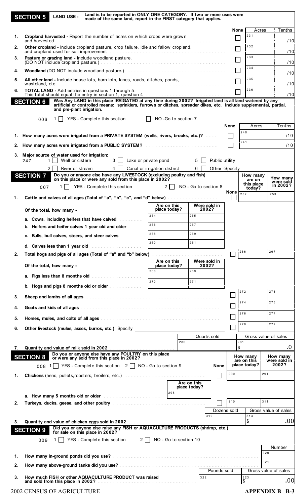|    | <b>SECTION 5</b> | <b>LAND USE -</b>                                                         |                                                                                                                                                                       | Land is to be reported in ONLY ONE CATEGORY. If two or more uses were<br>made of the same land, report in the FIRST category that applies. |            |                             |                      |                       |                |                |                         |       |                          |
|----|------------------|---------------------------------------------------------------------------|-----------------------------------------------------------------------------------------------------------------------------------------------------------------------|--------------------------------------------------------------------------------------------------------------------------------------------|------------|-----------------------------|----------------------|-----------------------|----------------|----------------|-------------------------|-------|--------------------------|
|    |                  |                                                                           |                                                                                                                                                                       |                                                                                                                                            |            |                             |                      |                       |                |                | None                    | Acres | <b>Tenths</b>            |
| 1. |                  |                                                                           | Cropland harvested - Report the number of acres on which crops were grown                                                                                             |                                                                                                                                            |            |                             |                      |                       |                |                | 231                     |       | /10                      |
| 2. |                  |                                                                           | Other cropland - Include cropland pasture, crop failure, idle and fallow cropland,                                                                                    |                                                                                                                                            |            |                             |                      |                       |                |                | 232                     |       | /10                      |
| 3. |                  |                                                                           | Pasture or grazing land - Include woodland pasture.                                                                                                                   |                                                                                                                                            |            |                             |                      |                       |                |                | 233<br>$\Box$           |       | /10                      |
| 4. |                  |                                                                           |                                                                                                                                                                       |                                                                                                                                            |            |                             |                      |                       |                |                | 234<br>l l              |       |                          |
| 5. |                  |                                                                           | All other land - Include house lots, barn lots, lanes, roads, ditches, ponds,                                                                                         |                                                                                                                                            |            |                             |                      |                       |                |                | 235                     |       | /10                      |
| 6. |                  |                                                                           | <b>TOTAL LAND - Add entries in questions 1 through 5.</b>                                                                                                             |                                                                                                                                            |            |                             |                      |                       |                |                | 236                     |       | /10                      |
|    | <b>SECTION 6</b> |                                                                           | This total should equal the entry in section 1, question 4<br>Was Any LAND in this place IRRIGATED at any time during 2002? Irrigated land is all land watered by any |                                                                                                                                            |            |                             |                      |                       |                |                |                         |       | /10                      |
|    |                  | and pre-plant irrigation.                                                 | artificial or controlled means: sprinklers, furrows or ditches, spreader dikes, etc. Include supplemental, partial,                                                   |                                                                                                                                            |            |                             |                      |                       |                |                |                         |       |                          |
|    | 006              | 1 I I                                                                     | YES - Complete this section                                                                                                                                           |                                                                                                                                            |            |                             | NO -Go to section 7  |                       |                |                |                         |       |                          |
|    |                  |                                                                           |                                                                                                                                                                       |                                                                                                                                            |            |                             |                      |                       |                | <b>None</b>    | 240                     | Acres | Tenths                   |
|    |                  |                                                                           | 1. How many acres were irrigated from a PRIVATE SYSTEM (wells, rivers, brooks, etc.)?                                                                                 |                                                                                                                                            |            |                             |                      |                       |                |                | 241                     |       | /10                      |
|    |                  |                                                                           | 2. How many acres were irrigated from a PUBLIC SYSTEM?                                                                                                                |                                                                                                                                            |            |                             |                      |                       |                |                |                         |       | /10                      |
|    | 247              | 3. Major source of water used for irrigation:<br>Well or cistern<br>1 I I |                                                                                                                                                                       | 3   Lake or private pond                                                                                                                   |            |                             |                      | 5 I I                 | Public utility |                |                         |       |                          |
|    |                  | 2 I<br>River or stream                                                    |                                                                                                                                                                       | $4 \Box$ Canal or irrigation district                                                                                                      |            |                             |                      | $6 \mid \mid$         |                | Other -Specify |                         |       |                          |
|    | <b>SECTION 7</b> |                                                                           | Do you or anyone else have any LIVESTOCK (excluding poultry and fish) on this place or were any sold from this place in 2002?                                         |                                                                                                                                            |            |                             |                      |                       |                |                | How many<br>are on      |       | How many<br>were sold    |
|    | 007              | 1                                                                         | YES - Complete this section                                                                                                                                           |                                                                                                                                            |            | $2 \mid$                    | NO - Go to section 8 |                       |                | <b>None</b>    | this place<br>today?    |       | in 2002?                 |
| 1. |                  |                                                                           | Cattle and calves of all ages (Total of "a", "b", "c", and "d" below)                                                                                                 |                                                                                                                                            |            |                             |                      |                       |                |                | 252                     |       | 253                      |
|    |                  | Of the total, how many -                                                  |                                                                                                                                                                       |                                                                                                                                            |            | Are on this<br>place today? |                      | Were sold in<br>2002? |                |                |                         |       |                          |
|    |                  |                                                                           | a. Cows, including heifers that have calved                                                                                                                           |                                                                                                                                            | 254        |                             | 255                  |                       |                |                |                         |       |                          |
|    |                  |                                                                           | b. Heifers and heifer calves 1 year old and older                                                                                                                     |                                                                                                                                            | 256        |                             | 257                  |                       |                |                |                         |       |                          |
|    |                  |                                                                           | c. Bulls, bull calves, steers, and steer calves                                                                                                                       |                                                                                                                                            | 258<br>260 |                             | 259<br>261           |                       |                |                |                         |       |                          |
|    |                  |                                                                           | d. Calves less than 1 year old $\ldots$                                                                                                                               |                                                                                                                                            |            |                             |                      |                       |                |                | 266                     |       | 267                      |
| 2. |                  |                                                                           | Total hogs and pigs of all ages (Total of "a" and "b" below)                                                                                                          |                                                                                                                                            |            | Are on this                 |                      | Were sold in          |                |                |                         |       |                          |
|    |                  | Of the total, how many -                                                  |                                                                                                                                                                       |                                                                                                                                            | 268        | place today?                | 269                  | 2002?                 |                |                |                         |       |                          |
|    |                  |                                                                           | a. Pigs less than 8 months old $\ldots$                                                                                                                               |                                                                                                                                            | 270        |                             | 271                  |                       |                |                |                         |       |                          |
|    |                  |                                                                           | b. Hogs and pigs 8 months old or older $\ldots \ldots \ldots$                                                                                                         |                                                                                                                                            |            |                             |                      |                       |                |                | 272                     |       | 273                      |
| 3. |                  |                                                                           |                                                                                                                                                                       |                                                                                                                                            |            |                             |                      |                       |                |                | 274                     |       | 275                      |
| 4. |                  |                                                                           |                                                                                                                                                                       |                                                                                                                                            |            |                             |                      |                       |                |                | 276                     |       | 277                      |
| 5. |                  |                                                                           |                                                                                                                                                                       |                                                                                                                                            |            |                             |                      |                       |                |                | 278                     |       | 279                      |
| 6. |                  |                                                                           | Other livestock (mules, asses, burros, etc.) Specify                                                                                                                  |                                                                                                                                            |            |                             |                      |                       |                |                |                         |       |                          |
|    |                  |                                                                           |                                                                                                                                                                       |                                                                                                                                            |            |                             | 280                  | Quarts sold           |                |                | 281                     |       | Gross value of sales     |
| 7. |                  |                                                                           | Do you or anyone else have any POULTRY on this place                                                                                                                  |                                                                                                                                            |            |                             |                      |                       |                |                | \$                      |       | .0                       |
|    | <b>SECTION 8</b> |                                                                           | or were any sold from this place in 2002?                                                                                                                             |                                                                                                                                            |            |                             |                      |                       |                |                | How many<br>are on this |       | How many<br>were sold in |
|    |                  |                                                                           | 008 1 YES - Complete this section 2 NO - Go to section 9                                                                                                              |                                                                                                                                            |            |                             |                      |                       | None           | 290            | place today?            | 291   | 2002?                    |
| 1. |                  |                                                                           |                                                                                                                                                                       |                                                                                                                                            |            |                             | Are on this          |                       |                |                |                         |       |                          |
|    |                  |                                                                           |                                                                                                                                                                       |                                                                                                                                            |            | 298                         | place today?         |                       |                |                |                         |       |                          |
| 2. |                  |                                                                           | a. How many 5 months old or older                                                                                                                                     |                                                                                                                                            |            |                             |                      |                       |                | 310            |                         | 311   |                          |
|    |                  |                                                                           |                                                                                                                                                                       |                                                                                                                                            |            |                             |                      |                       |                | Dozens sold    |                         |       | Gross value of sales     |
| 3. |                  |                                                                           |                                                                                                                                                                       |                                                                                                                                            |            |                             |                      | 312                   |                |                | 313<br>\$               |       | .00                      |
|    | <b>SECTION 9</b> |                                                                           | Did you or anyone else raise any FISH or AQUACULTURE PRODUCTS (shrimp, etc.)<br>for sale on this place in 2002?                                                       |                                                                                                                                            |            |                             |                      |                       |                |                |                         |       |                          |
|    | 009              | 1 I                                                                       | YES - Complete this section $2 \n\begin{array}{ c c } \n\hline\n1 & \text{NO} - \text{Go} \n\end{array}$ to section 10                                                |                                                                                                                                            |            |                             |                      |                       |                |                |                         |       |                          |
|    |                  |                                                                           |                                                                                                                                                                       |                                                                                                                                            |            |                             |                      |                       |                |                |                         | 320   | Number                   |
| 1. |                  |                                                                           |                                                                                                                                                                       |                                                                                                                                            |            |                             |                      |                       |                |                |                         | 321   |                          |
| 2. |                  |                                                                           |                                                                                                                                                                       |                                                                                                                                            |            |                             |                      |                       | Pounds sold    |                |                         |       | Gross value of sales     |
| 3. |                  |                                                                           | How much FISH or other AQUACULTURE PRODUCT was raised                                                                                                                 |                                                                                                                                            |            |                             |                      | 322                   |                |                | 323<br>\$               |       | .00                      |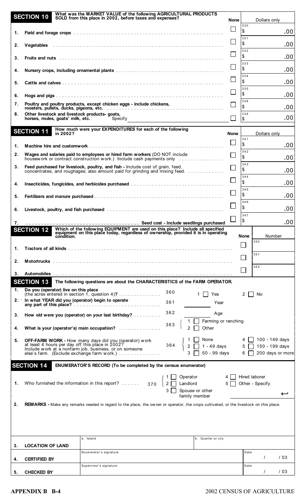|    | <b>SECTION 10</b>                                         | What was the MARKET VALUE of the following AGRICULTURAL PRODUCTS<br>SOLD from this place in 2002, before taxes and expenses?                                          |                 |                                                                                                                        | <b>None</b>              |                          | Dollars only                     |                  |
|----|-----------------------------------------------------------|-----------------------------------------------------------------------------------------------------------------------------------------------------------------------|-----------------|------------------------------------------------------------------------------------------------------------------------|--------------------------|--------------------------|----------------------------------|------------------|
| 1. |                                                           |                                                                                                                                                                       |                 |                                                                                                                        |                          | 330<br>\$                |                                  | .00              |
| 2. |                                                           |                                                                                                                                                                       |                 |                                                                                                                        | $\overline{\phantom{a}}$ | 331<br>\$                |                                  | .00              |
| 3. |                                                           |                                                                                                                                                                       |                 |                                                                                                                        | $\mathsf{L}$             | 332<br>\$                |                                  | .00              |
| 4. |                                                           |                                                                                                                                                                       |                 |                                                                                                                        | $\Box$                   | 333<br>\$                |                                  | .00              |
| 5. |                                                           |                                                                                                                                                                       |                 |                                                                                                                        |                          | 334<br>\$                |                                  | .00              |
| 6. |                                                           |                                                                                                                                                                       |                 |                                                                                                                        |                          | 335<br>\$                |                                  | .00              |
| 7. |                                                           | Poultry and poultry products, except chicken eggs - include chickens,                                                                                                 |                 |                                                                                                                        |                          | 336<br>\$                |                                  | .00              |
| 8. | Other livestock and livestock products- goats,            | horses, mules, goats' milk, etc. Specify Specify                                                                                                                      |                 |                                                                                                                        |                          | 338<br>$\sqrt{2}$        |                                  | .00              |
|    | <b>SECTION 11</b><br>in 2002?                             | How much were your EXPENDITURES for each of the following                                                                                                             |                 |                                                                                                                        | <b>None</b>              |                          | Dollars only                     |                  |
| 1. |                                                           |                                                                                                                                                                       |                 |                                                                                                                        |                          | 341<br>\$                |                                  | .00              |
| 2. |                                                           | Wages and salaries paid to employees or hired farm workers (DO NOT include<br>housework or contract construction work.) Include cash payments only                    |                 |                                                                                                                        | $\Box$                   | 342<br>\$                |                                  | .00              |
| 3. |                                                           | Feed purchased for livestock, poultry, and fish - Include cost of grain, feed,<br>concentrates, and roughages; also amount paid for grinding and mixing feed.         |                 |                                                                                                                        |                          | 343<br>\$                |                                  | .00              |
| 4. |                                                           | Insecticides, fungicides, and herbicides purchased                                                                                                                    |                 |                                                                                                                        | $\Box$                   | 344<br>\$                |                                  | .00              |
| 5. |                                                           |                                                                                                                                                                       |                 |                                                                                                                        | $\Box$                   | 345<br>\$                |                                  | .00              |
|    |                                                           |                                                                                                                                                                       |                 |                                                                                                                        |                          | 346<br>\$                |                                  | .00              |
| 6. |                                                           |                                                                                                                                                                       |                 |                                                                                                                        |                          | 347<br>\$                |                                  |                  |
| 7. | <b>SECTION 12</b>                                         | Which of the following EQUIPMENT are used on this place? Include all specified<br>equipment on this place today, regardless of ownership, provided it is in operating |                 |                                                                                                                        |                          |                          |                                  | .00              |
|    | condition.                                                |                                                                                                                                                                       |                 |                                                                                                                        |                          | <b>None</b>              | 350                              | Number           |
| 1. |                                                           |                                                                                                                                                                       |                 |                                                                                                                        |                          |                          | 351                              |                  |
| 2. |                                                           |                                                                                                                                                                       |                 |                                                                                                                        |                          |                          | 352                              |                  |
| 3. |                                                           |                                                                                                                                                                       |                 |                                                                                                                        |                          |                          |                                  |                  |
| 1. | <b>SECTION 13</b><br>Do you (operator) live on this place | The following questions are about the CHARACTERISTICS of the FARM OPERATOR.                                                                                           |                 |                                                                                                                        |                          |                          |                                  |                  |
|    | 2: In what YEAR did you (operator) begin to operate       | (the acres entered in section 1, question 4)?                                                                                                                         | 360             | Yes                                                                                                                    |                          | $2 \mid \mid$            | No                               |                  |
|    |                                                           |                                                                                                                                                                       | 361             | Year                                                                                                                   |                          |                          |                                  |                  |
| 3. |                                                           | How old were you (operator) on your last birthday?                                                                                                                    | 362             | Age<br>Farming or ranching                                                                                             |                          |                          |                                  |                  |
| 4. |                                                           | What is your (operator's) main occupation?                                                                                                                            | 363             | Other                                                                                                                  |                          |                          |                                  |                  |
| 5. | at least 4 hours per day off this place in 2002?          | <b>OFF-FARM WORK - How many days did you (operator) work</b><br>Include work at a nonfarm job, business, or on someone<br>else's farm. (Exclude exchange farm work.)  | 364<br>$2\Box$  | None                  4  ∐   100 - 149 days<br>  1 - 49 days           5 <mark>∏</mark> 150 - 199 days<br>50 - 99 days |                          | $6 \square$              | 4 100 - 149 days                 | 200 days or more |
|    | <b>SECTION 14</b>                                         | <b>ENUMERATOR'S RECORD (To be completed by the census enumerator)</b>                                                                                                 |                 |                                                                                                                        |                          |                          |                                  |                  |
| 1. |                                                           | Who furnished the information in this report?  370                                                                                                                    | $\Box$ Landlord | Operator<br>Spouse or other<br>family member                                                                           | $5\Box$                  |                          | Hired laborer<br>Other - Specify |                  |
| 2. |                                                           | <b>REMARKS</b> - Make any remarks needed in regard to the place, the owner or operator, the crops cultivated, or the livestock on this place.                         |                 |                                                                                                                        |                          |                          |                                  |                  |
|    |                                                           |                                                                                                                                                                       |                 |                                                                                                                        |                          |                          |                                  |                  |
| 3. | <b>LOCATION OF LAND</b>                                   | a. Island                                                                                                                                                             |                 | b. Quarter or city                                                                                                     |                          |                          |                                  |                  |
| 4. | <b>CERTIFIED BY</b>                                       | Enumerator's signature                                                                                                                                                |                 |                                                                                                                        |                          | Date                     |                                  | /03              |
| 5. | <b>CHECKED BY</b>                                         | Supervisor's signature                                                                                                                                                |                 |                                                                                                                        |                          | ${\small \textsf{Date}}$ |                                  | /03              |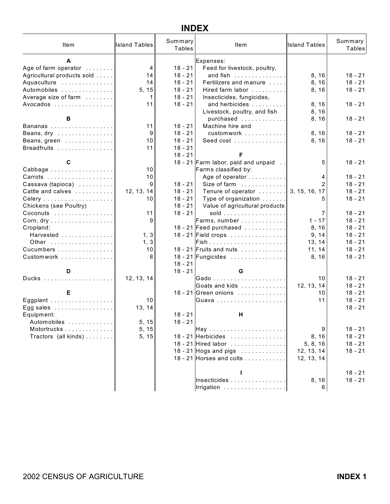### **INDEX**

| Item                                       | <b>Island Tables</b> | Summary<br><b>Tables</b> | Item                                         | <b>Island Tables</b> | Summary<br>Tables |
|--------------------------------------------|----------------------|--------------------------|----------------------------------------------|----------------------|-------------------|
| A                                          |                      |                          | Expenses:                                    |                      |                   |
| Age of farm operator                       | $\overline{4}$       | $18 - 21$                | Feed for livestock, poultry,                 |                      |                   |
| Agricultural products sold                 | 14                   | $18 - 21$                | and fish                                     | 8, 16                | $18 - 21$         |
| Aquaculture                                | 14                   | $18 - 21$                | Fertilizers and manure                       | 8, 16                | $18 - 21$         |
| Automobiles                                | 5, 15                | $18 - 21$                | Hired farm labor                             | 8, 16                | $18 - 21$         |
| Average size of farm                       | 1                    | $18 - 21$                | Insecticides, fungicides,                    |                      |                   |
| Avocados                                   | 11                   | $18 - 21$                | and herbicides                               | 8, 16                | $18 - 21$         |
|                                            |                      |                          | Livestock, poultry, and fish                 | 8, 16                |                   |
| В                                          |                      |                          | purchased                                    | 8, 16                | $18 - 21$         |
| Bananas                                    | 11                   | $18 - 21$                | Machine hire and                             |                      |                   |
| Beans, dry                                 | 9                    | $18 - 21$                | customwork                                   | 8, 16                | $18 - 21$         |
| Beans, green                               | 10                   | $18 - 21$                | Seed cost                                    | 8, 16                | $18 - 21$         |
| Breadfruits                                | 11                   | $18 - 21$                |                                              |                      |                   |
|                                            |                      | $18 - 21$                | F                                            |                      |                   |
| С                                          |                      |                          | 18 - 21 Farm labor, paid and unpaid          | 5                    | $18 - 21$         |
| Cabbage                                    | 10                   |                          | Farms classified by:                         |                      |                   |
| Carrots                                    | 10                   |                          | Age of operator                              | 4                    | $18 - 21$         |
| Cassava (tapioca)                          | 9                    | 18 - 21                  | Size of farm                                 | $\overline{2}$       | $18 - 21$         |
| Cattle and calves                          | 12, 13, 14           | $18 - 21$                | Tenure of operator                           | 3, 15, 16, 17        | $18 - 21$         |
|                                            | 10                   | $18 - 21$                | Type of organization                         | 5.                   | $18 - 21$         |
| Chickens (see Poultry)                     |                      | $18 - 21$                | Value of agricultural products               |                      |                   |
| Coconuts                                   | 11                   | $18 - 21$                |                                              | 7                    | $18 - 21$         |
| Corn, dry                                  | 9                    |                          | Farms, number                                | $1 - 17$             | $18 - 21$         |
| Cropland:                                  |                      |                          | 18 - 21 Feed purchased                       | 8, 16                | $18 - 21$         |
| Harvested                                  | 1, 3                 |                          |                                              | 9, 14                | $18 - 21$         |
| Other                                      | 1, 3                 |                          |                                              | 13, 14               | $18 - 21$         |
| Cucumbers                                  | 10                   |                          | 18 - 21 Fruits and nuts $\dots \dots \dots$  | 11, 14               | $18 - 21$         |
| Customwork                                 | 8                    |                          | 18 - 21 Fungicides                           | 8, 16                | $18 - 21$         |
| D                                          |                      | $18 - 21$<br>$18 - 21$   | G                                            |                      |                   |
|                                            | 12, 13, 14           |                          |                                              | 10                   | $18 - 21$         |
|                                            |                      |                          | Goats and kids 1                             | 12, 13, 14           | $18 - 21$         |
| Е                                          |                      |                          | 18 - 21 Green onions                         | 10                   | $18 - 21$         |
| Eggplant                                   | 10                   |                          |                                              | 11                   | $18 - 21$         |
| Egg sales $\dots\dots\dots\dots\dots\dots$ | 13, 14               |                          |                                              |                      | $18 - 21$         |
| Equipment:                                 |                      | $18 - 21$                | н                                            |                      |                   |
| Automobiles                                | 5, 15                | $18 - 21$                |                                              |                      |                   |
| Motortrucks                                | 5, 15                |                          |                                              | 9                    | $18 - 21$         |
| Tractors (all kinds)                       | 5, 15                |                          | 18 - 21 Herbicides                           | 8, 16                | $18 - 21$         |
|                                            |                      |                          | 18 - 21 Hired labor                          | 5, 8, 16             | $18 - 21$         |
|                                            |                      |                          | 18 - 21 Hogs and pigs $\dots\dots\dots\dots$ | 12, 13, 14           | $18 - 21$         |
|                                            |                      |                          | 18 - 21 Horses and colts                     | 12, 13, 14           |                   |
|                                            |                      |                          |                                              |                      |                   |
|                                            |                      |                          |                                              |                      | $18 - 21$         |
|                                            |                      |                          | Insecticides                                 | 8, 16                | $18 - 21$         |
|                                            |                      |                          | Irrigation                                   | 6                    |                   |